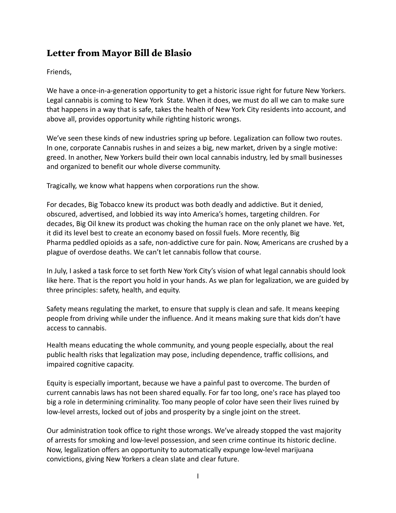# **Letter from Mayor Bill de Blasio**

Friends,

We have a once-in-a-generation opportunity to get a historic issue right for future New Yorkers. Legal cannabis is coming to New York State. When it does, we must do all we can to make sure that happens in a way that is safe, takes the health of New York City residents into account, and above all, provides opportunity while righting historic wrongs.

We've seen these kinds of new industries spring up before. Legalization can follow two routes. In one, corporate Cannabis rushes in and seizes a big, new market, driven by a single motive: greed. In another, New Yorkers build their own local cannabis industry, led by small businesses and organized to benefit our whole diverse community.

Tragically, we know what happens when corporations run the show.

For decades, Big Tobacco knew its product was both deadly and addictive. But it denied, obscured, advertised, and lobbied its way into America's homes, targeting children. For decades, Big Oil knew its product was choking the human race on the only planet we have. Yet, it did its level best to create an economy based on fossil fuels. More recently, Big Pharma peddled opioids as a safe, non-addictive cure for pain. Now, Americans are crushed by a plague of overdose deaths. We can't let cannabis follow that course.

In July, I asked a task force to set forth New York City's vision of what legal cannabis should look like here. That is the report you hold in your hands. As we plan for legalization, we are guided by three principles: safety, health, and equity.

Safety means regulating the market, to ensure that supply is clean and safe. It means keeping people from driving while under the influence. And it means making sure that kids don't have access to cannabis.

Health means educating the whole community, and young people especially, about the real public health risks that legalization may pose, including dependence, traffic collisions, and impaired cognitive capacity.

Equity is especially important, because we have a painful past to overcome. The burden of current cannabis laws has not been shared equally. For far too long, one's race has played too big a role in determining criminality. Too many people of color have seen their lives ruined by low-level arrests, locked out of jobs and prosperity by a single joint on the street.

Our administration took office to right those wrongs. We've already stopped the vast majority of arrests for smoking and low-level possession, and seen crime continue its historic decline. Now, legalization offers an opportunity to automatically expunge low-level marijuana convictions, giving New Yorkers a clean slate and clear future.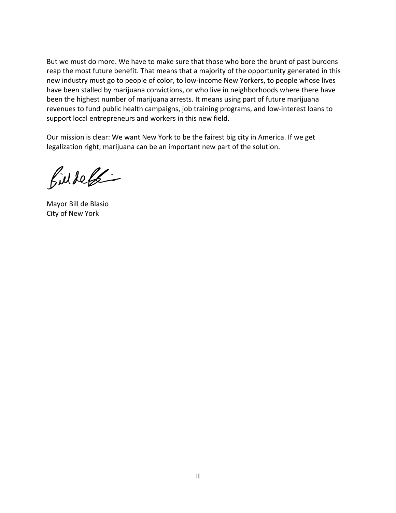But we must do more. We have to make sure that those who bore the brunt of past burdens reap the most future benefit. That means that a majority of the opportunity generated in this new industry must go to people of color, to low-income New Yorkers, to people whose lives have been stalled by marijuana convictions, or who live in neighborhoods where there have been the highest number of marijuana arrests. It means using part of future marijuana revenues to fund public health campaigns, job training programs, and low-interest loans to support local entrepreneurs and workers in this new field.

Our mission is clear: We want New York to be the fairest big city in America. If we get legalization right, marijuana can be an important new part of the solution.

Bildel

Mayor Bill de Blasio City of New York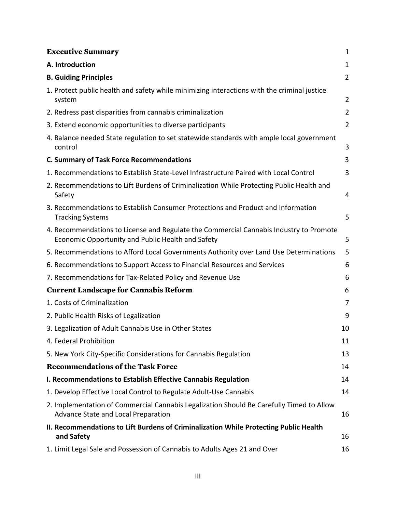| A. Introduction<br>$\mathbf 1$<br>$\overline{2}$<br><b>B. Guiding Principles</b><br>1. Protect public health and safety while minimizing interactions with the criminal justice<br>$\overline{2}$<br>system<br>$\overline{2}$<br>2. Redress past disparities from cannabis criminalization<br>3. Extend economic opportunities to diverse participants<br>$\overline{2}$<br>4. Balance needed State regulation to set statewide standards with ample local government<br>3<br>control<br>3<br><b>C. Summary of Task Force Recommendations</b><br>1. Recommendations to Establish State-Level Infrastructure Paired with Local Control<br>3<br>2. Recommendations to Lift Burdens of Criminalization While Protecting Public Health and<br>Safety<br>4<br>3. Recommendations to Establish Consumer Protections and Product and Information<br>5<br><b>Tracking Systems</b><br>4. Recommendations to License and Regulate the Commercial Cannabis Industry to Promote<br>5<br>Economic Opportunity and Public Health and Safety<br>5<br>5. Recommendations to Afford Local Governments Authority over Land Use Determinations<br>6. Recommendations to Support Access to Financial Resources and Services<br>6<br>7. Recommendations for Tax-Related Policy and Revenue Use<br>6<br><b>Current Landscape for Cannabis Reform</b><br>6<br>1. Costs of Criminalization<br>7<br>9<br>2. Public Health Risks of Legalization<br>3. Legalization of Adult Cannabis Use in Other States<br>10<br>4. Federal Prohibition<br>11<br>5. New York City-Specific Considerations for Cannabis Regulation<br>13<br><b>Recommendations of the Task Force</b><br>14<br>I. Recommendations to Establish Effective Cannabis Regulation<br>14<br>1. Develop Effective Local Control to Regulate Adult-Use Cannabis<br>14<br>2. Implementation of Commercial Cannabis Legalization Should Be Carefully Timed to Allow<br>Advance State and Local Preparation<br>16<br>II. Recommendations to Lift Burdens of Criminalization While Protecting Public Health<br>and Safety<br>16 | <b>Executive Summary</b>                                                  | $\mathbf{1}$ |
|-----------------------------------------------------------------------------------------------------------------------------------------------------------------------------------------------------------------------------------------------------------------------------------------------------------------------------------------------------------------------------------------------------------------------------------------------------------------------------------------------------------------------------------------------------------------------------------------------------------------------------------------------------------------------------------------------------------------------------------------------------------------------------------------------------------------------------------------------------------------------------------------------------------------------------------------------------------------------------------------------------------------------------------------------------------------------------------------------------------------------------------------------------------------------------------------------------------------------------------------------------------------------------------------------------------------------------------------------------------------------------------------------------------------------------------------------------------------------------------------------------------------------------------------------------------------------------------------------------------------------------------------------------------------------------------------------------------------------------------------------------------------------------------------------------------------------------------------------------------------------------------------------------------------------------------------------------------------------------------------------------------------------------------------------------------|---------------------------------------------------------------------------|--------------|
|                                                                                                                                                                                                                                                                                                                                                                                                                                                                                                                                                                                                                                                                                                                                                                                                                                                                                                                                                                                                                                                                                                                                                                                                                                                                                                                                                                                                                                                                                                                                                                                                                                                                                                                                                                                                                                                                                                                                                                                                                                                           |                                                                           |              |
|                                                                                                                                                                                                                                                                                                                                                                                                                                                                                                                                                                                                                                                                                                                                                                                                                                                                                                                                                                                                                                                                                                                                                                                                                                                                                                                                                                                                                                                                                                                                                                                                                                                                                                                                                                                                                                                                                                                                                                                                                                                           |                                                                           |              |
|                                                                                                                                                                                                                                                                                                                                                                                                                                                                                                                                                                                                                                                                                                                                                                                                                                                                                                                                                                                                                                                                                                                                                                                                                                                                                                                                                                                                                                                                                                                                                                                                                                                                                                                                                                                                                                                                                                                                                                                                                                                           |                                                                           |              |
|                                                                                                                                                                                                                                                                                                                                                                                                                                                                                                                                                                                                                                                                                                                                                                                                                                                                                                                                                                                                                                                                                                                                                                                                                                                                                                                                                                                                                                                                                                                                                                                                                                                                                                                                                                                                                                                                                                                                                                                                                                                           |                                                                           |              |
|                                                                                                                                                                                                                                                                                                                                                                                                                                                                                                                                                                                                                                                                                                                                                                                                                                                                                                                                                                                                                                                                                                                                                                                                                                                                                                                                                                                                                                                                                                                                                                                                                                                                                                                                                                                                                                                                                                                                                                                                                                                           |                                                                           |              |
|                                                                                                                                                                                                                                                                                                                                                                                                                                                                                                                                                                                                                                                                                                                                                                                                                                                                                                                                                                                                                                                                                                                                                                                                                                                                                                                                                                                                                                                                                                                                                                                                                                                                                                                                                                                                                                                                                                                                                                                                                                                           |                                                                           |              |
|                                                                                                                                                                                                                                                                                                                                                                                                                                                                                                                                                                                                                                                                                                                                                                                                                                                                                                                                                                                                                                                                                                                                                                                                                                                                                                                                                                                                                                                                                                                                                                                                                                                                                                                                                                                                                                                                                                                                                                                                                                                           |                                                                           |              |
|                                                                                                                                                                                                                                                                                                                                                                                                                                                                                                                                                                                                                                                                                                                                                                                                                                                                                                                                                                                                                                                                                                                                                                                                                                                                                                                                                                                                                                                                                                                                                                                                                                                                                                                                                                                                                                                                                                                                                                                                                                                           |                                                                           |              |
|                                                                                                                                                                                                                                                                                                                                                                                                                                                                                                                                                                                                                                                                                                                                                                                                                                                                                                                                                                                                                                                                                                                                                                                                                                                                                                                                                                                                                                                                                                                                                                                                                                                                                                                                                                                                                                                                                                                                                                                                                                                           |                                                                           |              |
|                                                                                                                                                                                                                                                                                                                                                                                                                                                                                                                                                                                                                                                                                                                                                                                                                                                                                                                                                                                                                                                                                                                                                                                                                                                                                                                                                                                                                                                                                                                                                                                                                                                                                                                                                                                                                                                                                                                                                                                                                                                           |                                                                           |              |
|                                                                                                                                                                                                                                                                                                                                                                                                                                                                                                                                                                                                                                                                                                                                                                                                                                                                                                                                                                                                                                                                                                                                                                                                                                                                                                                                                                                                                                                                                                                                                                                                                                                                                                                                                                                                                                                                                                                                                                                                                                                           |                                                                           |              |
|                                                                                                                                                                                                                                                                                                                                                                                                                                                                                                                                                                                                                                                                                                                                                                                                                                                                                                                                                                                                                                                                                                                                                                                                                                                                                                                                                                                                                                                                                                                                                                                                                                                                                                                                                                                                                                                                                                                                                                                                                                                           |                                                                           |              |
|                                                                                                                                                                                                                                                                                                                                                                                                                                                                                                                                                                                                                                                                                                                                                                                                                                                                                                                                                                                                                                                                                                                                                                                                                                                                                                                                                                                                                                                                                                                                                                                                                                                                                                                                                                                                                                                                                                                                                                                                                                                           |                                                                           |              |
|                                                                                                                                                                                                                                                                                                                                                                                                                                                                                                                                                                                                                                                                                                                                                                                                                                                                                                                                                                                                                                                                                                                                                                                                                                                                                                                                                                                                                                                                                                                                                                                                                                                                                                                                                                                                                                                                                                                                                                                                                                                           |                                                                           |              |
|                                                                                                                                                                                                                                                                                                                                                                                                                                                                                                                                                                                                                                                                                                                                                                                                                                                                                                                                                                                                                                                                                                                                                                                                                                                                                                                                                                                                                                                                                                                                                                                                                                                                                                                                                                                                                                                                                                                                                                                                                                                           |                                                                           |              |
|                                                                                                                                                                                                                                                                                                                                                                                                                                                                                                                                                                                                                                                                                                                                                                                                                                                                                                                                                                                                                                                                                                                                                                                                                                                                                                                                                                                                                                                                                                                                                                                                                                                                                                                                                                                                                                                                                                                                                                                                                                                           |                                                                           |              |
|                                                                                                                                                                                                                                                                                                                                                                                                                                                                                                                                                                                                                                                                                                                                                                                                                                                                                                                                                                                                                                                                                                                                                                                                                                                                                                                                                                                                                                                                                                                                                                                                                                                                                                                                                                                                                                                                                                                                                                                                                                                           |                                                                           |              |
|                                                                                                                                                                                                                                                                                                                                                                                                                                                                                                                                                                                                                                                                                                                                                                                                                                                                                                                                                                                                                                                                                                                                                                                                                                                                                                                                                                                                                                                                                                                                                                                                                                                                                                                                                                                                                                                                                                                                                                                                                                                           |                                                                           |              |
|                                                                                                                                                                                                                                                                                                                                                                                                                                                                                                                                                                                                                                                                                                                                                                                                                                                                                                                                                                                                                                                                                                                                                                                                                                                                                                                                                                                                                                                                                                                                                                                                                                                                                                                                                                                                                                                                                                                                                                                                                                                           |                                                                           |              |
|                                                                                                                                                                                                                                                                                                                                                                                                                                                                                                                                                                                                                                                                                                                                                                                                                                                                                                                                                                                                                                                                                                                                                                                                                                                                                                                                                                                                                                                                                                                                                                                                                                                                                                                                                                                                                                                                                                                                                                                                                                                           |                                                                           |              |
|                                                                                                                                                                                                                                                                                                                                                                                                                                                                                                                                                                                                                                                                                                                                                                                                                                                                                                                                                                                                                                                                                                                                                                                                                                                                                                                                                                                                                                                                                                                                                                                                                                                                                                                                                                                                                                                                                                                                                                                                                                                           |                                                                           |              |
|                                                                                                                                                                                                                                                                                                                                                                                                                                                                                                                                                                                                                                                                                                                                                                                                                                                                                                                                                                                                                                                                                                                                                                                                                                                                                                                                                                                                                                                                                                                                                                                                                                                                                                                                                                                                                                                                                                                                                                                                                                                           |                                                                           |              |
|                                                                                                                                                                                                                                                                                                                                                                                                                                                                                                                                                                                                                                                                                                                                                                                                                                                                                                                                                                                                                                                                                                                                                                                                                                                                                                                                                                                                                                                                                                                                                                                                                                                                                                                                                                                                                                                                                                                                                                                                                                                           |                                                                           |              |
|                                                                                                                                                                                                                                                                                                                                                                                                                                                                                                                                                                                                                                                                                                                                                                                                                                                                                                                                                                                                                                                                                                                                                                                                                                                                                                                                                                                                                                                                                                                                                                                                                                                                                                                                                                                                                                                                                                                                                                                                                                                           |                                                                           |              |
|                                                                                                                                                                                                                                                                                                                                                                                                                                                                                                                                                                                                                                                                                                                                                                                                                                                                                                                                                                                                                                                                                                                                                                                                                                                                                                                                                                                                                                                                                                                                                                                                                                                                                                                                                                                                                                                                                                                                                                                                                                                           |                                                                           |              |
|                                                                                                                                                                                                                                                                                                                                                                                                                                                                                                                                                                                                                                                                                                                                                                                                                                                                                                                                                                                                                                                                                                                                                                                                                                                                                                                                                                                                                                                                                                                                                                                                                                                                                                                                                                                                                                                                                                                                                                                                                                                           | 1. Limit Legal Sale and Possession of Cannabis to Adults Ages 21 and Over | 16           |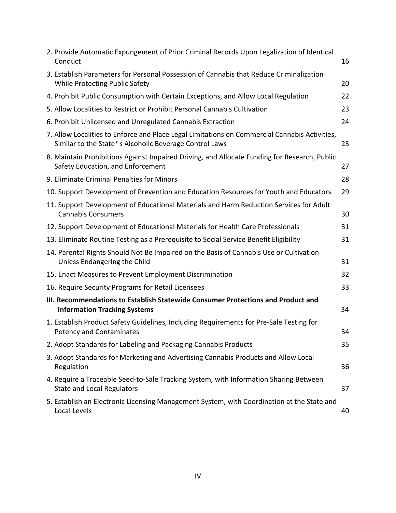| 2. Provide Automatic Expungement of Prior Criminal Records Upon Legalization of Identical<br>Conduct                                                    | 16 |
|---------------------------------------------------------------------------------------------------------------------------------------------------------|----|
| 3. Establish Parameters for Personal Possession of Cannabis that Reduce Criminalization<br>While Protecting Public Safety                               | 20 |
| 4. Prohibit Public Consumption with Certain Exceptions, and Allow Local Regulation                                                                      | 22 |
| 5. Allow Localities to Restrict or Prohibit Personal Cannabis Cultivation                                                                               | 23 |
| 6. Prohibit Unlicensed and Unregulated Cannabis Extraction                                                                                              | 24 |
| 7. Allow Localities to Enforce and Place Legal Limitations on Commercial Cannabis Activities,<br>Similar to the State's Alcoholic Beverage Control Laws | 25 |
| 8. Maintain Prohibitions Against Impaired Driving, and Allocate Funding for Research, Public<br>Safety Education, and Enforcement                       | 27 |
| 9. Eliminate Criminal Penalties for Minors                                                                                                              | 28 |
| 10. Support Development of Prevention and Education Resources for Youth and Educators                                                                   | 29 |
| 11. Support Development of Educational Materials and Harm Reduction Services for Adult<br><b>Cannabis Consumers</b>                                     | 30 |
| 12. Support Development of Educational Materials for Health Care Professionals                                                                          | 31 |
| 13. Eliminate Routine Testing as a Prerequisite to Social Service Benefit Eligibility                                                                   | 31 |
| 14. Parental Rights Should Not Be Impaired on the Basis of Cannabis Use or Cultivation<br>Unless Endangering the Child                                  | 31 |
| 15. Enact Measures to Prevent Employment Discrimination                                                                                                 | 32 |
| 16. Require Security Programs for Retail Licensees                                                                                                      | 33 |
| III. Recommendations to Establish Statewide Consumer Protections and Product and<br><b>Information Tracking Systems</b>                                 | 34 |
| 1. Establish Product Safety Guidelines, Including Requirements for Pre-Sale Testing for<br><b>Potency and Contaminates</b>                              | 34 |
| 2. Adopt Standards for Labeling and Packaging Cannabis Products                                                                                         | 35 |
| 3. Adopt Standards for Marketing and Advertising Cannabis Products and Allow Local<br>Regulation                                                        | 36 |
| 4. Require a Traceable Seed-to-Sale Tracking System, with Information Sharing Between<br><b>State and Local Regulators</b>                              | 37 |
| 5. Establish an Electronic Licensing Management System, with Coordination at the State and<br>Local Levels                                              | 40 |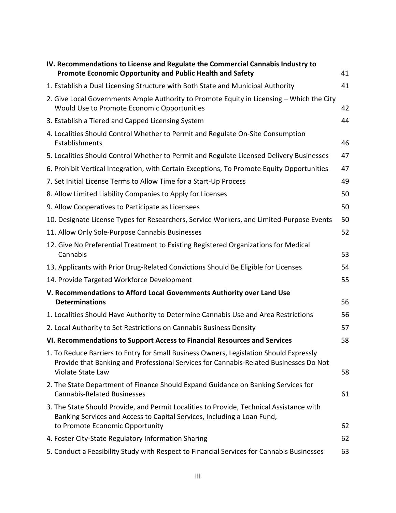| IV. Recommendations to License and Regulate the Commercial Cannabis Industry to<br><b>Promote Economic Opportunity and Public Health and Safety</b>                                                    | 41 |
|--------------------------------------------------------------------------------------------------------------------------------------------------------------------------------------------------------|----|
| 1. Establish a Dual Licensing Structure with Both State and Municipal Authority                                                                                                                        | 41 |
| 2. Give Local Governments Ample Authority to Promote Equity in Licensing - Which the City<br>Would Use to Promote Economic Opportunities                                                               | 42 |
| 3. Establish a Tiered and Capped Licensing System                                                                                                                                                      | 44 |
| 4. Localities Should Control Whether to Permit and Regulate On-Site Consumption<br>Establishments                                                                                                      | 46 |
| 5. Localities Should Control Whether to Permit and Regulate Licensed Delivery Businesses                                                                                                               | 47 |
| 6. Prohibit Vertical Integration, with Certain Exceptions, To Promote Equity Opportunities                                                                                                             | 47 |
| 7. Set Initial License Terms to Allow Time for a Start-Up Process                                                                                                                                      | 49 |
| 8. Allow Limited Liability Companies to Apply for Licenses                                                                                                                                             | 50 |
| 9. Allow Cooperatives to Participate as Licensees                                                                                                                                                      | 50 |
| 10. Designate License Types for Researchers, Service Workers, and Limited-Purpose Events                                                                                                               | 50 |
| 11. Allow Only Sole-Purpose Cannabis Businesses                                                                                                                                                        | 52 |
| 12. Give No Preferential Treatment to Existing Registered Organizations for Medical<br>Cannabis                                                                                                        | 53 |
| 13. Applicants with Prior Drug-Related Convictions Should Be Eligible for Licenses                                                                                                                     | 54 |
| 14. Provide Targeted Workforce Development                                                                                                                                                             | 55 |
| V. Recommendations to Afford Local Governments Authority over Land Use<br><b>Determinations</b>                                                                                                        | 56 |
| 1. Localities Should Have Authority to Determine Cannabis Use and Area Restrictions                                                                                                                    | 56 |
| 2. Local Authority to Set Restrictions on Cannabis Business Density                                                                                                                                    | 57 |
| VI. Recommendations to Support Access to Financial Resources and Services                                                                                                                              | 58 |
| 1. To Reduce Barriers to Entry for Small Business Owners, Legislation Should Expressly<br>Provide that Banking and Professional Services for Cannabis-Related Businesses Do Not<br>Violate State Law   | 58 |
| 2. The State Department of Finance Should Expand Guidance on Banking Services for<br><b>Cannabis-Related Businesses</b>                                                                                | 61 |
| 3. The State Should Provide, and Permit Localities to Provide, Technical Assistance with<br>Banking Services and Access to Capital Services, Including a Loan Fund,<br>to Promote Economic Opportunity | 62 |
| 4. Foster City-State Regulatory Information Sharing                                                                                                                                                    | 62 |
| 5. Conduct a Feasibility Study with Respect to Financial Services for Cannabis Businesses                                                                                                              | 63 |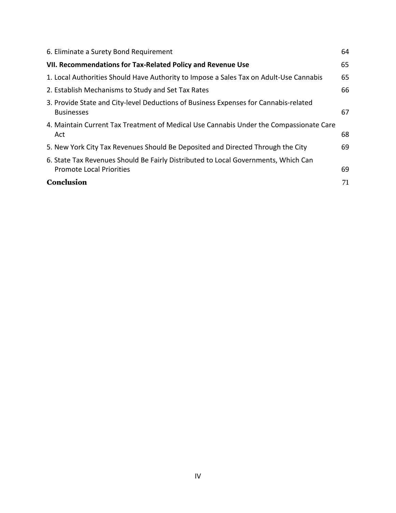| 64 |
|----|
| 65 |
| 65 |
| 66 |
| 67 |
| 68 |
| 69 |
| 69 |
| 71 |
|    |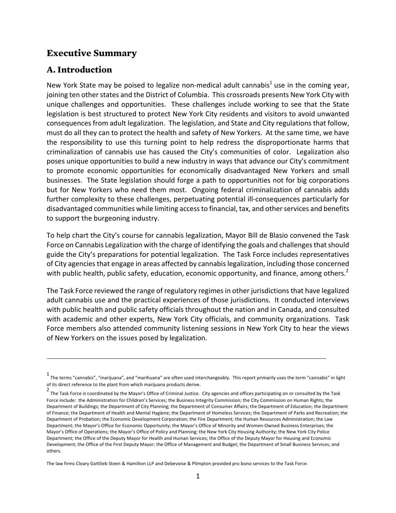### **Executive Summary**

### **A. Introduction**

New York State may be poised to legalize non-medical adult cannabis<sup>1</sup> use in the coming year, joining ten other states and the District of Columbia. This crossroads presents New York City with unique challenges and opportunities. These challenges include working to see that the State legislation is best structured to protect New York City residents and visitors to avoid unwanted consequences from adult legalization. The legislation, and State and City regulations that follow, must do all they can to protect the health and safety of New Yorkers. At the same time, we have the responsibility to use this turning point to help redress the disproportionate harms that criminalization of cannabis use has caused the City's communities of color. Legalization also poses unique opportunities to build a new industry in ways that advance our City's commitment to promote economic opportunities for economically disadvantaged New Yorkers and small businesses. The State legislation should forge a path to opportunities not for big corporations but for New Yorkers who need them most. Ongoing federal criminalization of cannabis adds further complexity to these challenges, perpetuating potential ill-consequences particularly for disadvantaged communities while limiting access to financial, tax, and other services and benefits to support the burgeoning industry.

To help chart the City's course for cannabis legalization, Mayor Bill de Blasio convened the Task Force on Cannabis Legalization with the charge of identifying the goals and challenges that should guide the City's preparations for potential legalization. The Task Force includes representatives of City agencies that engage in areas affected by cannabis legalization, including those concerned with public health, public safety, education, economic opportunity, and finance, among others.<sup>2</sup>

The Task Force reviewed the range of regulatory regimes in other jurisdictions that have legalized adult cannabis use and the practical experiences of those jurisdictions. It conducted interviews with public health and public safety officials throughout the nation and in Canada, and consulted with academic and other experts, New York City officials, and community organizations. Task Force members also attended community listening sessions in New York City to hear the views of New Yorkers on the issues posed by legalization.

<u> 1989 - Jan Samuel Barbara, martxa a shekara tsa 1989 - An tsa 1989 - An tsa 1989 - An tsa 1989 - An tsa 198</u>

The law firms Cleary Gottlieb Steen & Hamilton LLP and Debevoise & Plimpton provided pro bono services to the Task Force.

<sup>1&</sup>lt;br>The terms "cannabis", "marijuana", and "marihuana" are often used interchangeably. This report primarily uses the term "cannabis" in light of its direct reference to the plant from which marijuana products derive.

<sup>2&</sup>lt;br>The Task Force is coordinated by the Mayor's Office of Criminal Justice. City agencies and offices participating on or consulted by the Task Force include: the Administration for Children's Services; the Business Integrity Commission; the City Commission on Human Rights; the Department of Buildings; the Department of City Planning; the Department of Consumer Affairs; the Department of Education; the Department of Finance; the Department of Health and Mental Hygiene; the Department of Homeless Services; the Department of Parks and Recreation; the Department of Probation; the Economic Development Corporation; the Fire Department; the Human Resources Administration; the Law Department; the Mayor's Office for Economic Opportunity; the Mayor's Office of Minority and Women-Owned Business Enterprises; the Mayor's Office of Operations; the Mayor's Office of Policy and Planning; the New York City Housing Authority; the New York City Police Department; the Office of the Deputy Mayor for Health and Human Services; the Office of the Deputy Mayor for Housing and Economic Development; the Office of the First Deputy Mayor; the Office of Management and Budget; the Department of Small Business Services; and others.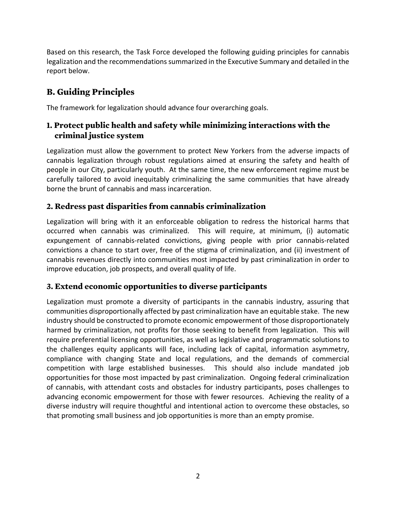Based on this research, the Task Force developed the following guiding principles for cannabis legalization and the recommendations summarized in the Executive Summary and detailed in the report below. 

# **B. Guiding Principles**

The framework for legalization should advance four overarching goals.

## **1. Protect public health and safety while minimizing interactions with the criminal justice system**

Legalization must allow the government to protect New Yorkers from the adverse impacts of cannabis legalization through robust regulations aimed at ensuring the safety and health of people in our City, particularly youth. At the same time, the new enforcement regime must be carefully tailored to avoid inequitably criminalizing the same communities that have already borne the brunt of cannabis and mass incarceration.

## **2. Redress past disparities from cannabis criminalization**

Legalization will bring with it an enforceable obligation to redress the historical harms that occurred when cannabis was criminalized. This will require, at minimum, (i) automatic expungement of cannabis-related convictions, giving people with prior cannabis-related convictions a chance to start over, free of the stigma of criminalization, and (ii) investment of cannabis revenues directly into communities most impacted by past criminalization in order to improve education, job prospects, and overall quality of life.

### **3. Extend economic opportunities to diverse participants**

Legalization must promote a diversity of participants in the cannabis industry, assuring that communities disproportionally affected by past criminalization have an equitable stake. The new industry should be constructed to promote economic empowerment of those disproportionately harmed by criminalization, not profits for those seeking to benefit from legalization. This will require preferential licensing opportunities, as well as legislative and programmatic solutions to the challenges equity applicants will face, including lack of capital, information asymmetry, compliance with changing State and local regulations, and the demands of commercial competition with large established businesses. This should also include mandated job opportunities for those most impacted by past criminalization. Ongoing federal criminalization of cannabis, with attendant costs and obstacles for industry participants, poses challenges to advancing economic empowerment for those with fewer resources. Achieving the reality of a diverse industry will require thoughtful and intentional action to overcome these obstacles, so that promoting small business and job opportunities is more than an empty promise.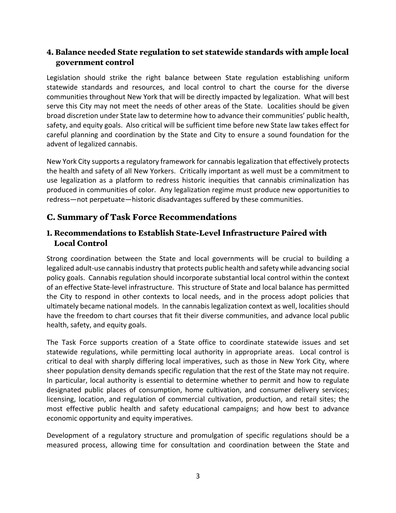### **4. Balance needed State regulation to set statewide standards with ample local government control**

Legislation should strike the right balance between State regulation establishing uniform statewide standards and resources, and local control to chart the course for the diverse communities throughout New York that will be directly impacted by legalization. What will best serve this City may not meet the needs of other areas of the State. Localities should be given broad discretion under State law to determine how to advance their communities' public health, safety, and equity goals. Also critical will be sufficient time before new State law takes effect for careful planning and coordination by the State and City to ensure a sound foundation for the advent of legalized cannabis.

New York City supports a regulatory framework for cannabis legalization that effectively protects the health and safety of all New Yorkers. Critically important as well must be a commitment to use legalization as a platform to redress historic inequities that cannabis criminalization has produced in communities of color. Any legalization regime must produce new opportunities to redress—not perpetuate—historic disadvantages suffered by these communities.

## **C. Summary of Task Force Recommendations**

### **1. Recommendations to Establish State-Level Infrastructure Paired with Local Control**

Strong coordination between the State and local governments will be crucial to building a legalized adult-use cannabis industry that protects public health and safety while advancing social policy goals. Cannabis regulation should incorporate substantial local control within the context of an effective State-level infrastructure. This structure of State and local balance has permitted the City to respond in other contexts to local needs, and in the process adopt policies that ultimately became national models. In the cannabis legalization context as well, localities should have the freedom to chart courses that fit their diverse communities, and advance local public health, safety, and equity goals.

The Task Force supports creation of a State office to coordinate statewide issues and set statewide regulations, while permitting local authority in appropriate areas. Local control is critical to deal with sharply differing local imperatives, such as those in New York City, where sheer population density demands specific regulation that the rest of the State may not require. In particular, local authority is essential to determine whether to permit and how to regulate designated public places of consumption, home cultivation, and consumer delivery services; licensing, location, and regulation of commercial cultivation, production, and retail sites; the most effective public health and safety educational campaigns; and how best to advance economic opportunity and equity imperatives.

Development of a regulatory structure and promulgation of specific regulations should be a measured process, allowing time for consultation and coordination between the State and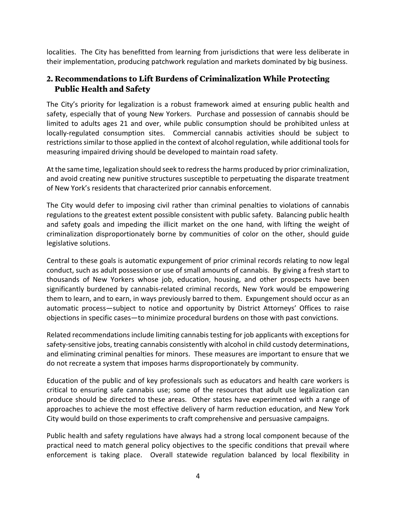localities. The City has benefitted from learning from jurisdictions that were less deliberate in their implementation, producing patchwork regulation and markets dominated by big business.

### **2. Recommendations to Lift Burdens of Criminalization While Protecting Public Health and Safety**

The City's priority for legalization is a robust framework aimed at ensuring public health and safety, especially that of young New Yorkers. Purchase and possession of cannabis should be limited to adults ages 21 and over, while public consumption should be prohibited unless at locally-regulated consumption sites. Commercial cannabis activities should be subject to restrictions similar to those applied in the context of alcohol regulation, while additional tools for measuring impaired driving should be developed to maintain road safety.

At the same time, legalization should seek to redress the harms produced by prior criminalization, and avoid creating new punitive structures susceptible to perpetuating the disparate treatment of New York's residents that characterized prior cannabis enforcement.

The City would defer to imposing civil rather than criminal penalties to violations of cannabis regulations to the greatest extent possible consistent with public safety. Balancing public health and safety goals and impeding the illicit market on the one hand, with lifting the weight of criminalization disproportionately borne by communities of color on the other, should guide legislative solutions.

Central to these goals is automatic expungement of prior criminal records relating to now legal conduct, such as adult possession or use of small amounts of cannabis. By giving a fresh start to thousands of New Yorkers whose job, education, housing, and other prospects have been significantly burdened by cannabis-related criminal records, New York would be empowering them to learn, and to earn, in ways previously barred to them. Expungement should occur as an automatic process—subject to notice and opportunity by District Attorneys' Offices to raise objections in specific cases—to minimize procedural burdens on those with past convictions.

Related recommendations include limiting cannabis testing for job applicants with exceptions for safety-sensitive jobs, treating cannabis consistently with alcohol in child custody determinations, and eliminating criminal penalties for minors. These measures are important to ensure that we do not recreate a system that imposes harms disproportionately by community.

Education of the public and of key professionals such as educators and health care workers is critical to ensuring safe cannabis use; some of the resources that adult use legalization can produce should be directed to these areas. Other states have experimented with a range of approaches to achieve the most effective delivery of harm reduction education, and New York City would build on those experiments to craft comprehensive and persuasive campaigns.

Public health and safety regulations have always had a strong local component because of the practical need to match general policy objectives to the specific conditions that prevail where enforcement is taking place. Overall statewide regulation balanced by local flexibility in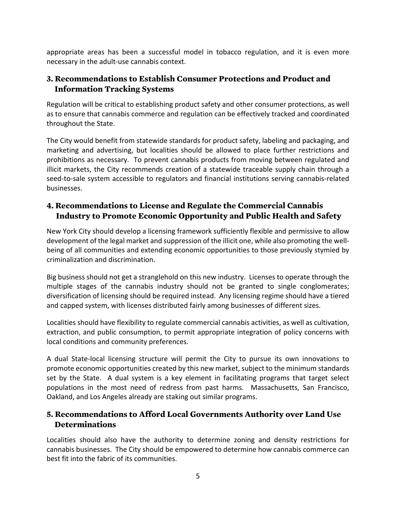appropriate areas has been a successful model in tobacco regulation, and it is even more necessary in the adult-use cannabis context.

### **3. Recommendations to Establish Consumer Protections and Product and Information Tracking Systems**

Regulation will be critical to establishing product safety and other consumer protections, as well as to ensure that cannabis commerce and regulation can be effectively tracked and coordinated throughout the State.

The City would benefit from statewide standards for product safety, labeling and packaging, and marketing and advertising, but localities should be allowed to place further restrictions and prohibitions as necessary. To prevent cannabis products from moving between regulated and illicit markets, the City recommends creation of a statewide traceable supply chain through a seed-to-sale system accessible to regulators and financial institutions serving cannabis-related businesses. 

### **4. Recommendations to License and Regulate the Commercial Cannabis Industry to Promote Economic Opportunity and Public Health and Safety**

New York City should develop a licensing framework sufficiently flexible and permissive to allow development of the legal market and suppression of the illicit one, while also promoting the wellbeing of all communities and extending economic opportunities to those previously stymied by criminalization and discrimination. 

Big business should not get a stranglehold on this new industry. Licenses to operate through the multiple stages of the cannabis industry should not be granted to single conglomerates; diversification of licensing should be required instead. Any licensing regime should have a tiered and capped system, with licenses distributed fairly among businesses of different sizes.

Localities should have flexibility to regulate commercial cannabis activities, as well as cultivation, extraction, and public consumption, to permit appropriate integration of policy concerns with local conditions and community preferences.

A dual State-local licensing structure will permit the City to pursue its own innovations to promote economic opportunities created by this new market, subject to the minimum standards set by the State. A dual system is a key element in facilitating programs that target select populations in the most need of redress from past harms. Massachusetts, San Francisco, Oakland, and Los Angeles already are staking out similar programs.

### **5. Recommendations to Afford Local Governments Authority over Land Use Determinations**

Localities should also have the authority to determine zoning and density restrictions for cannabis businesses. The City should be empowered to determine how cannabis commerce can best fit into the fabric of its communities.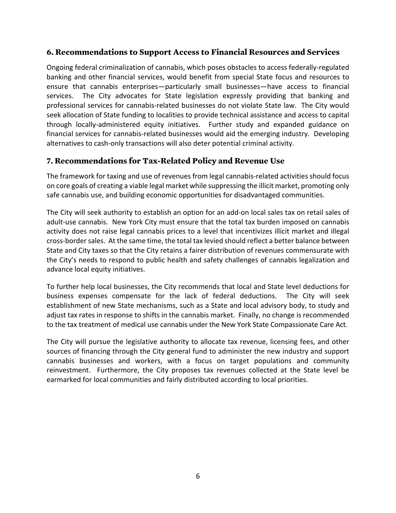#### **6. Recommendations to Support Access to Financial Resources and Services**

Ongoing federal criminalization of cannabis, which poses obstacles to access federally-regulated banking and other financial services, would benefit from special State focus and resources to ensure that cannabis enterprises—particularly small businesses—have access to financial services. The City advocates for State legislation expressly providing that banking and professional services for cannabis-related businesses do not violate State law. The City would seek allocation of State funding to localities to provide technical assistance and access to capital through locally-administered equity initiatives. Further study and expanded guidance on financial services for cannabis-related businesses would aid the emerging industry. Developing alternatives to cash-only transactions will also deter potential criminal activity.

#### **7. Recommendations for Tax-Related Policy and Revenue Use**

The framework for taxing and use of revenues from legal cannabis-related activities should focus on core goals of creating a viable legal market while suppressing the illicit market, promoting only safe cannabis use, and building economic opportunities for disadvantaged communities.

The City will seek authority to establish an option for an add-on local sales tax on retail sales of adult-use cannabis. New York City must ensure that the total tax burden imposed on cannabis activity does not raise legal cannabis prices to a level that incentivizes illicit market and illegal cross-border sales. At the same time, the total tax levied should reflect a better balance between State and City taxes so that the City retains a fairer distribution of revenues commensurate with the City's needs to respond to public health and safety challenges of cannabis legalization and advance local equity initiatives. 

To further help local businesses, the City recommends that local and State level deductions for business expenses compensate for the lack of federal deductions. The City will seek establishment of new State mechanisms, such as a State and local advisory body, to study and adjust tax rates in response to shifts in the cannabis market. Finally, no change is recommended to the tax treatment of medical use cannabis under the New York State Compassionate Care Act.

The City will pursue the legislative authority to allocate tax revenue, licensing fees, and other sources of financing through the City general fund to administer the new industry and support cannabis businesses and workers, with a focus on target populations and community reinvestment. Furthermore, the City proposes tax revenues collected at the State level be earmarked for local communities and fairly distributed according to local priorities.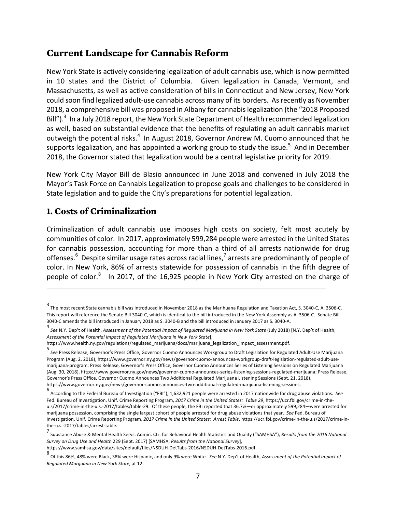## **Current Landscape for Cannabis Reform**

New York State is actively considering legalization of adult cannabis use, which is now permitted in 10 states and the District of Columbia. Given legalization in Canada, Vermont, and Massachusetts, as well as active consideration of bills in Connecticut and New Jersey, New York could soon find legalized adult-use cannabis across many of its borders. As recently as November 2018, a comprehensive bill was proposed in Albany for cannabis legalization (the "2018 Proposed Bill").<sup>3</sup> In a July 2018 report, the New York State Department of Health recommended legalization as well, based on substantial evidence that the benefits of regulating an adult cannabis market outweigh the potential risks.<sup>4</sup> In August 2018, Governor Andrew M. Cuomo announced that he supports legalization, and has appointed a working group to study the issue.<sup>5</sup> And in December 2018, the Governor stated that legalization would be a central legislative priority for 2019.

New York City Mayor Bill de Blasio announced in June 2018 and convened in July 2018 the Mayor's Task Force on Cannabis Legalization to propose goals and challenges to be considered in State legislation and to guide the City's preparations for potential legalization.

### **1. Costs of Criminalization**

Criminalization of adult cannabis use imposes high costs on society, felt most acutely by communities of color. In 2017, approximately 599,284 people were arrested in the United States for cannabis possession, accounting for more than a third of all arrests nationwide for drug offenses.<sup>6</sup> Despite similar usage rates across racial lines,<sup>7</sup> arrests are predominantly of people of color. In New York, 86% of arrests statewide for possession of cannabis in the fifth degree of people of color. $8$  In 2017, of the 16,925 people in New York City arrested on the charge of

<sup>3&</sup>lt;br>The most recent State cannabis bill was introduced in November 2018 as the Marihuana Regulation and Taxation Act, S. 3040-C, A. 3506-C. This report will reference the Senate Bill 3040-C, which is identical to the bill introduced in the New York Assembly as A. 3506-C. Senate Bill 3040-C amends the bill introduced in January 2018 as S. 3040-B and the bill introduced in January 2017 as S. 3040-A.

<sup>4&</sup>lt;br>See N.Y. Dep't of Health, *Assessment of the Potential Impact of Regulated Marijuana in New York State (July 2018) [N.Y. Dep't of Health,* Assessment of the Potential Impact of Regulated Marijuana in New York State],

https://www.health.ny.gov/regulations/regulated\_marijuana/docs/marijuana\_legalization\_impact\_assessment.pdf. 

<sup>5&</sup>lt;br>S*ee* Press Release, Governor's Press Office, Governor Cuomo Announces Workgroup to Draft Legislation for Regulated Adult-Use Marijuana Program (Aug. 2, 2018), https://www.governor.ny.gov/news/governor-cuomo-announces-workgroup-draft-legislation-regulated-adult-usemarijuana-program; Press Release, Governor's Press Office, Governor Cuomo Announces Series of Listening Sessions on Regulated Marijuana (Aug. 30, 2018), https://www.governor.ny.gov/news/governor-cuomo-announces-series-listening-sessions-regulated-marijuana; Press Release, Governor's Press Office, Governor Cuomo Announces Two Additional Regulated Marijuana Listening Sessions (Sept. 21, 2018), https://www.governor.ny.gov/news/governor-cuomo-announces-two-additional-regulated-marijuana-listening-sessions. 

<sup>6&</sup>lt;br>According to the Federal Bureau of Investigation ("FBI"), 1,632,921 people were arrested in 2017 nationwide for drug abuse violations. See Fed. Bureau of Investigation, Unif. Crime Reporting Program, 2017 Crime in the United States: Table 29, https://ucr.fbi.gov/crime-in-theu.s/2017/crime-in-the-u.s.-2017/tables/table-29. Of these people, the FBI reported that 36.7%—or approximately 599,284—were arrested for marijuana possession, comprising the single largest cohort of people arrested for drug abuse violations that year. See Fed. Bureau of Investigation, Unif. Crime Reporting Program, 2017 Crime in the United States: Arrest Table, https://ucr.fbi.gov/crime-in-the-u.s/2017/crime-inthe-u.s.-2017/tables/arrest-table.

<sup>7&</sup>lt;br>Substance Abuse & Mental Health Servs. Admin. Ctr. for Behavioral Health Statistics and Quality ("SAMHSA"), *Results from the 2016 National Survey on Drug Use and Health* 229 (Sept. 2017) [SAMHSA, *Results from the National Survey*], 

https://www.samhsa.gov/data/sites/default/files/NSDUH-DetTabs-2016/NSDUH-DetTabs-2016.pdf. 

<sup>8&</sup>lt;br>Of this 86%, 48% were Black, 38% were Hispanic, and only 9% were White. S*ee* N.Y. Dep't of Health, *Assessment of the Potential Impact of Regulated Marijuana in New York State, at 12.*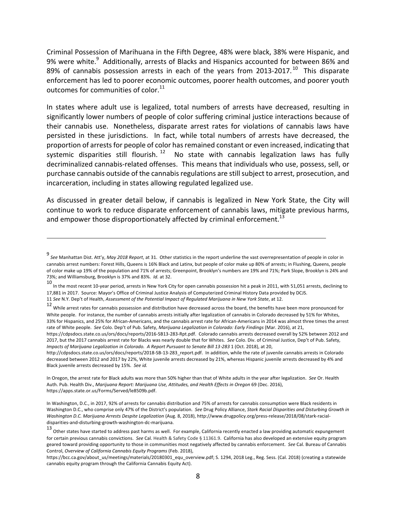Criminal Possession of Marihuana in the Fifth Degree, 48% were black, 38% were Hispanic, and 9% were white.<sup>9</sup> Additionally, arrests of Blacks and Hispanics accounted for between 86% and 89% of cannabis possession arrests in each of the years from 2013-2017.<sup>10</sup> This disparate enforcement has led to poorer economic outcomes, poorer health outcomes, and poorer youth outcomes for communities of color. $^{11}$ 

In states where adult use is legalized, total numbers of arrests have decreased, resulting in significantly lower numbers of people of color suffering criminal justice interactions because of their cannabis use. Nonetheless, disparate arrest rates for violations of cannabis laws have persisted in these jurisdictions. In fact, while total numbers of arrests have decreased, the proportion of arrests for people of color has remained constant or even increased, indicating that systemic disparities still flourish.  $12$  No state with cannabis legalization laws has fully decriminalized cannabis-related offenses. This means that individuals who use, possess, sell, or purchase cannabis outside of the cannabis regulations are still subject to arrest, prosecution, and incarceration, including in states allowing regulated legalized use.

As discussed in greater detail below, if cannabis is legalized in New York State, the City will continue to work to reduce disparate enforcement of cannabis laws, mitigate previous harms, and empower those disproportionately affected by criminal enforcement.<sup>13</sup>

<u> 1989 - Jan Samuel Barbara, martxa a shekara tsa 1989 - An tsa 1989 - An tsa 1989 - An tsa 1989 - An tsa 198</u>

http://cdpsdocs.state.co.us/ors/docs/reports/2018-SB-13-283\_report.pdf. In addition, while the rate of juvenile cannabis arrests in Colorado decreased between 2012 and 2017 by 22%, White juvenile arrests decreased by 21%, whereas Hispanic juvenile arrests decreased by 4% and Black juvenile arrests decreased by 15%. See id.

In Oregon, the arrest rate for Black adults was more than 50% higher than that of White adults in the year after legalization. See Or. Health Auth. Pub. Health Div., *Marijuana Report: Marijuana Use, Attitudes, and Health Effects in Oregon* 69 (Dec. 2016), https://apps.state.or.us/Forms/Served/le8509b.pdf. 

In Washington, D.C., in 2017, 92% of arrests for cannabis distribution and 75% of arrests for cannabis consumption were Black residents in Washington D.C., who comprise only 47% of the District's population. See Drug Policy Alliance, Stark Racial Disparities and Disturbing Growth in *Washington D.C. Marijuana Arrests Despite Legalization* (Aug. 8, 2018), http://www.drugpolicy.org/press-release/2018/08/stark-racialdisparities-and-disturbing-growth-washington-dc-marijuana. 

<sup>9&</sup>lt;br>See Manhattan Dist. Att'y, *May 2018 Report,* at 31. Other statistics in the report underline the vast overrepresentation of people in color in cannabis arrest numbers: Forest Hills, Queens is 16% Black and Latinx, but people of color make up 80% of arrests; in Flushing, Queens, people of color make up 19% of the population and 71% of arrests; Greenpoint, Brooklyn's numbers are 19% and 71%; Park Slope, Brooklyn is 24% and 73%; and Williamsburg, Brooklyn is 37% and 83%. *Id.* at 32.

<sup>10&</sup>lt;br>In the most recent 10-year period, arrests in New York City for open cannabis possession hit a peak in 2011, with 51,051 arrests, declining to 17,881 in 2017. Source: Mayor's Office of Criminal Justice Analysis of Computerized Criminal History Data provided by DCJS.

<sup>11</sup> See N.Y. Dep't of Health, Assessment of the Potential Impact of Regulated Marijuana in New York State, at 12.

<sup>12</sup> While arrest rates for cannabis possession and distribution have decreased across the board, the benefits have been more pronounced for White people. For instance, the number of cannabis arrests initially after legalization of cannabis in Colorado decreased by 51% for Whites, 33% for Hispanics, and 25% for African-Americans, and the cannabis arrest rate for African-Americans in 2014 was almost three times the arrest rate of White people. See Colo. Dep't of Pub. Safety, *Marijuana Legalization in Colorado: Early Findings* (Mar. 2016), at 21,

https://cdpsdocs.state.co.us/ors/docs/reports/2016-SB13-283-Rpt.pdf. Colorado cannabis arrests decreased overall by 52% between 2012 and 2017, but the 2017 cannabis arrest rate for Blacks was nearly double that for Whites. See Colo. Div. of Criminal Justice, Dep't of Pub. Safety, *Impacts of Marijuana Legalization in Colorado. A Report Pursuant to Senate Bill 13-283 1 (Oct. 2018), at 20,* 

<sup>13&</sup>lt;br>Other states have started to address past harms as well. For example, California recently enacted a law providing automatic expungement for certain previous cannabis convictions. See Cal. Health & Safety Code § 11361.9. California has also developed an extensive equity program geared toward providing opportunity to those in communities most negatively affected by cannabis enforcement. See Cal. Bureau of Cannabis Control, Overview of California Cannabis Equity Programs (Feb. 2018),

https://bcc.ca.gov/about\_us/meetings/materials/20180301\_equ\_overview.pdf; S. 1294, 2018 Leg., Reg. Sess. (Cal. 2018) (creating a statewide cannabis equity program through the California Cannabis Equity Act).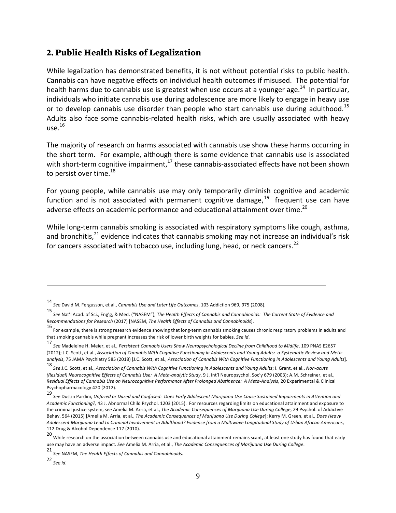### **2. Public Health Risks of Legalization**

While legalization has demonstrated benefits, it is not without potential risks to public health. Cannabis can have negative effects on individual health outcomes if misused. The potential for health harms due to cannabis use is greatest when use occurs at a younger age.<sup>14</sup> In particular, individuals who initiate cannabis use during adolescence are more likely to engage in heavy use or to develop cannabis use disorder than people who start cannabis use during adulthood.<sup>15</sup> Adults also face some cannabis-related health risks, which are usually associated with heavy  $\mathsf{Use}^{\,16}$ 

The majority of research on harms associated with cannabis use show these harms occurring in the short term. For example, although there is some evidence that cannabis use is associated with short-term cognitive impairment, $^{17}$  these cannabis-associated effects have not been shown to persist over time. $^{18}$ 

For young people, while cannabis use may only temporarily diminish cognitive and academic function and is not associated with permanent cognitive damage,  $19$  frequent use can have adverse effects on academic performance and educational attainment over time.<sup>20</sup>

While long-term cannabis smoking is associated with respiratory symptoms like cough, asthma, and bronchitis,  $^{21}$  evidence indicates that cannabis smoking may not increase an individual's risk for cancers associated with tobacco use, including lung, head, or neck cancers.<sup>22</sup>

<sup>14&</sup>lt;br>*See* David M. Fergusson, et al., *Cannabis Use and Later Life Outcomes*, 103 Addiction 969, 975 (2008).

<sup>15</sup> See Nat'l Acad. of Sci., Eng'g, & Med. ("NASEM"), The Health Effects of Cannabis and Cannabinoids: The Current State of Evidence and *Recommendations for Research* (2017) [NASEM, *The Health Effects of Cannabis and Cannabinoids*]. 

<sup>16&</sup>lt;br>For example, there is strong research evidence showing that long-term cannabis smoking causes chronic respiratory problems in adults and that smoking cannabis while pregnant increases the risk of lower birth weights for babies. See *id*.

<sup>17&</sup>lt;br>*See* Madeleine H. Meier, et al., *Persistent Cannabis Users Show Neuropsychological Decline from Childhood to Midlife, 109 PNAS E2657* (2012); J.C. Scott, et al., Association of Cannabis With Cognitive Functioning in Adolescents and Young Adults: a Systematic Review and Metaanalysis, 75 JAMA Psychiatry 585 (2018) [J.C. Scott, et al., *Association of Cannabis With Cognitive Functioning in Adolescents and Young Adults*].

<sup>18&</sup>lt;br>See J.C. Scott, et al., *Association of Cannabis With Cognitive Functioning in Adolescents and Young Adults;* I. Grant, et al., *Non-acute (Residual)* Neurocognitive Effects of Cannabis Use: A Meta-analytic Study, 9 J. Int'l Neuropsychol. Soc'y 679 (2003); A.M. Schreiner, et al., Residual Effects of Cannabis Use on Neurocognitive Performance After Prolonged Abstinence: A Meta-Analysis, 20 Experimental & Clinical Psychopharmacology 420 (2012).

<sup>19&</sup>lt;br>See Dustin Pardini, Unfazed or Dazed and Confused: Does Early Adolescent Marijuana Use Cause Sustained Impairments in Attention and Academic Functioning?, 43 J. Abnormal Child Psychol. 1203 (2015). For resources regarding limits on educational attainment and exposure to the criminal justice system, see Amelia M. Arria, et al., The Academic Consequences of Marijuana Use During College, 29 Psychol. of Addictive Behav. 564 (2015) [Amelia M. Arria, et al., The Academic Consequences of Marijuana Use During College]; Kerry M. Green, et al., Does Heavy Adolescent Marijuana Lead to Criminal Involvement in Adulthood? Evidence from a Multiwave Longitudinal Study of Urban African Americans, 112 Drug & Alcohol Dependence 117 (2010).

<sup>20&</sup>lt;br>While research on the association between cannabis use and educational attainment remains scant, at least one study has found that early use may have an adverse impact. See Amelia M. Arria, et al., The Academic Consequences of Marijuana Use During College.

<sup>21</sup> *See* NASEM, *The Health Effects of Cannabis and Cannabinoids.* 

<sup>22</sup> *See id.*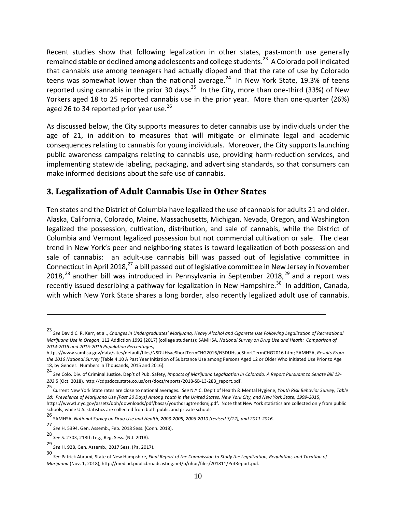Recent studies show that following legalization in other states, past-month use generally remained stable or declined among adolescents and college students.<sup>23</sup> A Colorado poll indicated that cannabis use among teenagers had actually dipped and that the rate of use by Colorado teens was somewhat lower than the national average.<sup>24</sup> In New York State, 19.3% of teens reported using cannabis in the prior 30 days.<sup>25</sup> In the City, more than one-third (33%) of New Yorkers aged 18 to 25 reported cannabis use in the prior year. More than one-quarter (26%) aged 26 to 34 reported prior year use.<sup>26</sup>

As discussed below, the City supports measures to deter cannabis use by individuals under the age of 21, in addition to measures that will mitigate or eliminate legal and academic consequences relating to cannabis for young individuals. Moreover, the City supports launching public awareness campaigns relating to cannabis use, providing harm-reduction services, and implementing statewide labeling, packaging, and advertising standards, so that consumers can make informed decisions about the safe use of cannabis.

### **3. Legalization of Adult Cannabis Use in Other States**

Ten states and the District of Columbia have legalized the use of cannabis for adults 21 and older. Alaska, California, Colorado, Maine, Massachusetts, Michigan, Nevada, Oregon, and Washington legalized the possession, cultivation, distribution, and sale of cannabis, while the District of Columbia and Vermont legalized possession but not commercial cultivation or sale. The clear trend in New York's peer and neighboring states is toward legalization of both possession and sale of cannabis: an adult-use cannabis bill was passed out of legislative committee in Connecticut in April 2018, $^{27}$  a bill passed out of legislative committee in New Jersey in November 2018, $^{28}$  another bill was introduced in Pennsylvania in September 2018, $^{29}$  and a report was recently issued describing a pathway for legalization in New Hampshire.<sup>30</sup> In addition, Canada, with which New York State shares a long border, also recently legalized adult use of cannabis.

<sup>23&</sup>lt;br>See David C. R. Kerr, et al., *Changes in Undergraduates' Marijuana, Heavy Alcohol and Cigarette Use Following Legalization of Recreational Marijuana Use in Oregon, 112 Addiction 1992 (2017) (college students);* SAMHSA, *National Survey on Drug Use and Heath: Comparison of 2014-2015 and 2015-2016 Population Percentages*, 

https://www.samhsa.gov/data/sites/default/files/NSDUHsaeShortTermCHG2016/NSDUHsaeShortTermCHG2016.htm; SAMHSA, Results From the 2016 National Survey (Table 4.10 A Past Year Initiation of Substance Use among Persons Aged 12 or Older Who Initiated Use Prior to Age 18, by Gender: Numbers in Thousands, 2015 and 2016).

<sup>24</sup> See Colo. Div. of Criminal Justice, Dep't of Pub. Safety, *Impacts of Marijuana Legalization in Colorado. A Report Pursuant to Senate Bill 13-*283 5 (Oct. 2018), http://cdpsdocs.state.co.us/ors/docs/reports/2018-SB-13-283\_report.pdf.

<sup>25&</sup>lt;br>Current New York State rates are close to national averages. See N.Y.C. Dep't of Health & Mental Hygiene, *Youth Risk Behavior Survey, Table 1d: Prevalence of Marijuana Use (Past 30 Days) Among Youth in the United States, New York City, and New York State, 1999-2015*, https://www1.nyc.gov/assets/doh/downloads/pdf/basas/youthdrugtrendsmj.pdf. Note that New York statistics are collected only from public schools, while U.S. statistics are collected from both public and private schools.

<sup>26&</sup>lt;br>SAMHSA, National Survey on Drug Use and Health, 2003-2005, 2006-2010 (revised 3/12), and 2011-2016.

<sup>27&</sup>lt;br>*See* H. 5394, Gen. Assemb., Feb. 2018 Sess. (Conn. 2018).

<sup>28&</sup>lt;br>*See* S. 2703, 218th Leg., Reg. Sess. (N.J. 2018).

<sup>29&</sup>lt;br>*See* H. 928, Gen. Assemb., 2017 Sess. (Pa. 2017).

<sup>30&</sup>lt;br>See Patrick Abrami, State of New Hampshire, *Final Report of the Commission to Study the Legalization, Regulation, and Taxation of Marijuana* (Nov. 1, 2018), http://mediad.publicbroadcasting.net/p/nhpr/files/201811/PotReport.pdf.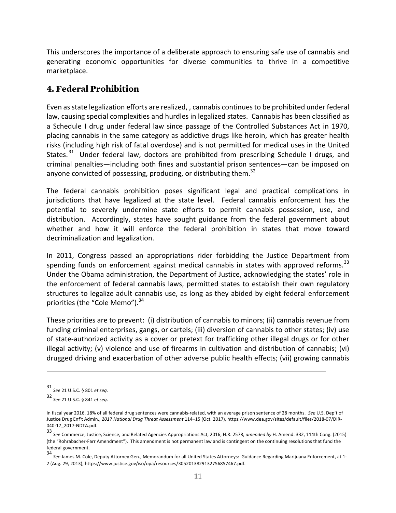This underscores the importance of a deliberate approach to ensuring safe use of cannabis and generating economic opportunities for diverse communities to thrive in a competitive marketplace. 

# **4. Federal Prohibition**

Even as state legalization efforts are realized, , cannabis continues to be prohibited under federal law, causing special complexities and hurdles in legalized states. Cannabis has been classified as a Schedule I drug under federal law since passage of the Controlled Substances Act in 1970, placing cannabis in the same category as addictive drugs like heroin, which has greater health risks (including high risk of fatal overdose) and is not permitted for medical uses in the United States.<sup>31</sup> Under federal law, doctors are prohibited from prescribing Schedule I drugs, and criminal penalties—including both fines and substantial prison sentences—can be imposed on anyone convicted of possessing, producing, or distributing them.<sup>32</sup>

The federal cannabis prohibition poses significant legal and practical complications in jurisdictions that have legalized at the state level. Federal cannabis enforcement has the potential to severely undermine state efforts to permit cannabis possession, use, and distribution. Accordingly, states have sought guidance from the federal government about whether and how it will enforce the federal prohibition in states that move toward decriminalization and legalization.

In 2011, Congress passed an appropriations rider forbidding the Justice Department from spending funds on enforcement against medical cannabis in states with approved reforms.<sup>33</sup> Under the Obama administration, the Department of Justice, acknowledging the states' role in the enforcement of federal cannabis laws, permitted states to establish their own regulatory structures to legalize adult cannabis use, as long as they abided by eight federal enforcement priorities (the "Cole Memo"). $34$ 

These priorities are to prevent: (i) distribution of cannabis to minors; (ii) cannabis revenue from funding criminal enterprises, gangs, or cartels; (iii) diversion of cannabis to other states; (iv) use of state-authorized activity as a cover or pretext for trafficking other illegal drugs or for other illegal activity; (v) violence and use of firearms in cultivation and distribution of cannabis; (vi) drugged driving and exacerbation of other adverse public health effects; (vii) growing cannabis

<sup>31</sup> *See* 21 U.S.C. § 801 *et seq.* 

<sup>32</sup> *See* 21 U.S.C. § 841 *et seq*. 

In fiscal year 2016, 18% of all federal drug sentences were cannabis-related, with an average prison sentence of 28 months. See U.S. Dep't of Justice Drug Enf't Admin., 2017 National Drug Threat Assessment 114-15 (Oct. 2017), https://www.dea.gov/sites/default/files/2018-07/DIR-040-17\_2017-NDTA.pdf. 

<sup>33&</sup>lt;br>See Commerce, Justice, Science, and Related Agencies Appropriations Act, 2016, H.R. 2578, *amended by* H. Amend. 332, 114th Cong. (2015) (the "Rohrabacher-Farr Amendment"). This amendment is not permanent law and is contingent on the continuing resolutions that fund the federal government. 

<sup>34&</sup>lt;br>See James M. Cole, Deputy Attorney Gen., Memorandum for all United States Attorneys: Guidance Regarding Marijuana Enforcement, at 1-2 (Aug. 29, 2013), https://www.justice.gov/iso/opa/resources/3052013829132756857467.pdf.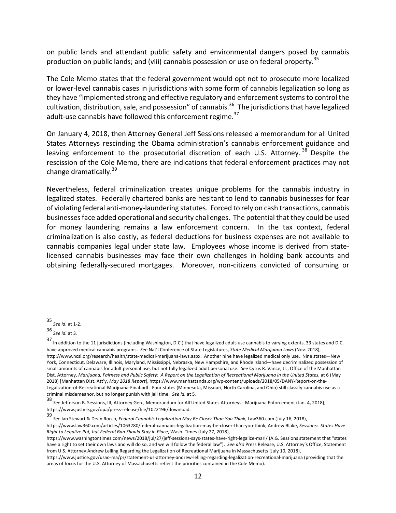on public lands and attendant public safety and environmental dangers posed by cannabis production on public lands; and (viii) cannabis possession or use on federal property.<sup>35</sup>

The Cole Memo states that the federal government would opt not to prosecute more localized or lower-level cannabis cases in jurisdictions with some form of cannabis legalization so long as they have "implemented strong and effective regulatory and enforcement systems to control the cultivation, distribution, sale, and possession" of cannabis.<sup>36</sup> The jurisdictions that have legalized adult-use cannabis have followed this enforcement regime.<sup>37</sup>

On January 4, 2018, then Attorney General Jeff Sessions released a memorandum for all United States Attorneys rescinding the Obama administration's cannabis enforcement guidance and leaving enforcement to the prosecutorial discretion of each U.S. Attorney.<sup>38</sup> Despite the rescission of the Cole Memo, there are indications that federal enforcement practices may not change dramatically. $39$ 

Nevertheless, federal criminalization creates unique problems for the cannabis industry in legalized states. Federally chartered banks are hesitant to lend to cannabis businesses for fear of violating federal anti-money-laundering statutes. Forced to rely on cash transactions, cannabis businesses face added operational and security challenges. The potential that they could be used for money laundering remains a law enforcement concern. In the tax context, federal criminalization is also costly, as federal deductions for business expenses are not available to cannabis companies legal under state law. Employees whose income is derived from statelicensed cannabis businesses may face their own challenges in holding bank accounts and obtaining federally-secured mortgages. Moreover, non-citizens convicted of consuming or

<sup>35</sup> *See id.* at 1-2. 

<sup>36</sup> *See id.* at 3*.* 

<sup>37&</sup>lt;br>In addition to the 11 jurisdictions (including Washington, D.C.) that have legalized adult-use cannabis to varying extents, 33 states and D.C. have approved medical cannabis programs. See Nat'l Conference of State Legislatures, *State Medical Marijuana Laws* (Nov. 2018), http://www.ncsl.org/research/health/state-medical-marijuana-laws.aspx. Another nine have legalized medical only use. Nine states—New York, Connecticut, Delaware, Illinois, Maryland, Mississippi, Nebraska, New Hampshire, and Rhode Island—have decriminalized possession of small amounts of cannabis for adult personal use, but not fully legalized adult personal use. See Cyrus R. Vance, Jr., Office of the Manhattan Dist. Attorney, Marijuana, Fairness and Public Safety: A Report on the Legalization of Recreational Marijuana in the United States, at 6 (May 2018) [Manhattan Dist. Att'y, May 2018 Report], https://www.manhattanda.org/wp-content/uploads/2018/05/DANY-Report-on-the-Legalization-of-Recreational-Marijuana-Final.pdf. Four states (Minnesota, Missouri, North Carolina, and Ohio) still classify cannabis use as a criminal misdemeanor, but no longer punish with jail time. See id. at 5.

<sup>38&</sup>lt;br>See Jefferson B. Sessions, III, Attorney Gen., Memorandum for All United States Attorneys: Marijuana Enforcement (Jan. 4, 2018), https://www.justice.gov/opa/press-release/file/1022196/download. 

<sup>39&</sup>lt;br>See Ian Stewart & Dean Rocco, *Federal Cannabis Legalization May Be Closer Than You Think,* Law360.com (July 16, 2018),

https://www.law360.com/articles/1063280/federal-cannabis-legalization-may-be-closer-than-you-think; Andrew Blake, Sessions: States Have *Right to Legalize Pot, but Federal Ban Should Stay in Place, Wash. Times (July 27, 2018),* 

https://www.washingtontimes.com/news/2018/jul/27/jeff-sessions-says-states-have-right-legalize-mari/ (A.G. Sessions statement that "states have a right to set their own laws and will do so, and we will follow the federal law"). See also Press Release, U.S. Attorney's Office, Statement from U.S. Attorney Andrew Lelling Regarding the Legalization of Recreational Marijuana in Massachusetts (July 10, 2018),

https://www.justice.gov/usao-ma/pr/statement-us-attorney-andrew-lelling-regarding-legalization-recreational-marijuana (providing that the areas of focus for the U.S. Attorney of Massachusetts reflect the priorities contained in the Cole Memo).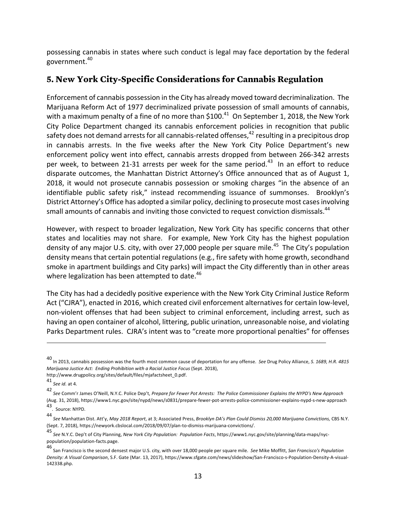possessing cannabis in states where such conduct is legal may face deportation by the federal government. 40 

# **5. New York City-Specific Considerations for Cannabis Regulation**

Enforcement of cannabis possession in the City has already moved toward decriminalization. The Marijuana Reform Act of 1977 decriminalized private possession of small amounts of cannabis, with a maximum penalty of a fine of no more than  $$100.<sup>41</sup>$  On September 1, 2018, the New York City Police Department changed its cannabis enforcement policies in recognition that public safety does not demand arrests for all cannabis-related offenses,  $42$  resulting in a precipitous drop in cannabis arrests. In the five weeks after the New York City Police Department's new enforcement policy went into effect, cannabis arrests dropped from between 266-342 arrests per week, to between 21-31 arrests per week for the same period.<sup>43</sup> In an effort to reduce disparate outcomes, the Manhattan District Attorney's Office announced that as of August 1, 2018, it would not prosecute cannabis possession or smoking charges "in the absence of an identifiable public safety risk," instead recommending issuance of summonses. Brooklyn's District Attorney's Office has adopted a similar policy, declining to prosecute most cases involving small amounts of cannabis and inviting those convicted to request conviction dismissals.<sup>44</sup>

However, with respect to broader legalization, New York City has specific concerns that other states and localities may not share. For example, New York City has the highest population density of any major U.S. city, with over 27,000 people per square mile.<sup>45</sup> The City's population density means that certain potential regulations (e.g., fire safety with home growth, secondhand smoke in apartment buildings and City parks) will impact the City differently than in other areas where legalization has been attempted to date. $46$ 

The City has had a decidedly positive experience with the New York City Criminal Justice Reform Act ("CJRA"), enacted in 2016, which created civil enforcement alternatives for certain low-level, non-violent offenses that had been subject to criminal enforcement, including arrest, such as having an open container of alcohol, littering, public urination, unreasonable noise, and violating Parks Department rules. CJRA's intent was to "create more proportional penalties" for offenses

<sup>40&</sup>lt;br>In 2013, cannabis possession was the fourth most common cause of deportation for any offense. *See* Drug Policy Alliance, *S. 1689, H.R. 4815 Marijuana Justice Act: Ending Prohibition with a Racial Justice Focus* (Sept. 2018),

http://www.drugpolicy.org/sites/default/files/mjafactsheet\_0.pdf. 

<sup>41</sup> *See id.* at 4. 

<sup>42&</sup>lt;br>See Comm'r James O'Neill, N.Y.C. Police Dep't, *Prepare for Fewer Pot Arrests: The Police Commissioner Explains the NYPD's New Approach* (Aug. 31, 2018), https://www1.nyc.gov/site/nypd/news/s0831/prepare-fewer-pot-arrests-police-commissioner-explains-nypd-s-new-approach 43. Source: NYPD.

<sup>44</sup> *See* Manhattan Dist. Att'y, *May 2018 Report*, at 3; Associated Press, *Brooklyn DA's Plan Could Dismiss 20,000 Marijuana Convictions,* CBS N.Y. (Sept. 7, 2018), https://newyork.cbslocal.com/2018/09/07/plan-to-dismiss-marijuana-convictions/.

<sup>45&</sup>lt;br>See N.Y.C. Dep't of City Planning*, New York City Population: Population Facts,* https://www1.nyc.gov/site/planning/data-maps/nycpopulation/population-facts.page. 

<sup>46</sup> San Francisco is the second densest major U.S. city, with over 18,000 people per square mile. See Mike Moffitt, San Francisco's Population Density: A Visual Comparison, S.F. Gate (Mar. 13, 2017), https://www.sfgate.com/news/slideshow/San-Francisco-s-Population-Density-A-visual-142338.php.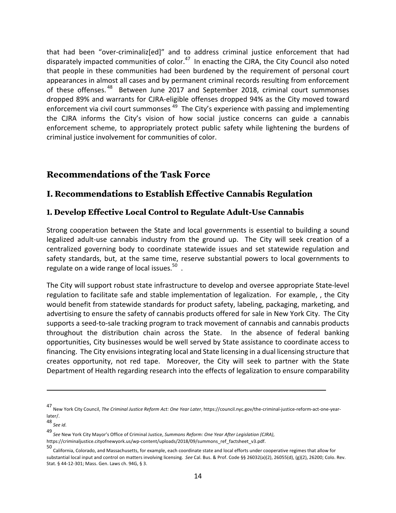that had been "over-criminaliz[ed]" and to address criminal justice enforcement that had disparately impacted communities of color.<sup>47</sup> In enacting the CJRA, the City Council also noted that people in these communities had been burdened by the requirement of personal court appearances in almost all cases and by permanent criminal records resulting from enforcement of these offenses.<sup>48</sup> Between June 2017 and September 2018, criminal court summonses dropped 89% and warrants for CJRA-eligible offenses dropped 94% as the City moved toward enforcement via civil court summonses  $49$  The City's experience with passing and implementing the CJRA informs the City's vision of how social justice concerns can guide a cannabis enforcement scheme, to appropriately protect public safety while lightening the burdens of criminal justice involvement for communities of color.

# **Recommendations of the Task Force**

### **I. Recommendations to Establish Effective Cannabis Regulation**

#### **1. Develop Effective Local Control to Regulate Adult-Use Cannabis**

Strong cooperation between the State and local governments is essential to building a sound legalized adult-use cannabis industry from the ground up. The City will seek creation of a centralized governing body to coordinate statewide issues and set statewide regulation and safety standards, but, at the same time, reserve substantial powers to local governments to regulate on a wide range of local issues. $^{50}$  .

The City will support robust state infrastructure to develop and oversee appropriate State-level regulation to facilitate safe and stable implementation of legalization. For example, , the City would benefit from statewide standards for product safety, labeling, packaging, marketing, and advertising to ensure the safety of cannabis products offered for sale in New York City. The City supports a seed-to-sale tracking program to track movement of cannabis and cannabis products throughout the distribution chain across the State. In the absence of federal banking opportunities, City businesses would be well served by State assistance to coordinate access to financing. The City envisions integrating local and State licensing in a dual licensing structure that creates opportunity, not red tape. Moreover, the City will seek to partner with the State Department of Health regarding research into the effects of legalization to ensure comparability

<sup>47</sup> New York City Council, *The Criminal Justice Reform Act: One Year Later*, https://council.nyc.gov/the-criminal-justice-reform-act-one-yearlater/. 

<sup>48&</sup>lt;br>*See id.* 

<sup>49&</sup>lt;br>*See* New York City Mayor's Office of Criminal Justice, *Summons Reform: One Year After Legislation (CJRA),* 

https://criminaljustice.cityofnewyork.us/wp-content/uploads/2018/09/summons\_ref\_factsheet\_v3.pdf.

<sup>50&</sup>lt;br>California, Colorado, and Massachusetts, for example, each coordinate state and local efforts under cooperative regimes that allow for substantial local input and control on matters involving licensing. See Cal. Bus. & Prof. Code §§ 26032(a)(2), 26055(d), (g)(2), 26200; Colo. Rev. Stat. § 44-12-301; Mass. Gen. Laws ch. 94G, § 3.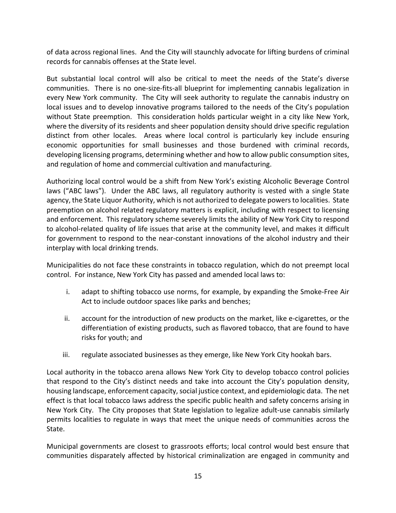of data across regional lines. And the City will staunchly advocate for lifting burdens of criminal records for cannabis offenses at the State level.

But substantial local control will also be critical to meet the needs of the State's diverse communities. There is no one-size-fits-all blueprint for implementing cannabis legalization in every New York community. The City will seek authority to regulate the cannabis industry on local issues and to develop innovative programs tailored to the needs of the City's population without State preemption. This consideration holds particular weight in a city like New York, where the diversity of its residents and sheer population density should drive specific regulation distinct from other locales. Areas where local control is particularly key include ensuring economic opportunities for small businesses and those burdened with criminal records, developing licensing programs, determining whether and how to allow public consumption sites, and regulation of home and commercial cultivation and manufacturing.

Authorizing local control would be a shift from New York's existing Alcoholic Beverage Control laws ("ABC laws"). Under the ABC laws, all regulatory authority is vested with a single State agency, the State Liquor Authority, which is not authorized to delegate powers to localities. State preemption on alcohol related regulatory matters is explicit, including with respect to licensing and enforcement. This regulatory scheme severely limits the ability of New York City to respond to alcohol-related quality of life issues that arise at the community level, and makes it difficult for government to respond to the near-constant innovations of the alcohol industry and their interplay with local drinking trends.

Municipalities do not face these constraints in tobacco regulation, which do not preempt local control. For instance, New York City has passed and amended local laws to:

- i. adapt to shifting tobacco use norms, for example, by expanding the Smoke-Free Air Act to include outdoor spaces like parks and benches;
- $ii.$  account for the introduction of new products on the market, like e-cigarettes, or the differentiation of existing products, such as flavored tobacco, that are found to have risks for youth; and
- iii. regulate associated businesses as they emerge, like New York City hookah bars.

Local authority in the tobacco arena allows New York City to develop tobacco control policies that respond to the City's distinct needs and take into account the City's population density, housing landscape, enforcement capacity, social justice context, and epidemiologic data. The net effect is that local tobacco laws address the specific public health and safety concerns arising in New York City. The City proposes that State legislation to legalize adult-use cannabis similarly permits localities to regulate in ways that meet the unique needs of communities across the State. 

Municipal governments are closest to grassroots efforts; local control would best ensure that communities disparately affected by historical criminalization are engaged in community and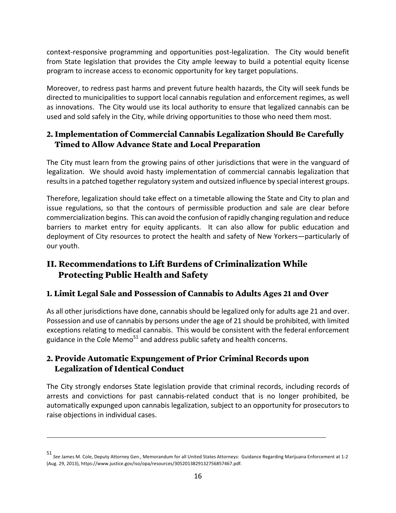context-responsive programming and opportunities post-legalization. The City would benefit from State legislation that provides the City ample leeway to build a potential equity license program to increase access to economic opportunity for key target populations.

Moreover, to redress past harms and prevent future health hazards, the City will seek funds be directed to municipalities to support local cannabis regulation and enforcement regimes, as well as innovations. The City would use its local authority to ensure that legalized cannabis can be used and sold safely in the City, while driving opportunities to those who need them most.

### **2. Implementation of Commercial Cannabis Legalization Should Be Carefully Timed to Allow Advance State and Local Preparation**

The City must learn from the growing pains of other jurisdictions that were in the vanguard of legalization. We should avoid hasty implementation of commercial cannabis legalization that results in a patched together regulatory system and outsized influence by special interest groups.

Therefore, legalization should take effect on a timetable allowing the State and City to plan and issue regulations, so that the contours of permissible production and sale are clear before commercialization begins. This can avoid the confusion of rapidly changing regulation and reduce barriers to market entry for equity applicants. It can also allow for public education and deployment of City resources to protect the health and safety of New Yorkers—particularly of our youth.

# **II. Recommendations to Lift Burdens of Criminalization While Protecting Public Health and Safety**

### **1. Limit Legal Sale and Possession of Cannabis to Adults Ages 21 and Over**

As all other jurisdictions have done, cannabis should be legalized only for adults age 21 and over. Possession and use of cannabis by persons under the age of 21 should be prohibited, with limited exceptions relating to medical cannabis. This would be consistent with the federal enforcement guidance in the Cole Memo<sup>51</sup> and address public safety and health concerns.

## **2. Provide Automatic Expungement of Prior Criminal Records upon Legalization of Identical Conduct**

The City strongly endorses State legislation provide that criminal records, including records of arrests and convictions for past cannabis-related conduct that is no longer prohibited, be automatically expunged upon cannabis legalization, subject to an opportunity for prosecutors to raise objections in individual cases.

<u> 1989 - Andrea San Andrew Maria (h. 1989).</u><br>1900 - Andrew Maria (h. 1980).

<sup>51&</sup>lt;br>See James M. Cole, Deputy Attorney Gen., Memorandum for all United States Attorneys: Guidance Regarding Marijuana Enforcement at 1-2 (Aug. 29, 2013), https://www.justice.gov/iso/opa/resources/3052013829132756857467.pdf.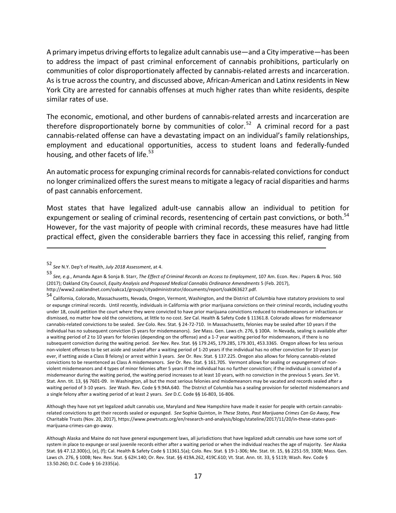A primary impetus driving efforts to legalize adult cannabis use—and a City imperative—has been to address the impact of past criminal enforcement of cannabis prohibitions, particularly on communities of color disproportionately affected by cannabis-related arrests and incarceration. As is true across the country, and discussed above, African-American and Latinx residents in New York City are arrested for cannabis offenses at much higher rates than white residents, despite similar rates of use.

The economic, emotional, and other burdens of cannabis-related arrests and incarceration are therefore disproportionately borne by communities of color.<sup>52</sup> A criminal record for a past cannabis-related offense can have a devastating impact on an individual's family relationships, employment and educational opportunities, access to student loans and federally-funded housing, and other facets of life.<sup>53</sup>

An automatic process for expunging criminal records for cannabis-related convictions for conduct no longer criminalized offers the surest means to mitigate a legacy of racial disparities and harms of past cannabis enforcement.

Most states that have legalized adult-use cannabis allow an individual to petition for expungement or sealing of criminal records, resentencing of certain past convictions, or both.<sup>54</sup> However, for the vast majority of people with criminal records, these measures have had little practical effect, given the considerable barriers they face in accessing this relief, ranging from

<u> 1989 - Jan Samuel Barbara, martxa a shekara tsa 1989 - An tsa 1989 - An tsa 1989 - An tsa 1989 - An tsa 198</u>

Although they have not yet legalized adult cannabis use, Maryland and New Hampshire have made it easier for people with certain cannabisrelated convictions to get their records sealed or expunged. See Sophie Quinton, In These States, Past Marijuana Crimes Can Go Away, Pew Charitable Trusts (Nov. 20, 2017), https://www.pewtrusts.org/en/research-and-analysis/blogs/stateline/2017/11/20/in-these-states-pastmarijuana-crimes-can-go-away. 

<sup>52</sup> *See* N.Y. Dep't of Health, *July 2018 Assessment*, at 4. 

<sup>53&</sup>lt;br>See, e.g., Amanda Agan & Sonja B. Starr, *The Effect of Criminal Records on Access to Employment,* 107 Am. Econ. Rev.: Papers & Proc. 560 (2017); Oakland City Council, *Equity Analysis and Proposed Medical Cannabis Ordinance Amendments* 5 (Feb. 2017), http://www2.oaklandnet.com/oakca1/groups/cityadministrator/documents/report/oak063627.pdf. 

<sup>54&</sup>lt;br>California, Colorado, Massachusetts, Nevada, Oregon, Vermont, Washington, and the District of Columbia have statutory provisions to seal or expunge criminal records. Until recently, individuals in California with prior marijuana convictions on their criminal records, including youths under 18, could petition the court where they were convicted to have prior marijuana convictions reduced to misdemeanors or infractions or dismissed, no matter how old the convictions, at little to no cost. See Cal. Health & Safety Code § 11361.8. Colorado allows for misdemeanor cannabis-related convictions to be sealed. See Colo. Rev. Stat. § 24-72-710. In Massachusetts, felonies may be sealed after 10 years if the individual has no subsequent conviction (5 years for misdemeanors). See Mass. Gen. Laws ch. 276, § 100A. In Nevada, sealing is available after a waiting period of 2 to 10 years for felonies (depending on the offense) and a 1-7 year waiting period for misdemeanors, if there is no subsequent conviction during the waiting period. See Nev. Rev. Stat. §§ 179.245, 179.285, 179.301, 453.3365. Oregon allows for less serious non-violent offenses to be set aside and sealed after a waiting period of 1-20 years if the individual has no other conviction for 10 years (or ever, if setting aside a Class B felony) or arrest within 3 years. See Or. Rev. Stat. § 137.225. Oregon also allows for felony cannabis-related convictions to be resentenced as Class A misdemeanors. See Or. Rev. Stat. § 161.705. Vermont allows for sealing or expungement of nonviolent misdemeanors and 4 types of minor felonies after 5 years if the individual has no further conviction; if the individual is convicted of a misdemeanor during the waiting period, the waiting period increases to at least 10 years, with no conviction in the previous 5 years. See Vt. Stat. Ann. tit. 13, §§ 7601-09. In Washington, all but the most serious felonies and misdemeanors may be vacated and records sealed after a waiting period of 3-10 years. See Wash. Rev. Code § 9.94A.640. The District of Columbia has a sealing provision for selected misdemeanors and a single felony after a waiting period of at least 2 years. See D.C. Code §§ 16-803, 16-806.

Although Alaska and Maine do not have general expungement laws, all jurisdictions that have legalized adult cannabis use have some sort of system in place to expunge or seal juvenile records either after a waiting period or when the individual reaches the age of majority. See Alaska Stat. §§ 47.12.300(c), (e), (f); Cal. Health & Safety Code § 11361.5(a); Colo. Rev. Stat. § 19-1-306; Me. Stat. tit. 15, §§ 2251-59, 3308; Mass. Gen. Laws ch. 276, § 100B; Nev. Rev. Stat. § 62H.140; Or. Rev. Stat. §§ 419A.262, 419C.610; Vt. Stat. Ann. tit. 33, § 5119; Wash. Rev. Code § 13.50.260; D.C. Code § 16-2335(a).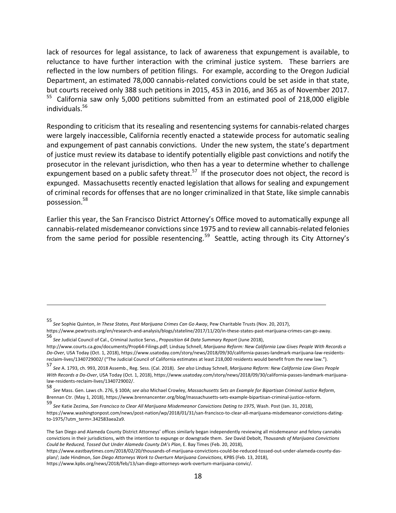lack of resources for legal assistance, to lack of awareness that expungement is available, to reluctance to have further interaction with the criminal justice system. These barriers are reflected in the low numbers of petition filings. For example, according to the Oregon Judicial Department, an estimated 78,000 cannabis-related convictions could be set aside in that state, but courts received only 388 such petitions in 2015, 453 in 2016, and 365 as of November 2017. <sup>55</sup> California saw only 5,000 petitions submitted from an estimated pool of 218,000 eligible individuals.56 

Responding to criticism that its resealing and resentencing systems for cannabis-related charges were largely inaccessible, California recently enacted a statewide process for automatic sealing and expungement of past cannabis convictions. Under the new system, the state's department of justice must review its database to identify potentially eligible past convictions and notify the prosecutor in the relevant jurisdiction, who then has a year to determine whether to challenge expungement based on a public safety threat.<sup>57</sup> If the prosecutor does not object, the record is expunged. Massachusetts recently enacted legislation that allows for sealing and expungement of criminal records for offenses that are no longer criminalized in that State, like simple cannabis possession.58

Earlier this year, the San Francisco District Attorney's Office moved to automatically expunge all cannabis-related misdemeanor convictions since 1975 and to review all cannabis-related felonies from the same period for possible resentencing.<sup>59</sup> Seattle, acting through its City Attorney's

<sup>55&</sup>lt;br>See Sophie Quinton, *In These States, Past Marijuana Crimes Can Go Away,* Pew Charitable Trusts (Nov. 20, 2017),

https://www.pewtrusts.org/en/research-and-analysis/blogs/stateline/2017/11/20/in-these-states-past-marijuana-crimes-can-go-away. 

<sup>56&</sup>lt;br>See Judicial Council of Cal., Criminal Justice Servs., *Proposition 64 Data Summary Report* (June 2018),

http://www.courts.ca.gov/documents/Prop64-Filings.pdf; Lindsay Schnell, *Marijuana Reform: New California Law Gives People With Records a* Do-Over, USA Today (Oct. 1, 2018), https://www.usatoday.com/story/news/2018/09/30/california-passes-landmark-marijuana-law-residentsreclaim-lives/1340729002/ ("The Judicial Council of California estimates at least 218,000 residents would benefit from the new law.").

<sup>57&</sup>lt;br>See A. 1793, ch. 993, 2018 Assemb., Reg. Sess. (Cal. 2018). *See also* Lindsay Schnell, *Marijuana Reform: New California Law Gives People* With Records a Do-Over, USA Today (Oct. 1, 2018), https://www.usatoday.com/story/news/2018/09/30/california-passes-landmark-marijuanalaw-residents-reclaim-lives/1340729002/.

<sup>58&</sup>lt;br>See Mass. Gen. Laws ch. 276, § 100A; *see also* Michael Crowley, *Massachusetts Sets an Example for Bipartisan Criminal Justice Reform,* Brennan Ctr. (May 1, 2018), https://www.brennancenter.org/blog/massachusetts-sets-example-bipartisan-criminal-justice-reform.

<sup>59&</sup>lt;br>See Katie Zezima, *San Francisco to Clear All Marijuana Misdemeanor Convictions Dating to 1975, Wash. Post (Jan. 31, 2018),* https://www.washingtonpost.com/news/post-nation/wp/2018/01/31/san-francisco-to-clear-all-marijuana-misdemeanor-convictions-datingto-1975/?utm\_term=.342583aea2a9. 

The San Diego and Alameda County District Attorneys' offices similarly began independently reviewing all misdemeanor and felony cannabis convictions in their jurisdictions, with the intention to expunge or downgrade them. See David Debolt, Thousands of Marijuana Convictions Could be Reduced, Tossed Out Under Alameda County DA's Plan, E. Bay Times (Feb. 20, 2018),

https://www.eastbaytimes.com/2018/02/20/thousands-of-marijuana-convictions-could-be-reduced-tossed-out-under-alameda-county-dasplan/; Jade Hindmon, *San Diego Attorneys Work to Overturn Marijuana Convictions*, KPBS (Feb. 13, 2018), https://www.kpbs.org/news/2018/feb/13/san-diego-attorneys-work-overturn-marijuana-convic/.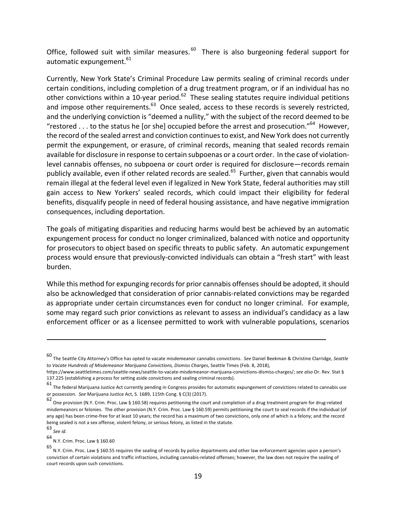Office, followed suit with similar measures.<sup>60</sup> There is also burgeoning federal support for automatic expungement.<sup>61</sup>

Currently, New York State's Criminal Procedure Law permits sealing of criminal records under certain conditions, including completion of a drug treatment program, or if an individual has no other convictions within a 10-year period.<sup>62</sup> These sealing statutes require individual petitions and impose other requirements. $^{63}$  Once sealed, access to these records is severely restricted, and the underlying conviction is "deemed a nullity," with the subject of the record deemed to be "restored . . . to the status he [or she] occupied before the arrest and prosecution."<sup>64</sup> However, the record of the sealed arrest and conviction continues to exist, and New York does not currently permit the expungement, or erasure, of criminal records, meaning that sealed records remain available for disclosure in response to certain subpoenas or a court order. In the case of violationlevel cannabis offenses, no subpoena or court order is required for disclosure—records remain publicly available, even if other related records are sealed.<sup>65</sup> Further, given that cannabis would remain illegal at the federal level even if legalized in New York State, federal authorities may still gain access to New Yorkers' sealed records, which could impact their eligibility for federal benefits, disqualify people in need of federal housing assistance, and have negative immigration consequences, including deportation.

The goals of mitigating disparities and reducing harms would best be achieved by an automatic expungement process for conduct no longer criminalized, balanced with notice and opportunity for prosecutors to object based on specific threats to public safety. An automatic expungement process would ensure that previously-convicted individuals can obtain a "fresh start" with least burden. 

While this method for expunging records for prior cannabis offenses should be adopted, it should also be acknowledged that consideration of prior cannabis-related convictions may be regarded as appropriate under certain circumstances even for conduct no longer criminal. For example, some may regard such prior convictions as relevant to assess an individual's candidacy as a law enforcement officer or as a licensee permitted to work with vulnerable populations, scenarios

<u> 1989 - Jan Samuel Barbara, martxa a shekara tsa 1989 - An tsa 1989 - An tsa 1989 - An tsa 1989 - An tsa 198</u>

63 <sub>See id.</sub>

<sup>60&</sup>lt;br>The Seattle City Attorney's Office has opted to vacate misdemeanor cannabis convictions. See Daniel Beekman & Christine Clarridge, Seattle to Vacate Hundreds of Misdemeanor Marijuana Convictions, Dismiss Charges, Seattle Times (Feb. 8, 2018),

https://www.seattletimes.com/seattle-news/seattle-to-vacate-misdemeanor-marijuana-convictions-dismiss-charges/; see also Or. Rev. Stat § 137.225 (establishing a process for setting aside convictions and sealing criminal records).

<sup>61</sup> The federal Marijuana Justice Act currently pending in Congress provides for automatic expungement of convictions related to cannabis use or possession. See Marijuana Justice Act, S. 1689, 115th Cong. § C(3) (2017).

<sup>62</sup> One provision (N.Y. Crim. Proc. Law § 160.58) requires petitioning the court and completion of a drug treatment program for drug-related misdemeanors or felonies. The other provision (N.Y. Crim. Proc. Law § 160.59) permits petitioning the court to seal records if the individual (of any age) has been crime-free for at least 10 years; the record has a maximum of two convictions, only one of which is a felony; and the record being sealed is not a sex offense, violent felony, or serious felony, as listed in the statute.

<sup>64</sup> N.Y. Crim. Proc. Law § 160.60

<sup>65</sup> N.Y. Crim. Proc. Law § 160.55 requires the sealing of records by police departments and other law enforcement agencies upon a person's conviction of certain violations and traffic infractions, including cannabis-related offenses; however, the law does not require the sealing of court records upon such convictions.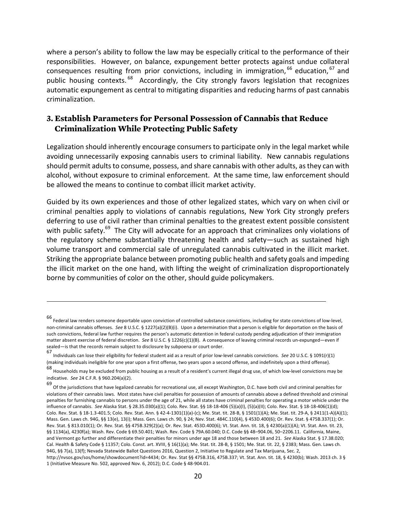where a person's ability to follow the law may be especially critical to the performance of their responsibilities. However, on balance, expungement better protects against undue collateral consequences resulting from prior convictions, including in immigration,  $66$  education,  $67$  and public housing contexts. <sup>68</sup> Accordingly, the City strongly favors legislation that recognizes automatic expungement as central to mitigating disparities and reducing harms of past cannabis criminalization. 

#### **3. Establish Parameters for Personal Possession of Cannabis that Reduce Criminalization While Protecting Public Safety**

Legalization should inherently encourage consumers to participate only in the legal market while avoiding unnecessarily exposing cannabis users to criminal liability. New cannabis regulations should permit adults to consume, possess, and share cannabis with other adults, as they can with alcohol, without exposure to criminal enforcement. At the same time, law enforcement should be allowed the means to continue to combat illicit market activity.

Guided by its own experiences and those of other legalized states, which vary on when civil or criminal penalties apply to violations of cannabis regulations, New York City strongly prefers deferring to use of civil rather than criminal penalties to the greatest extent possible consistent with public safety.<sup>69</sup> The City will advocate for an approach that criminalizes only violations of the regulatory scheme substantially threatening health and safety—such as sustained high volume transport and commercial sale of unregulated cannabis cultivated in the illicit market. Striking the appropriate balance between promoting public health and safety goals and impeding the illicit market on the one hand, with lifting the weight of criminalization disproportionately borne by communities of color on the other, should guide policymakers.

<u> 1989 - Andrea San Andrew Maria (h. 1989).</u><br>1900 - Andrew Maria (h. 1980).

<sup>66&</sup>lt;br>Federal law renders someone deportable upon conviction of controlled substance convictions, including for state convictions of low-level, non-criminal cannabis offenses. See 8 U.S.C. § 1227(a)(2)(B)(i). Upon a determination that a person is eligible for deportation on the basis of such convictions, federal law further requires the person's automatic detention in federal custody pending adjudication of their immigration matter absent exercise of federal discretion. See 8 U.S.C. § 1226(c)(1)(B). A consequence of leaving criminal records un-expunged—even if sealed—is that the records remain subject to disclosure by subpoena or court order.

<sup>67</sup> Individuals can lose their eligibility for federal student aid as a result of prior low-level cannabis convictions. See 20 U.S.C. § 1091(r)(1) (making individuals ineligible for one year upon a first offense, two years upon a second offense, and indefinitely upon a third offense).

<sup>68&</sup>lt;br>Households may be excluded from public housing as a result of a resident's current illegal drug use, of which low-level convictions may be indicative. *See* 24 C.F.R. § 960.204(a)(2).

<sup>69&</sup>lt;br>Of the jurisdictions that have legalized cannabis for recreational use, all except Washington, D.C. have both civil and criminal penalties for violations of their cannabis laws. Most states have civil penalties for possession of amounts of cannabis above a defined threshold and criminal penalties for furnishing cannabis to persons under the age of 21, while all states have criminal penalties for operating a motor vehicle under the influence of cannabis. See Alaska Stat. § 28.35.030(a)(1); Colo. Rev. Stat. §§ 18-18-406 (5)(a)(I), (5)(a)(II); Colo. Rev. Stat. § 18-18-406(1)(d); Colo. Rev. Stat. § 18-1.3-401.5; Colo. Rev. Stat. Ann. § 42-4-1301(1)(a)-(c); Me. Stat. tit. 28-B, § 1501(1)(A); Me. Stat. tit. 29-A, § 2411(1-A)(A)(1); Mass. Gen. Laws ch. 94G, §§ 13(e), 13(i); Mass. Gen. Laws ch. 90, § 24; Nev. Stat. 484C.110(4), § 453D.400(6); Or. Rev. Stat. § 475B.337(1); Or. Rev. Stat. § 813.010(1); Or. Rev. Stat. §§ 475B.329(2)(a); Or. Rev. Stat. 453D.400(6); Vt. Stat. Ann. tit. 18, § 4230(a)(1)(A); Vt. Stat. Ann. tit. 23, §§ 1134(a), 4230f(a); Wash. Rev. Code § 69.50.401; Wash. Rev. Code § 79A.60.040; D.C. Code §§ 48-904.06, 50-2206.11. California, Maine, and Vermont go further and differentiate their penalties for minors under age 18 and those between 18 and 21. See Alaska Stat. § 17.38.020; Cal. Health & Safety Code § 11357; Colo. Const. art. XVIII, § 16(1)(a); Me. Stat. tit. 28-B, § 1501; Me. Stat. tit. 22, § 2383; Mass. Gen. Laws ch. 94G, §§ 7(a), 13(f); Nevada Statewide Ballot Questions 2016, Question 2, Initiative to Regulate and Tax Marijuana, Sec. 2, http://nvsos.gov/sos/home/showdocument?id=4434; Or. Rev. Stat §§ 475B.316, 475B.337; Vt. Stat. Ann. tit. 18, § 4230(b); Wash. 2013 ch. 3 § 1 (Initiative Measure No. 502, approved Nov. 6, 2012); D.C. Code § 48-904.01.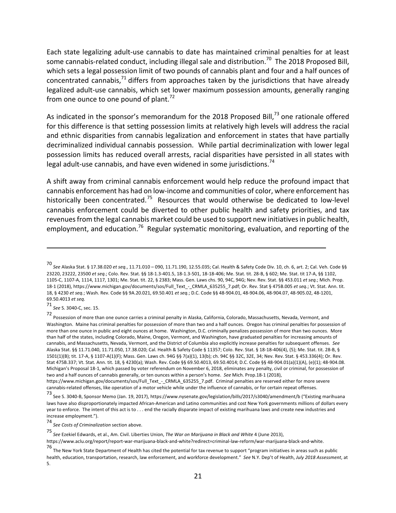Each state legalizing adult-use cannabis to date has maintained criminal penalties for at least some cannabis-related conduct, including illegal sale and distribution.<sup>70</sup> The 2018 Proposed Bill, which sets a legal possession limit of two pounds of cannabis plant and four and a half ounces of concentrated cannabis, $^{71}$  differs from approaches taken by the jurisdictions that have already legalized adult-use cannabis, which set lower maximum possession amounts, generally ranging from one ounce to one pound of plant.<sup>72</sup>

As indicated in the sponsor's memorandum for the 2018 Proposed Bill, $^{73}$  one rationale offered for this difference is that setting possession limits at relatively high levels will address the racial and ethnic disparities from cannabis legalization and enforcement in states that have partially decriminalized individual cannabis possession. While partial decriminalization with lower legal possession limits has reduced overall arrests, racial disparities have persisted in all states with legal adult-use cannabis, and have even widened in some jurisdictions.<sup>74</sup>

A shift away from criminal cannabis enforcement would help reduce the profound impact that cannabis enforcement has had on low-income and communities of color, where enforcement has historically been concentrated.<sup>75</sup> Resources that would otherwise be dedicated to low-level cannabis enforcement could be diverted to other public health and safety priorities, and tax revenues from the legal cannabis market could be used to support new initiatives in public health, employment, and education.<sup>76</sup> Regular systematic monitoring, evaluation, and reporting of the

<u> 1989 - Jan Samuel Barbara, martxa a shekara tsa 1989 - An tsa 1989 - An tsa 1989 - An tsa 1989 - An tsa 198</u>

71 *See* S. 3040-C, sec. 15. 

72<br>Possession of more than one ounce carries a criminal penalty in Alaska, California, Colorado, Massachusetts, Nevada, Vermont, and Washington. Maine has criminal penalties for possession of more than two and a half ounces. Oregon has criminal penalties for possession of more than one ounce in public and eight ounces at home. Washington, D.C. criminally penalizes possession of more than two ounces. More than half of the states, including Colorado, Maine, Oregon, Vermont, and Washington, have graduated penalties for increasing amounts of cannabis, and Massachusetts, Nevada, Vermont, and the District of Columbia also explicitly increase penalties for subsequent offenses. See Alaska Stat. §§ 11.71.040, 11.71.050, 17.38.020; Cal. Health & Safety Code § 11357; Colo. Rev. Stat. § 18-18-406(4), (5); Me. Stat. tit. 28-B, § 1501(1)(B); tit. 17-A, § 1107-A(1)(F); Mass. Gen. Laws ch. 94G §§ 7(a)(1), 13(b); ch. 94C §§ 32C, 32E, 34; Nev. Rev. Stat. § 453.336(4); Or. Rev. Stat 475B.337; Vt. Stat. Ann. tit. 18, § 4230(a); Wash. Rev. Code §§ 69.50.4013, 69.50.4014; D.C. Code §§ 48-904.01(a)(1)(A), (e)(1); 48-904.08. Michigan's Proposal 18-1, which passed by voter referendum on November 6, 2018, eliminates any penalty, civil or criminal, for possession of two and a half ounces of cannabis generally, or ten ounces within a person's home. See Mich. Prop.18-1 (2018),

https://www.michigan.gov/documents/sos/Full\_Text\_-\_CRMLA\_635255\_7.pdf. Criminal penalties are reserved either for more severe cannabis-related offenses, like operation of a motor vehicle while under the influence of cannabis, or for certain repeat offenses.

73<br>See S. 3040-B, Sponsor Memo (Jan. 19, 2017), https://www.nysenate.gov/legislation/bills/2017/s3040/amendment/b ("Existing marihuana laws have also disproportionately impacted African-American and Latino communities and cost New York governments millions of dollars every year to enforce. The intent of this act is to . . . end the racially disparate impact of existing marihuana laws and create new industries and increase employment.").

74<br>See Costs of Criminalization section above.

https://www.aclu.org/report/report-war-marijuana-black-and-white?redirect=criminal-law-reform/war-marijuana-black-and-white. 

<sup>70&</sup>lt;br>See Alaska Stat. § 17.38.020 et *seq.,* 11.71.010 – 090, 11.71.190, 12.55.035; Cal. Health & Safety Code Div. 10, ch. 6, art. 2; Cal. Veh. Code §§ 23220, 23222, 23500 et seq.; Colo. Rev. Stat. §§ 18-1.3-401.5, 18-1.3-501, 18-18-406; Me. Stat. tit. 28-B, § 602; Me. Stat. tit 17-A, §§ 1102, 1105-C, 1107-A, 1114, 1117, 1301; Me. Stat. tit. 22, § 2383; Mass. Gen. Laws chs. 90, 94C, 94G; Nev. Rev. Stat. §§ 453.011 et seq.; Mich. Prop. 18-1 (2018), https://www.michigan.gov/documents/sos/Full\_Text\_-\_CRMLA\_635255\_7.pdf; Or. Rev. Stat § 475B.005 et seq.; Vt. Stat. Ann. tit. 18, § 4230 *et seq.*; Wash. Rev. Code §§ 9A.20.021, 69.50.401 *et seq.*; D.C. Code §§ 48-904.01, 48-904.06, 48-904.07, 48-905.02, 48-1201, 69.50.4013 et seq.

<sup>75&</sup>lt;br>*See* Ezekiel Edwards, et al., Am. Civil. Liberties Union, *The War on Marijuana in Black and White* 4 (June 2013),

<sup>76</sup> The New York State Department of Health has cited the potential for tax revenue to support "program initiatives in areas such as public health, education, transportation, research, law enforcement, and workforce development." See N.Y. Dep't of Health, July 2018 Assessment, at 5.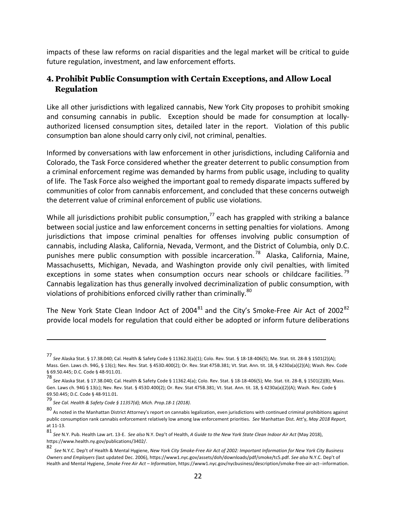impacts of these law reforms on racial disparities and the legal market will be critical to guide future regulation, investment, and law enforcement efforts.

### **4. Prohibit Public Consumption with Certain Exceptions, and Allow Local Regulation**

Like all other jurisdictions with legalized cannabis, New York City proposes to prohibit smoking and consuming cannabis in public. Exception should be made for consumption at locallyauthorized licensed consumption sites, detailed later in the report. Violation of this public consumption ban alone should carry only civil, not criminal, penalties.

Informed by conversations with law enforcement in other jurisdictions, including California and Colorado, the Task Force considered whether the greater deterrent to public consumption from a criminal enforcement regime was demanded by harms from public usage, including to quality of life. The Task Force also weighed the important goal to remedy disparate impacts suffered by communities of color from cannabis enforcement, and concluded that these concerns outweigh the deterrent value of criminal enforcement of public use violations.

While all jurisdictions prohibit public consumption,  $\frac{1}{2}$  each has grappled with striking a balance between social justice and law enforcement concerns in setting penalties for violations. Among jurisdictions that impose criminal penalties for offenses involving public consumption of cannabis, including Alaska, California, Nevada, Vermont, and the District of Columbia, only D.C. punishes mere public consumption with possible incarceration.<sup>78</sup> Alaska, California, Maine, Massachusetts, Michigan, Nevada, and Washington provide only civil penalties, with limited exceptions in some states when consumption occurs near schools or childcare facilities.<sup>79</sup> Cannabis legalization has thus generally involved decriminalization of public consumption, with violations of prohibitions enforced civilly rather than criminally.<sup>80</sup>

The New York State Clean Indoor Act of 2004<sup>81</sup> and the City's Smoke-Free Air Act of 2002<sup>82</sup> provide local models for regulation that could either be adopted or inform future deliberations

<sup>77&</sup>lt;br>See Alaska Stat. § 17.38.040; Cal. Health & Safety Code § 11362.3(a)(1); Colo. Rev. Stat. § 18-18-406(5); Me. Stat. tit. 28-B § 1501(2)(A); Mass. Gen. Laws ch. 94G, § 13(c); Nev. Rev. Stat. § 453D.400(2); Or. Rev. Stat 475B.381; Vt. Stat. Ann. tit. 18, § 4230a(a)(2)(A); Wash. Rev. Code § 69.50.445; D.C. Code § 48-911.01.

<sup>78&</sup>lt;br>See Alaska Stat. § 17.38.040; Cal. Health & Safety Code § 11362.4(a); Colo. Rev. Stat. § 18-18-406(5); Me. Stat. tit. 28-B, § 1501(2)(B); Mass. Gen. Laws ch. 94G § 13(c); Nev. Rev. Stat. § 453D.400(2); Or. Rev. Stat 475B.381; Vt. Stat. Ann. tit. 18, § 4230a(a)(2)(A); Wash. Rev. Code § 69.50.445; D.C. Code § 48-911.01.

<sup>79</sup> *See Cal. Health & Safety Code § 11357(d); Mich. Prop.18-1 (2018)*. 

<sup>80&</sup>lt;br>As noted in the Manhattan District Attorney's report on cannabis legalization, even jurisdictions with continued criminal prohibitions against public consumption rank cannabis enforcement relatively low among law enforcement priorities. See Manhattan Dist. Att'y, *May 2018 Report*, at 11-13.

<sup>81&</sup>lt;br>See N.Y. Pub. Health Law art. 13-E. *See also* N.Y. Dep't of Health, *A Guide to the New York State Clean Indoor Air Act* (May 2018), https://www.health.ny.gov/publications/3402/. 

<sup>82</sup> See N.Y.C. Dep't of Health & Mental Hygiene, *New York City Smoke-Free Air Act of 2002: Important Information for New York City Business Owners and Employers* (last updated Dec. 2006), https://www1.nyc.gov/assets/doh/downloads/pdf/smoke/tc5.pdf. See also N.Y.C. Dep't of Health and Mental Hygiene, Smoke Free Air Act - Information, https://www1.nyc.gov/nycbusiness/description/smoke-free-air-act--information.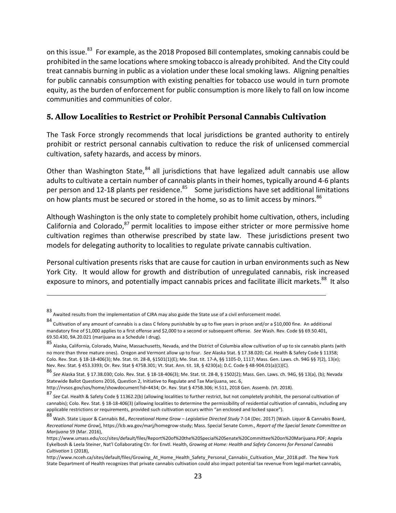on this issue.<sup>83</sup> For example, as the 2018 Proposed Bill contemplates, smoking cannabis could be prohibited in the same locations where smoking tobacco is already prohibited. And the City could treat cannabis burning in public as a violation under these local smoking laws. Aligning penalties for public cannabis consumption with existing penalties for tobacco use would in turn promote equity, as the burden of enforcement for public consumption is more likely to fall on low income communities and communities of color.

#### **5. Allow Localities to Restrict or Prohibit Personal Cannabis Cultivation**

The Task Force strongly recommends that local jurisdictions be granted authority to entirely prohibit or restrict personal cannabis cultivation to reduce the risk of unlicensed commercial cultivation, safety hazards, and access by minors.

Other than Washington State,  $84$  all jurisdictions that have legalized adult cannabis use allow adults to cultivate a certain number of cannabis plants in their homes, typically around 4-6 plants per person and 12-18 plants per residence.<sup>85</sup> Some jurisdictions have set additional limitations on how plants must be secured or stored in the home, so as to limit access by minors.<sup>86</sup>

Although Washington is the only state to completely prohibit home cultivation, others, including California and Colorado, $^{87}$  permit localities to impose either stricter or more permissive home cultivation regimes than otherwise prescribed by state law. These jurisdictions present two models for delegating authority to localities to regulate private cannabis cultivation.

Personal cultivation presents risks that are cause for caution in urban environments such as New York City. It would allow for growth and distribution of unregulated cannabis, risk increased exposure to minors, and potentially impact cannabis prices and facilitate illicit markets.<sup>88</sup> It also

<u> 1989 - Jan Samuel Barbara, martxa a shekara tsa 1989 - An tsa 1989 - An tsa 1989 - An tsa 1989 - An tsa 198</u>

http://nvsos.gov/sos/home/showdocument?id=4434; Or. Rev. Stat § 475B.306; H.511, 2018 Gen. Assemb. (Vt. 2018).

<sup>83&</sup>lt;br>Awaited results from the implementation of CJRA may also guide the State use of a civil enforcement model.

<sup>84</sup> Cultivation of any amount of cannabis is a class C felony punishable by up to five years in prison and/or a \$10,000 fine. An additional mandatory fine of \$1,000 applies to a first offense and \$2,000 to a second or subsequent offense. See Wash. Rev. Code §§ 69.50.401, 69.50.430, 9A.20.021 (marijuana as a Schedule I drug).

<sup>85&</sup>lt;br>Alaska, California, Colorado, Maine, Massachusetts, Nevada, and the District of Columbia allow cultivation of up to six cannabis plants (with no more than three mature ones). Oregon and Vermont allow up to four. See Alaska Stat. § 17.38.020; Cal. Health & Safety Code § 11358; Colo. Rev. Stat. § 18-18-406(3); Me. Stat. tit. 28-B, §1501(1)(E); Me. Stat. tit. 17-A, §§ 1105-D, 1117; Mass. Gen. Laws. ch. 94G §§ 7(2), 13(e); Nev. Rev. Stat. § 453.3393; Or. Rev. Stat § 475B.301; Vt. Stat. Ann. tit. 18, § 4230(a); D.C. Code § 48-904.01(a)(1)(C).

<sup>86&</sup>lt;br>See Alaska Stat. § 17.38.030; Colo. Rev. Stat. § 18-18-406(3); Me. Stat. tit. 28-B, § 1502(2); Mass. Gen. Laws. ch. 94G, §§ 13(a), (b); Nevada Statewide Ballot Questions 2016, Question 2, Initiative to Regulate and Tax Marijuana, sec. 6,

<sup>87&</sup>lt;br>See Cal. Health & Safety Code § 11362.2(b) (allowing localities to further restrict, but not completely prohibit, the personal cultivation of cannabis); Colo. Rev. Stat. § 18-18-406(3) (allowing localities to determine the permissibility of residential cultivation of cannabis, including any applicable restrictions or requirements, provided such cultivation occurs within "an enclosed and locked space").

<sup>88&</sup>lt;br>Wash. State Liquor & Cannabis Bd., *Recreational Home Grow* – *Legislative Directed Study* 7-14 (Dec. 2017) [Wash. Liquor & Cannabis Board, *Recreational Home Grow], https://lcb.wa.gov/marj/homegrow-study; Mass. Special Senate Comm., <i>Report of the Special Senate Committee on Marijuana* 59 (Mar. 2016),

https://www.umass.edu/ccc/sites/default/files/Report%20of%20the%20Special%20Senate%20Committee%20on%20Marijuana.PDF; Angela Eykelbosh & Leela Steiner, Nat'l Collaborating Ctr. for Envtl. Health, Growing at Home: Health and Safety Concerns for Personal Cannabis *Cultivation* 1 (2018), 

http://www.ncceh.ca/sites/default/files/Growing\_At\_Home\_Health\_Safety\_Personal\_Cannabis\_Cultivation\_Mar\_2018.pdf. The New York State Department of Health recognizes that private cannabis cultivation could also impact potential tax revenue from legal-market cannabis,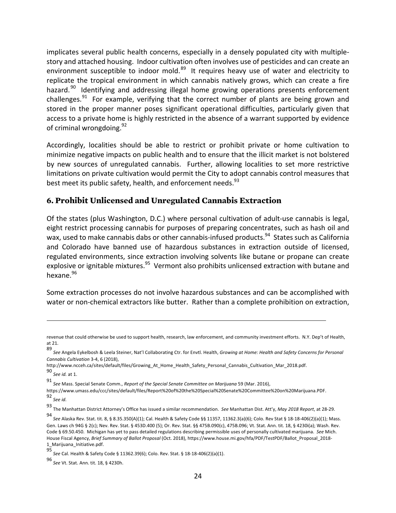implicates several public health concerns, especially in a densely populated city with multiplestory and attached housing. Indoor cultivation often involves use of pesticides and can create an environment susceptible to indoor mold.<sup>89</sup> It requires heavy use of water and electricity to replicate the tropical environment in which cannabis natively grows, which can create a fire hazard.<sup>90</sup> Identifying and addressing illegal home growing operations presents enforcement challenges. $91$  For example, verifying that the correct number of plants are being grown and stored in the proper manner poses significant operational difficulties, particularly given that access to a private home is highly restricted in the absence of a warrant supported by evidence of criminal wrongdoing.<sup>92</sup>

Accordingly, localities should be able to restrict or prohibit private or home cultivation to minimize negative impacts on public health and to ensure that the illicit market is not bolstered by new sources of unregulated cannabis. Further, allowing localities to set more restrictive limitations on private cultivation would permit the City to adopt cannabis control measures that best meet its public safety, health, and enforcement needs.<sup>93</sup>

#### **6. Prohibit Unlicensed and Unregulated Cannabis Extraction**

Of the states (plus Washington, D.C.) where personal cultivation of adult-use cannabis is legal, eight restrict processing cannabis for purposes of preparing concentrates, such as hash oil and wax, used to make cannabis dabs or other cannabis-infused products.<sup>94</sup> States such as California and Colorado have banned use of hazardous substances in extraction outside of licensed, regulated environments, since extraction involving solvents like butane or propane can create explosive or ignitable mixtures.<sup>95</sup> Vermont also prohibits unlicensed extraction with butane and hexane.<sup>96</sup>

Some extraction processes do not involve hazardous substances and can be accomplished with water or non-chemical extractors like butter. Rather than a complete prohibition on extraction,

<u> 1989 - Jan Samuel Barbara, martxa a shekara tsa 1989 - An tsa 1989 - An tsa 1989 - An tsa 1989 - An tsa 198</u>

90 *See id.* at 1. 

revenue that could otherwise be used to support health, research, law enforcement, and community investment efforts. N.Y. Dep't of Health, at 21.

<sup>89&</sup>lt;br>See Angela Eykelbosh & Leela Steiner, Nat'l Collaborating Ctr. for Envtl. Health, *Growing at Home: Health and Safety Concerns for Personal Cannabis Cultivation* 3-4, 6 (2018), 

http://www.ncceh.ca/sites/default/files/Growing\_At\_Home\_Health\_Safety\_Personal\_Cannabis\_Cultivation\_Mar\_2018.pdf.

<sup>91&</sup>lt;br>See Mass. Special Senate Comm., *Report of the Special Senate Committee on Marijuana* 59 (Mar. 2016),

https://www.umass.edu/ccc/sites/default/files/Report%20of%20the%20Special%20Senate%20Committee%20on%20Marijuana.PDF. 92 *See id.* 

<sup>93&</sup>lt;br>The Manhattan District Attorney's Office has issued a similar recommendation. See Manhattan Dist. Att'y, *May 2018 Report,* at 28-29.

<sup>94&</sup>lt;br>See Alaska Rev. Stat. tit. 8, § 8.35.350(A)(1); Cal. Health & Safety Code §§ 11357, 11362.3(a)(6); Colo. Rev Stat § 18-18-406(2)(a)(1); Mass. Gen. Laws ch 94G § 2(c); Nev. Rev. Stat. § 453D.400 (5); Or. Rev. Stat. §§ 475B.090(c), 475B.096; Vt. Stat. Ann. tit. 18, § 4230i(a); Wash. Rev. Code § 69.50.450. Michigan has yet to pass detailed regulations describing permissible uses of personally cultivated marijuana. See Mich. House Fiscal Agency, Brief Summary of Ballot Proposal (Oct. 2018), https://www.house.mi.gov/hfa/PDF/TestPDF/Ballot\_Proposal\_2018-1\_Marijuana\_Initiative.pdf. 

<sup>95</sup> *See* Cal. Health & Safety Code § 11362.39(6); Colo. Rev. Stat. § 18-18-406(2)(a)(1). 

<sup>96&</sup>lt;br>*See* Vt. Stat. Ann. tit. 18, § 4230h.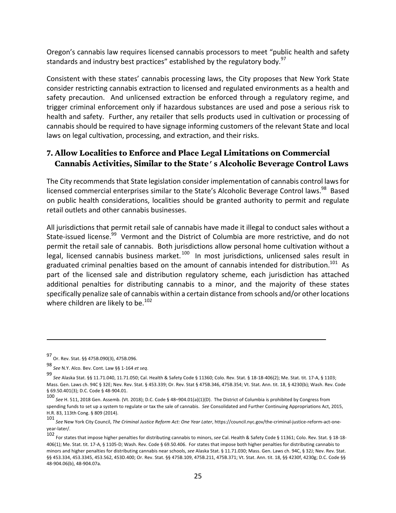Oregon's cannabis law requires licensed cannabis processors to meet "public health and safety standards and industry best practices" established by the regulatory body.<sup>97</sup>

Consistent with these states' cannabis processing laws, the City proposes that New York State consider restricting cannabis extraction to licensed and regulated environments as a health and safety precaution. And unlicensed extraction be enforced through a regulatory regime, and trigger criminal enforcement only if hazardous substances are used and pose a serious risk to health and safety. Further, any retailer that sells products used in cultivation or processing of cannabis should be required to have signage informing customers of the relevant State and local laws on legal cultivation, processing, and extraction, and their risks.

### **7. Allow Localities to Enforce and Place Legal Limitations on Commercial Cannabis Activities, Similar to the State's Alcoholic Beverage Control Laws**

The City recommends that State legislation consider implementation of cannabis control laws for licensed commercial enterprises similar to the State's Alcoholic Beverage Control laws.<sup>98</sup> Based on public health considerations, localities should be granted authority to permit and regulate retail outlets and other cannabis businesses.

All jurisdictions that permit retail sale of cannabis have made it illegal to conduct sales without a State-issued license.<sup>99</sup> Vermont and the District of Columbia are more restrictive, and do not permit the retail sale of cannabis. Both jurisdictions allow personal home cultivation without a legal, licensed cannabis business market.<sup>100</sup> In most jurisdictions, unlicensed sales result in graduated criminal penalties based on the amount of cannabis intended for distribution.<sup>101</sup> As part of the licensed sale and distribution regulatory scheme, each jurisdiction has attached additional penalties for distributing cannabis to a minor, and the majority of these states specifically penalize sale of cannabis within a certain distance from schools and/or other locations where children are likely to be.<sup>102</sup>

<sup>97</sup> Or. Rev. Stat. §§ 475B.090(3), 475B.096. 

<sup>98</sup> *See* N.Y. Alco. Bev. Cont. Law §§ 1-164 *et seq*.

<sup>99&</sup>lt;br>See Alaska Stat. §§ 11.71.040, 11.71.050; Cal. Health & Safety Code § 11360; Colo. Rev. Stat. § 18-18-406(2); Me. Stat. tit. 17-A, § 1103; Mass. Gen. Laws ch. 94C § 32E; Nev. Rev. Stat. § 453.339; Or. Rev. Stat § 475B.346, 475B.354; Vt. Stat. Ann. tit. 18, § 4230(b); Wash. Rev. Code § 69.50.401(3); D.C. Code § 48-904.01.

<sup>100&</sup>lt;br>*See* H. 511, 2018 Gen. Assemb. (Vt. 2018); D.C. Code § 48–904.01(a)(1)(D). The District of Columbia is prohibited by Congress from spending funds to set up a system to regulate or tax the sale of cannabis. See Consolidated and Further Continuing Appropriations Act, 2015, H.R. 83, 113th Cong. § 809 (2014).

<sup>101&</sup>lt;br>*See* New York City Council, *The Criminal Justice Reform Act: One Year Later,* https://council.nyc.gov/the-criminal-justice-reform-act-oneyear-later/.

<sup>102&</sup>lt;br>For states that impose higher penalties for distributing cannabis to minors, *see* Cal. Health & Safety Code § 11361; Colo. Rev. Stat. § 18-18-406(1); Me. Stat. tit. 17-A, § 1105-D; Wash. Rev. Code § 69.50.406. For states that impose both higher penalties for distributing cannabis to minors and higher penalties for distributing cannabis near schools, see Alaska Stat. § 11.71.030; Mass. Gen. Laws ch. 94C, § 32J; Nev. Rev. Stat. §§ 453.334, 453.3345, 453.562, 453D.400; Or. Rev. Stat. §§ 475B.109, 475B.211, 475B.371; Vt. Stat. Ann. tit. 18, §§ 4230f, 4230g; D.C. Code §§ 48-904.06(b), 48-904.07a.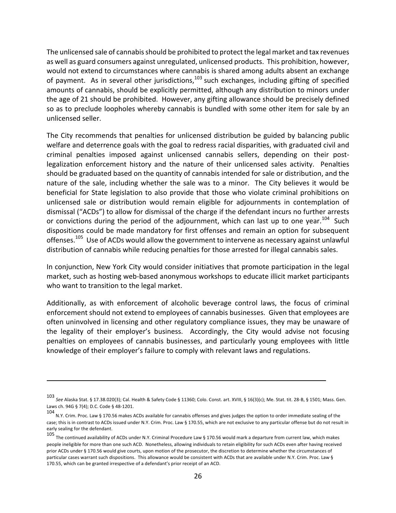The unlicensed sale of cannabis should be prohibited to protect the legal market and tax revenues as well as guard consumers against unregulated, unlicensed products. This prohibition, however, would not extend to circumstances where cannabis is shared among adults absent an exchange of payment. As in several other jurisdictions,  $103$  such exchanges, including gifting of specified amounts of cannabis, should be explicitly permitted, although any distribution to minors under the age of 21 should be prohibited. However, any gifting allowance should be precisely defined so as to preclude loopholes whereby cannabis is bundled with some other item for sale by an unlicensed seller. 

The City recommends that penalties for unlicensed distribution be guided by balancing public welfare and deterrence goals with the goal to redress racial disparities, with graduated civil and criminal penalties imposed against unlicensed cannabis sellers, depending on their postlegalization enforcement history and the nature of their unlicensed sales activity. Penalties should be graduated based on the quantity of cannabis intended for sale or distribution, and the nature of the sale, including whether the sale was to a minor. The City believes it would be beneficial for State legislation to also provide that those who violate criminal prohibitions on unlicensed sale or distribution would remain eligible for adjournments in contemplation of dismissal ("ACDs") to allow for dismissal of the charge if the defendant incurs no further arrests or convictions during the period of the adjournment, which can last up to one year.<sup>104</sup> Such dispositions could be made mandatory for first offenses and remain an option for subsequent offenses.<sup>105</sup> Use of ACDs would allow the government to intervene as necessary against unlawful distribution of cannabis while reducing penalties for those arrested for illegal cannabis sales.

In conjunction, New York City would consider initiatives that promote participation in the legal market, such as hosting web-based anonymous workshops to educate illicit market participants who want to transition to the legal market.

Additionally, as with enforcement of alcoholic beverage control laws, the focus of criminal enforcement should not extend to employees of cannabis businesses. Given that employees are often uninvolved in licensing and other regulatory compliance issues, they may be unaware of the legality of their employer's business. Accordingly, the City would advise not focusing penalties on employees of cannabis businesses, and particularly young employees with little knowledge of their employer's failure to comply with relevant laws and regulations.

<sup>103&</sup>lt;br>*See* Alaska Stat. § 17.38.020(3); Cal. Health & Safety Code § 11360; Colo. Const. art. XVIII, § 16(3)(c); Me. Stat. tit. 28-B, § 1501; Mass. Gen. Laws ch. 94G § 7(4); D.C. Code § 48-1201.

<sup>104&</sup>lt;br>N.Y. Crim. Proc. Law § 170.56 makes ACDs available for cannabis offenses and gives judges the option to order immediate sealing of the case; this is in contrast to ACDs issued under N.Y. Crim. Proc. Law § 170.55, which are not exclusive to any particular offense but do not result in early sealing for the defendant.

<sup>105&</sup>lt;br>The continued availability of ACDs under N.Y. Criminal Procedure Law § 170.56 would mark a departure from current law, which makes people ineligible for more than one such ACD. Nonetheless, allowing individuals to retain eligibility for such ACDs even after having received prior ACDs under § 170.56 would give courts, upon motion of the prosecutor, the discretion to determine whether the circumstances of particular cases warrant such dispositions. This allowance would be consistent with ACDs that are available under N.Y. Crim. Proc. Law § 170.55, which can be granted irrespective of a defendant's prior receipt of an ACD.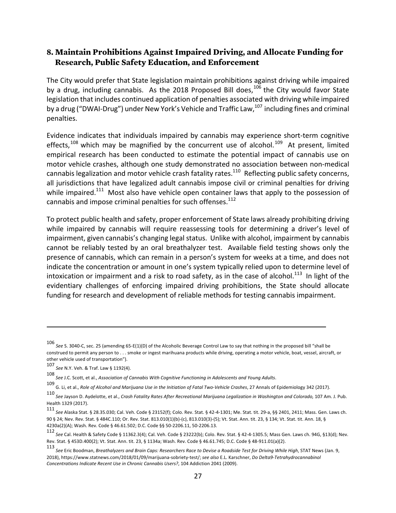### **8. Maintain Prohibitions Against Impaired Driving, and Allocate Funding for Research, Public Safety Education, and Enforcement**

The City would prefer that State legislation maintain prohibitions against driving while impaired by a drug, including cannabis. As the 2018 Proposed Bill does,  $106$  the City would favor State legislation that includes continued application of penalties associated with driving while impaired by a drug ("DWAI-Drug") under New York's Vehicle and Traffic Law, $^{107}$  including fines and criminal penalties. 

Evidence indicates that individuals impaired by cannabis may experience short-term cognitive effects,<sup>108</sup> which may be magnified by the concurrent use of alcohol.<sup>109</sup> At present, limited empirical research has been conducted to estimate the potential impact of cannabis use on motor vehicle crashes, although one study demonstrated no association between non-medical cannabis legalization and motor vehicle crash fatality rates.<sup>110</sup> Reflecting public safety concerns, all jurisdictions that have legalized adult cannabis impose civil or criminal penalties for driving while impaired.<sup>111</sup> Most also have vehicle open container laws that apply to the possession of cannabis and impose criminal penalties for such offenses. $^{112}$ 

To protect public health and safety, proper enforcement of State laws already prohibiting driving while impaired by cannabis will require reassessing tools for determining a driver's level of impairment, given cannabis's changing legal status. Unlike with alcohol, impairment by cannabis cannot be reliably tested by an oral breathalyzer test. Available field testing shows only the presence of cannabis, which can remain in a person's system for weeks at a time, and does not indicate the concentration or amount in one's system typically relied upon to determine level of intoxication or impairment and a risk to road safety, as in the case of alcohol.<sup>113</sup> In light of the evidentiary challenges of enforcing impaired driving prohibitions, the State should allocate funding for research and development of reliable methods for testing cannabis impairment.

106

See S. 3040-C, sec. 25 (amending 65-E(1)(D) of the Alcoholic Beverage Control Law to say that nothing in the proposed bill "shall be construed to permit any person to . . . smoke or ingest marihuana products while driving, operating a motor vehicle, boat, vessel, aircraft, or other vehicle used of transportation").

<sup>107</sup> *See* N.Y. Veh. & Traf. Law § 1192(4). 

<sup>108&</sup>lt;br>*See J.C. Scott, et al., Association of Cannabis With Cognitive Functioning in Adolescents and Young Adults.* 

<sup>109&</sup>lt;br>G. Li, et al., *Role of Alcohol and Marijuana Use in the Initiation of Fatal Two-Vehicle Crashes, 27 Annals of Epidemiology 342 (2017).* 

<sup>110&</sup>lt;br>*See Jayson D. Aydelotte, et al., Crash Fatality Rates After Recreational Marijuana Legalization in Washington and Colorado, 107 Am. J. Pub.* Health 1329 (2017).

<sup>111&</sup>lt;br>*See* Alaska Stat. § 28.35.030; Cal. Veh. Code § 23152(f); Colo. Rev. Stat. § 42-4-1301; Me. Stat. tit. 29-a, §§ 2401, 2411; Mass. Gen. Laws ch. 90 § 24; Nev. Rev. Stat. § 484C.110; Or. Rev. Stat. 813.010(1)(b)-(c), 813.010(3)-(5); Vt. Stat. Ann. tit. 23, § 134; Vt. Stat. tit. Ann. 18, §  $4230a(2)(A)$ ; Wash. Rev. Code § 46.61.502; D.C. Code §§ 50-2206.11, 50-2206.13.

<sup>112&</sup>lt;br>*See* Cal. Health & Safety Code § 11362.3(4); Cal. Veh. Code § 23222(b); Colo. Rev. Stat. § 42-4-1305.5; Mass Gen. Laws ch. 94G, §13(d); Nev. Rev. Stat. § 453D.400(2); Vt. Stat. Ann. tit. 23, § 1134a; Wash. Rev. Code § 46.61.745; D.C. Code § 48-911.01(a)(2).

<sup>113&</sup>lt;br>*See* Eric Boodman, *Breathalyzers and Brain Caps: Researchers Race to Devise a Roadside Test for Driving While High, STAT News (Jan. 9,* 2018), https://www.statnews.com/2018/01/09/marijuana-sobriety-test/; see also E.L. Karschner, *Do Delta9-Tetrahydrocannabinol Concentrations Indicate Recent Use in Chronic Cannabis Users?*, 104 Addiction 2041 (2009).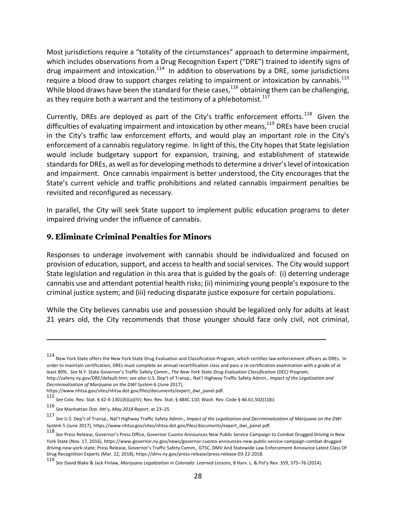Most jurisdictions require a "totality of the circumstances" approach to determine impairment, which includes observations from a Drug Recognition Expert ("DRE") trained to identify signs of drug impairment and intoxication.<sup>114</sup> In addition to observations by a DRE, some jurisdictions require a blood draw to support charges relating to impairment or intoxication by cannabis.<sup>115</sup> While blood draws have been the standard for these cases,  $1^{16}$  obtaining them can be challenging, as they require both a warrant and the testimony of a phlebotomist.<sup>117</sup>

Currently, DREs are deployed as part of the City's traffic enforcement efforts.<sup>118</sup> Given the difficulties of evaluating impairment and intoxication by other means, $119$  DREs have been crucial in the City's traffic law enforcement efforts, and would play an important role in the City's enforcement of a cannabis regulatory regime. In light of this, the City hopes that State legislation would include budgetary support for expansion, training, and establishment of statewide standards for DREs, as well as for developing methods to determine a driver's level of intoxication and impairment. Once cannabis impairment is better understood, the City encourages that the State's current vehicle and traffic prohibitions and related cannabis impairment penalties be revisited and reconfigured as necessary.

In parallel, the City will seek State support to implement public education programs to deter impaired driving under the influence of cannabis.

#### **9. Eliminate Criminal Penalties for Minors**

Responses to underage involvement with cannabis should be individualized and focused on provision of education, support, and access to health and social services. The City would support State legislation and regulation in this area that is guided by the goals of: (i) deterring underage cannabis use and attendant potential health risks; (ii) minimizing young people's exposure to the criminal justice system; and (iii) reducing disparate justice exposure for certain populations.

While the City believes cannabis use and possession should be legalized only for adults at least 21 years old, the City recommends that those younger should face only civil, not criminal,

<sup>114&</sup>lt;br>New York State offers the New York State Drug Evaluation and Classification Program, which certifies law enforcement officers as DREs. In order to maintain certification, DREs must complete an annual recertification class and pass a re-certification examination with a grade of at least 80%. See N.Y. State Governor's Traffic Safety Comm., The New York State Drug Evaluation Classification (DEC) Program, http://safeny.ny.gov/DRE/default.htm; see also U.S. Dep't of Transp., Nat'l Highway Traffic Safety Admin., Impact of the Legalization and *Decriminalization of Marijuana on the DWI System* 6 (June 2017), 

https://www.nhtsa.gov/sites/nhtsa.dot.gov/files/documents/expert\_dwi\_panel.pdf.

<sup>115&</sup>lt;br>*See* Colo. Rev. Stat. § 42-4-1301(6)(a)(IV); Nev. Rev. Stat. § 484C.110; Wash. Rev. Code § 46.61.502(1)(b).

<sup>116</sup> *See* Manhattan Dist. Att'y, *May 2018 Report*, at 23–25.

<sup>117&</sup>lt;br>*See U.S. Dep't of Transp., Nat'l Highway Traffic Safety Admin., Impact of the Legalization and Decriminalization of Marijuana on the DWI* System 5 (June 2017), https://www.nhtsa.gov/sites/nhtsa.dot.gov/files/documents/expert\_dwi\_panel.pdf.

<sup>118&</sup>lt;br>*See* Press Release, Governor's Press Office, Governor Cuomo Announces New Public Service Campaign to Combat Drugged Driving in New York State (Nov. 17, 2016), https://www.governor.ny.gov/news/governor-cuomo-announces-new-public-service-campaign-combat-druggeddriving-new-york-state; Press Release, Governor's Traffic Safety Comm., GTSC, DMV And Statewide Law Enforcement Announce Latest Class Of Drug Recognition Experts (Mar. 22, 2018), https://dmv.ny.gov/press-release/press-release-03-22-2018.

<sup>119&</sup>lt;br>See David Blake & Jack Finlaw, *Marijuana Legalization in Colorado: Learned Lessons,* 8 Harv. L. & Pol'y Rev. 359, 375–76 (2014).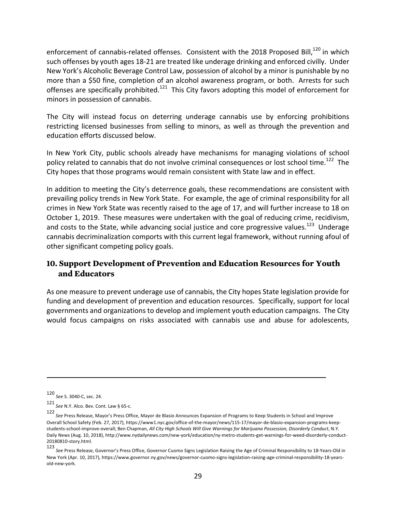enforcement of cannabis-related offenses. Consistent with the 2018 Proposed Bill,<sup>120</sup> in which such offenses by youth ages 18-21 are treated like underage drinking and enforced civilly. Under New York's Alcoholic Beverage Control Law, possession of alcohol by a minor is punishable by no more than a \$50 fine, completion of an alcohol awareness program, or both. Arrests for such offenses are specifically prohibited.<sup>121</sup> This City favors adopting this model of enforcement for minors in possession of cannabis.

The City will instead focus on deterring underage cannabis use by enforcing prohibitions restricting licensed businesses from selling to minors, as well as through the prevention and education efforts discussed below.

In New York City, public schools already have mechanisms for managing violations of school policy related to cannabis that do not involve criminal consequences or lost school time.<sup>122</sup> The City hopes that those programs would remain consistent with State law and in effect.

In addition to meeting the City's deterrence goals, these recommendations are consistent with prevailing policy trends in New York State. For example, the age of criminal responsibility for all crimes in New York State was recently raised to the age of 17, and will further increase to 18 on October 1, 2019. These measures were undertaken with the goal of reducing crime, recidivism, and costs to the State, while advancing social justice and core progressive values.<sup>123</sup> Underage cannabis decriminalization comports with this current legal framework, without running afoul of other significant competing policy goals.

### **10. Support Development of Prevention and Education Resources for Youth and Educators**

As one measure to prevent underage use of cannabis, the City hopes State legislation provide for funding and development of prevention and education resources. Specifically, support for local governments and organizations to develop and implement youth education campaigns. The City would focus campaigns on risks associated with cannabis use and abuse for adolescents,

<u> 1989 - Andrea San Andrew Maria (h. 1989).</u><br>1900 - Andrew Maria (h. 1980).

<sup>120&</sup>lt;br>See S. 3040-C, sec. 24.

<sup>121</sup> *See* N.Y. Alco. Bev. Cont. Law § 65-c.

<sup>122&</sup>lt;br>*See* Press Release, Mayor's Press Office, Mayor de Blasio Announces Expansion of Programs to Keep Students in School and Improve Overall School Safety (Feb. 27, 2017), https://www1.nyc.gov/office-of-the-mayor/news/115-17/mayor-de-blasio-expansion-programs-keepstudents-school-improve-overall; Ben Chapman, All City High Schools Will Give Warnings for Marijuana Possession, Disorderly Conduct, N.Y. Daily News (Aug. 10, 2018), http://www.nydailynews.com/new-york/education/ny-metro-students-get-warnings-for-weed-disorderly-conduct-20180810-story.html.

<sup>123</sup> See Press Release, Governor's Press Office, Governor Cuomo Signs Legislation Raising the Age of Criminal Responsibility to 18-Years-Old in New York (Apr. 10, 2017), https://www.governor.ny.gov/news/governor-cuomo-signs-legislation-raising-age-criminal-responsibility-18-yearsold-new-york.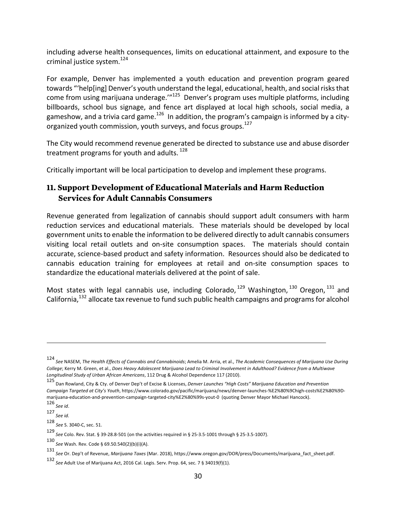including adverse health consequences, limits on educational attainment, and exposure to the criminal justice system. $124$ 

For example, Denver has implemented a youth education and prevention program geared towards "'help[ing] Denver's youth understand the legal, educational, health, and social risks that come from using marijuana underage."<sup>125</sup> Denver's program uses multiple platforms, including billboards, school bus signage, and fence art displayed at local high schools, social media, a gameshow, and a trivia card game.<sup>126</sup> In addition, the program's campaign is informed by a cityorganized youth commission, youth surveys, and focus groups.<sup>127</sup>

The City would recommend revenue generated be directed to substance use and abuse disorder treatment programs for youth and adults.  $^{128}$ 

Critically important will be local participation to develop and implement these programs.

### **11. Support Development of Educational Materials and Harm Reduction Services for Adult Cannabis Consumers**

Revenue generated from legalization of cannabis should support adult consumers with harm reduction services and educational materials. These materials should be developed by local government units to enable the information to be delivered directly to adult cannabis consumers visiting local retail outlets and on-site consumption spaces. The materials should contain accurate, science-based product and safety information. Resources should also be dedicated to cannabis education training for employees at retail and on-site consumption spaces to standardize the educational materials delivered at the point of sale.

Most states with legal cannabis use, including Colorado,  $129$  Washington,  $130$  Oregon,  $131$  and California,<sup>132</sup> allocate tax revenue to fund such public health campaigns and programs for alcohol

<u> 1989 - Jan Samuel Barbara, martxa a shekara tsa 1989 - An tsa 1989 - An tsa 1989 - An tsa 1989 - An tsa 198</u>

128<br>See S. 3040-C, sec. 51.

<sup>124&</sup>lt;br>See NASEM, *The Health Effects of Cannabis and Cannabinoids;* Amelia M. Arria, et al., *The Academic Consequences of Marijuana Use During College*: Kerry M. Green, et al., *Does Heavy Adolescent Marijuana Lead to Criminal Involvement in Adulthood? Evidence from a Multiwave Longitudinal Study of Urban African Americans*, 112 Drug & Alcohol Dependence 117 (2010). 

<sup>125&</sup>lt;br>Dan Rowland, City & Cty. of Denver Dep't of Excise & Licenses, *Denver Launches "High Costs" Marijuana Education and Prevention Campaign Targeted at City's Youth*, https://www.colorado.gov/pacific/marijuana/news/denver-launches-%E2%80%9Chigh-costs%E2%80%9Dmarijuana-education-and-prevention-campaign-targeted-city%E2%80%99s-yout-0 (quoting Denver Mayor Michael Hancock).

<sup>126</sup> *See id*. 

<sup>127&</sup>lt;br>*See id.* 

<sup>129&</sup>lt;br>*See* Colo. Rev. Stat. § 39-28.8-501 (on the activities required in § 25-3.5-1001 through § 25-3.5-1007).

<sup>130</sup> *See* Wash. Rev. Code § 69.50.540(2)(b)(i)(A). 

<sup>131&</sup>lt;br>*See* Or. Dep't of Revenue, *Marijuana Taxes* (Mar. 2018), https://www.oregon.gov/DOR/press/Documents/marijuana\_fact\_sheet.pdf.

<sup>132</sup> *See* Adult Use of Marijuana Act, 2016 Cal. Legis. Serv. Prop. 64, sec. 7 § 34019(f)(1).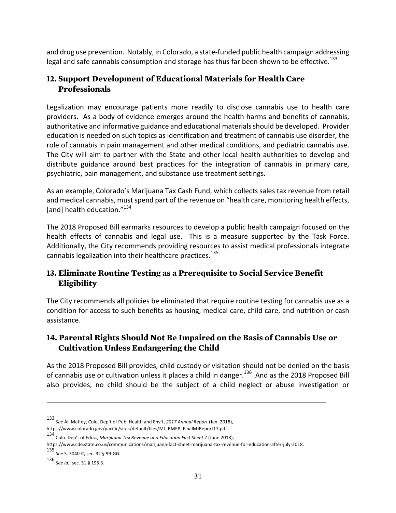and drug use prevention. Notably, in Colorado, a state-funded public health campaign addressing legal and safe cannabis consumption and storage has thus far been shown to be effective.<sup>133</sup>

#### **12. Support Development of Educational Materials for Health Care Professionals**

Legalization may encourage patients more readily to disclose cannabis use to health care providers. As a body of evidence emerges around the health harms and benefits of cannabis, authoritative and informative guidance and educational materials should be developed. Provider education is needed on such topics as identification and treatment of cannabis use disorder, the role of cannabis in pain management and other medical conditions, and pediatric cannabis use. The City will aim to partner with the State and other local health authorities to develop and distribute guidance around best practices for the integration of cannabis in primary care, psychiatric, pain management, and substance use treatment settings.

As an example, Colorado's Marijuana Tax Cash Fund, which collects sales tax revenue from retail and medical cannabis, must spend part of the revenue on "health care, monitoring health effects, [and] health education."<sup>134</sup>

The 2018 Proposed Bill earmarks resources to develop a public health campaign focused on the health effects of cannabis and legal use. This is a measure supported by the Task Force. Additionally, the City recommends providing resources to assist medical professionals integrate cannabis legalization into their healthcare practices. $^{135}$ 

# **13. Eliminate Routine Testing as a Prerequisite to Social Service Benefit Eligibility**

The City recommends all policies be eliminated that require routine testing for cannabis use as a condition for access to such benefits as housing, medical care, child care, and nutrition or cash assistance. 

# **14. Parental Rights Should Not Be Impaired on the Basis of Cannabis Use or Cultivation Unless Endangering the Child**

As the 2018 Proposed Bill provides, child custody or visitation should not be denied on the basis of cannabis use or cultivation unless it places a child in danger.<sup>136</sup> And as the 2018 Proposed Bill also provides, no child should be the subject of a child neglect or abuse investigation or

<u> 1989 - Jan Samuel Barbara, martxa a shekara tsa 1989 - An tsa 1989 - An tsa 1989 - An tsa 1989 - An tsa 198</u>

135 *See* S. 3040-C, sec. 32 § 99-GG. 

<sup>133&</sup>lt;br>*See* Ali Maffey, Colo. Dep't of Pub. Health and Env't, *2017 Annual Report* (Jan. 2018), https://www.colorado.gov/pacific/sites/default/files/MJ\_RMEP\_FinalMJReport17.pdf.

<sup>134&</sup>lt;br>Colo. Dep't of Educ., *Marijuana Tax Revenue and Education Fact Sheet 2* (June 2018),

https://www.cde.state.co.us/communications/marijuana-fact-sheet-marijuana-tax-revenue-for-education-after-july-2018. 

<sup>136</sup> *See id.*, sec. 31 § 195.3.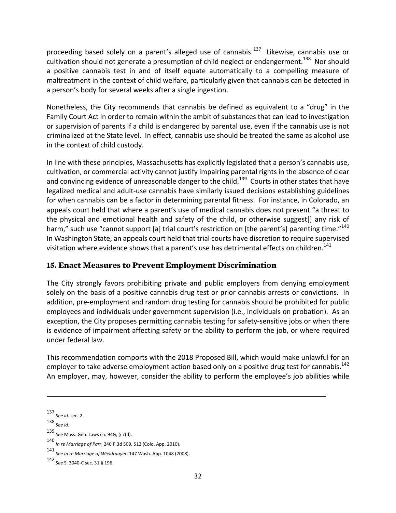proceeding based solely on a parent's alleged use of cannabis.<sup>137</sup> Likewise, cannabis use or cultivation should not generate a presumption of child neglect or endangerment.<sup>138</sup> Nor should a positive cannabis test in and of itself equate automatically to a compelling measure of maltreatment in the context of child welfare, particularly given that cannabis can be detected in a person's body for several weeks after a single ingestion.

Nonetheless, the City recommends that cannabis be defined as equivalent to a "drug" in the Family Court Act in order to remain within the ambit of substances that can lead to investigation or supervision of parents if a child is endangered by parental use, even if the cannabis use is not criminalized at the State level. In effect, cannabis use should be treated the same as alcohol use in the context of child custody.

In line with these principles, Massachusetts has explicitly legislated that a person's cannabis use, cultivation, or commercial activity cannot justify impairing parental rights in the absence of clear and convincing evidence of unreasonable danger to the child.<sup>139</sup> Courts in other states that have legalized medical and adult-use cannabis have similarly issued decisions establishing guidelines for when cannabis can be a factor in determining parental fitness. For instance, in Colorado, an appeals court held that where a parent's use of medical cannabis does not present "a threat to the physical and emotional health and safety of the child, or otherwise suggest[] any risk of harm," such use "cannot support [a] trial court's restriction on [the parent's] parenting time."<sup>140</sup> In Washington State, an appeals court held that trial courts have discretion to require supervised visitation where evidence shows that a parent's use has detrimental effects on children.<sup>141</sup>

#### **15. Enact Measures to Prevent Employment Discrimination**

The City strongly favors prohibiting private and public employers from denying employment solely on the basis of a positive cannabis drug test or prior cannabis arrests or convictions. In addition, pre-employment and random drug testing for cannabis should be prohibited for public employees and individuals under government supervision (i.e., individuals on probation). As an exception, the City proposes permitting cannabis testing for safety-sensitive jobs or when there is evidence of impairment affecting safety or the ability to perform the job, or where required under federal law. 

This recommendation comports with the 2018 Proposed Bill, which would make unlawful for an employer to take adverse employment action based only on a positive drug test for cannabis.<sup>142</sup> An employer, may, however, consider the ability to perform the employee's job abilities while

<u> 1989 - Andrea Santa Andrea Andrea Andrea Andrea Andrea Andrea Andrea Andrea Andrea Andrea Andrea Andrea Andr</u>

<sup>137</sup> *See id.* sec. 2.

<sup>138</sup> *See id*. 

<sup>139&</sup>lt;br>See Mass. Gen. Laws ch. 94G, § 7(d).

<sup>140</sup> *In re Marriage of Parr*, 240 P.3d 509, 512 (Colo. App. 2010). 

<sup>141</sup> *See In re Marriage of Wieldraayer*, 147 Wash. App. 1048 (2008). 

<sup>142</sup> *See* S. 3040-C sec. 31 § 196.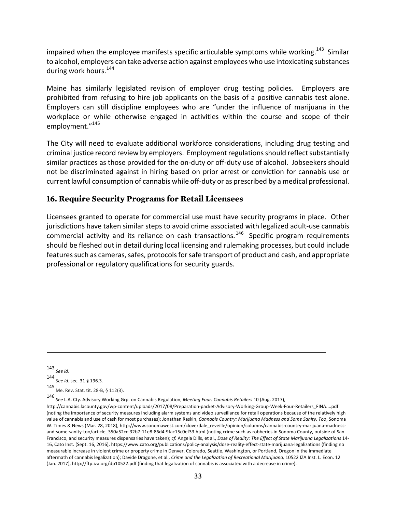impaired when the employee manifests specific articulable symptoms while working.<sup>143</sup> Similar to alcohol, employers can take adverse action against employees who use intoxicating substances during work hours.  $144$ 

Maine has similarly legislated revision of employer drug testing policies. Employers are prohibited from refusing to hire job applicants on the basis of a positive cannabis test alone. Employers can still discipline employees who are "under the influence of marijuana in the workplace or while otherwise engaged in activities within the course and scope of their employment."<sup>145</sup>

The City will need to evaluate additional workforce considerations, including drug testing and criminal justice record review by employers. Employment regulations should reflect substantially similar practices as those provided for the on-duty or off-duty use of alcohol. Jobseekers should not be discriminated against in hiring based on prior arrest or conviction for cannabis use or current lawful consumption of cannabis while off-duty or as prescribed by a medical professional.

#### **16. Require Security Programs for Retail Licensees**

Licensees granted to operate for commercial use must have security programs in place. Other jurisdictions have taken similar steps to avoid crime associated with legalized adult-use cannabis commercial activity and its reliance on cash transactions.<sup>146</sup> Specific program requirements should be fleshed out in detail during local licensing and rulemaking processes, but could include features such as cameras, safes, protocols for safe transport of product and cash, and appropriate professional or regulatory qualifications for security guards.

<sup>143</sup> *See id*. 144 *See id.* sec. 31 § 196.3*.* 145 Me. Rev. Stat. tit. 28-B, § 112(3). 

<sup>146&</sup>lt;br>*See L.A. Cty. Advisory Working Grp. on Cannabis Regulation, Meeting Four: Cannabis Retailers 10 (Aug. 2017),* 

http://cannabis.lacounty.gov/wp-content/uploads/2017/08/Preparation-packet-Advisory-Working-Group-Week-Four-Retailers\_FINA....pdf (noting the importance of security measures including alarm systems and video surveillance for retail operations because of the relatively high value of cannabis and use of cash for most purchases); Jonathan Raskin, *Cannabis Country: Marijuana Madness and Some Sanity, Too*, Sonoma W. Times & News (Mar. 28, 2018), http://www.sonomawest.com/cloverdale\_reveille/opinion/columns/cannabis-country-marijuana-madnessand-some-sanity-too/article\_350a52cc-32b7-11e8-86d4-9fac15c0ef33.html (noting crime such as robberies in Sonoma County, outside of San Francisco, and security measures dispensaries have taken); cf. Angela Dills, et al., Dose of Reality: The Effect of State Marijuana Legalizations 14-16, Cato Inst. (Sept. 16, 2016), https://www.cato.org/publications/policy-analysis/dose-reality-effect-state-marijuana-legalizations (finding no measurable increase in violent crime or property crime in Denver, Colorado, Seattle, Washington, or Portland, Oregon in the immediate aftermath of cannabis legalization); Davide Dragone, et al., *Crime and the Legalization of Recreational Marijuana*, 10522 IZA Inst. L. Econ. 12 (Jan. 2017), http://ftp.iza.org/dp10522.pdf (finding that legalization of cannabis is associated with a decrease in crime).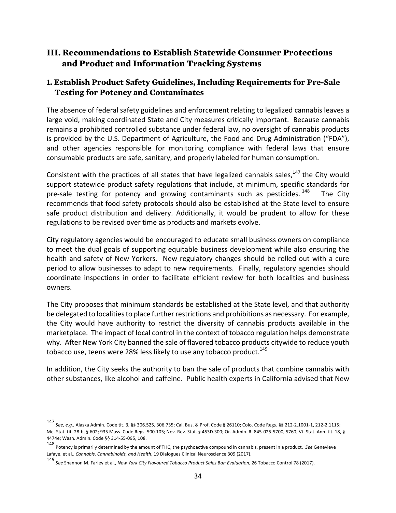# **III. Recommendations to Establish Statewide Consumer Protections and Product and Information Tracking Systems**

#### **1. Establish Product Safety Guidelines, Including Requirements for Pre-Sale Testing for Potency and Contaminates**

The absence of federal safety guidelines and enforcement relating to legalized cannabis leaves a large void, making coordinated State and City measures critically important. Because cannabis remains a prohibited controlled substance under federal law, no oversight of cannabis products is provided by the U.S. Department of Agriculture, the Food and Drug Administration ("FDA"), and other agencies responsible for monitoring compliance with federal laws that ensure consumable products are safe, sanitary, and properly labeled for human consumption.

Consistent with the practices of all states that have legalized cannabis sales,  $147$  the City would support statewide product safety regulations that include, at minimum, specific standards for pre-sale testing for potency and growing contaminants such as pesticides.  $148$ The City recommends that food safety protocols should also be established at the State level to ensure safe product distribution and delivery. Additionally, it would be prudent to allow for these regulations to be revised over time as products and markets evolve.

City regulatory agencies would be encouraged to educate small business owners on compliance to meet the dual goals of supporting equitable business development while also ensuring the health and safety of New Yorkers. New regulatory changes should be rolled out with a cure period to allow businesses to adapt to new requirements. Finally, regulatory agencies should coordinate inspections in order to facilitate efficient review for both localities and business owners. 

The City proposes that minimum standards be established at the State level, and that authority be delegated to localities to place further restrictions and prohibitions as necessary. For example, the City would have authority to restrict the diversity of cannabis products available in the marketplace. The impact of local control in the context of tobacco regulation helps demonstrate why. After New York City banned the sale of flavored tobacco products citywide to reduce youth tobacco use, teens were 28% less likely to use any tobacco product.<sup>149</sup>

In addition, the City seeks the authority to ban the sale of products that combine cannabis with other substances, like alcohol and caffeine. Public health experts in California advised that New

<sup>147&</sup>lt;br>*See, e.g.,* Alaska Admin. Code tit. 3, §§ 306.525, 306.735; Cal. Bus. & Prof. Code § 26110; Colo. Code Regs. §§ 212-2.1001-1, 212-2.1115; Me. Stat. tit. 28-b, § 602; 935 Mass. Code Regs. 500.105; Nev. Rev. Stat. § 453D.300; Or. Admin. R. 845-025-5700, 5760; Vt. Stat. Ann. tit. 18, § 4474e; Wash. Admin. Code §§ 314-55-095, 108.

<sup>148&</sup>lt;br>Potency is primarily determined by the amount of THC, the psychoactive compound in cannabis, present in a product. See Genevieve Lafaye, et al., *Cannabis, Cannabinoids, and Health*, 19 Dialogues Clinical Neuroscience 309 (2017).

<sup>149&</sup>lt;br>*See* Shannon M. Farley et al., *New York City Flavoured Tobacco Product Sales Ban Evaluation, 26* Tobacco Control 78 (2017).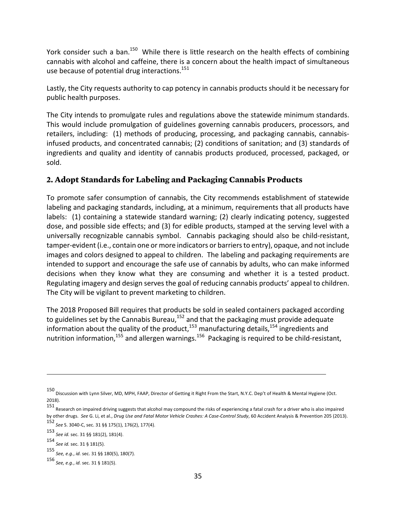York consider such a ban.<sup>150</sup> While there is little research on the health effects of combining cannabis with alcohol and caffeine, there is a concern about the health impact of simultaneous use because of potential drug interactions.<sup>151</sup>

Lastly, the City requests authority to cap potency in cannabis products should it be necessary for public health purposes.

The City intends to promulgate rules and regulations above the statewide minimum standards. This would include promulgation of guidelines governing cannabis producers, processors, and retailers, including: (1) methods of producing, processing, and packaging cannabis, cannabisinfused products, and concentrated cannabis; (2) conditions of sanitation; and (3) standards of ingredients and quality and identity of cannabis products produced, processed, packaged, or sold. 

#### **2. Adopt Standards for Labeling and Packaging Cannabis Products**

To promote safer consumption of cannabis, the City recommends establishment of statewide labeling and packaging standards, including, at a minimum, requirements that all products have labels:  $(1)$  containing a statewide standard warning;  $(2)$  clearly indicating potency, suggested dose, and possible side effects; and (3) for edible products, stamped at the serving level with a universally recognizable cannabis symbol. Cannabis packaging should also be child-resistant, tamper-evident (i.e., contain one or more indicators or barriers to entry), opaque, and not include images and colors designed to appeal to children. The labeling and packaging requirements are intended to support and encourage the safe use of cannabis by adults, who can make informed decisions when they know what they are consuming and whether it is a tested product. Regulating imagery and design serves the goal of reducing cannabis products' appeal to children. The City will be vigilant to prevent marketing to children.

The 2018 Proposed Bill requires that products be sold in sealed containers packaged according to guidelines set by the Cannabis Bureau, $^{152}$  and that the packaging must provide adequate information about the quality of the product,<sup>153</sup> manufacturing details,<sup>154</sup> ingredients and nutrition information,<sup>155</sup> and allergen warnings.<sup>156</sup> Packaging is required to be child-resistant,

<sup>150&</sup>lt;br>Discussion with Lynn Silver, MD, MPH, FAAP, Director of Getting it Right From the Start, N.Y.C. Dep't of Health & Mental Hygiene (Oct. 2018). 

<sup>151&</sup>lt;br>Research on impaired driving suggests that alcohol may compound the risks of experiencing a fatal crash for a driver who is also impaired by other drugs. See G. Li, et al., *Drug Use and Fatal Motor Vehicle Crashes: A Case-Control Study*, 60 Accident Analysis & Prevention 205 (2013).

<sup>152&</sup>lt;br>See S. 3040-C, sec. 31 §§ 175(1), 176(2), 177(4).

<sup>153</sup> *See id.* sec. 31 §§ 181(2), 181(4).

<sup>154</sup> *See id.* sec. 31 § 181(5).

<sup>155</sup> *See, e.g.*, *id.* sec. 31 §§ 180(5), 180(7).

<sup>156</sup> *See, e.g.*, *id.* sec. 31 § 181(5).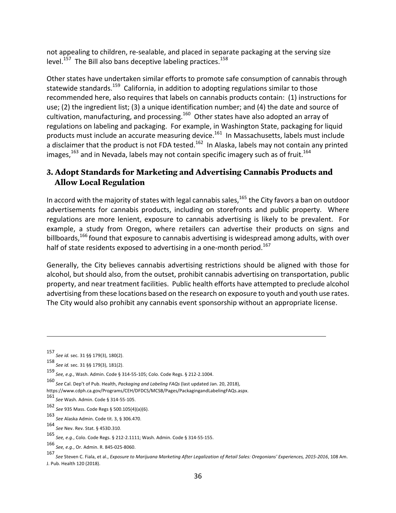not appealing to children, re-sealable, and placed in separate packaging at the serving size level.<sup>157</sup> The Bill also bans deceptive labeling practices.<sup>158</sup>

Other states have undertaken similar efforts to promote safe consumption of cannabis through statewide standards.<sup>159</sup> California, in addition to adopting regulations similar to those recommended here, also requires that labels on cannabis products contain: (1) instructions for use; (2) the ingredient list; (3) a unique identification number; and (4) the date and source of cultivation, manufacturing, and processing.<sup>160</sup> Other states have also adopted an array of regulations on labeling and packaging. For example, in Washington State, packaging for liquid products must include an accurate measuring device.<sup>161</sup> In Massachusetts, labels must include a disclaimer that the product is not FDA tested.<sup>162</sup> In Alaska, labels may not contain any printed images,  $163$  and in Nevada, labels may not contain specific imagery such as of fruit.<sup>164</sup>

# **3. Adopt Standards for Marketing and Advertising Cannabis Products and Allow Local Regulation**

In accord with the majority of states with legal cannabis sales, $165$  the City favors a ban on outdoor advertisements for cannabis products, including on storefronts and public property. Where regulations are more lenient, exposure to cannabis advertising is likely to be prevalent. For example, a study from Oregon, where retailers can advertise their products on signs and billboards,  $166$  found that exposure to cannabis advertising is widespread among adults, with over half of state residents exposed to advertising in a one-month period.<sup>167</sup>

Generally, the City believes cannabis advertising restrictions should be aligned with those for alcohol, but should also, from the outset, prohibit cannabis advertising on transportation, public property, and near treatment facilities. Public health efforts have attempted to preclude alcohol advertising from these locations based on the research on exposure to youth and youth use rates. The City would also prohibit any cannabis event sponsorship without an appropriate license.

<sup>157</sup> *See id.* sec. 31 §§ 179(3), 180(2).

<sup>158</sup> *See id.* sec. 31 §§ 179(3), 181(2).

<sup>159&</sup>lt;br>See, e.g., Wash. Admin. Code § 314-55-105; Colo. Code Regs. § 212-2.1004.

<sup>160&</sup>lt;br>See Cal. Dep't of Pub. Health, *Packaging and Labeling FAQs* (last updated Jan. 20, 2018),

https://www.cdph.ca.gov/Programs/CEH/DFDCS/MCSB/Pages/PackagingandLabelingFAQs.aspx.

<sup>161</sup> *See* Wash. Admin. Code § 314-55-105.

<sup>162</sup> *See* 935 Mass. Code Regs § 500.105(4)(a)(6).

<sup>163</sup> *See* Alaska Admin. Code tit. 3, § 306.470.

<sup>164</sup> *See* Nev. Rev. Stat. § 453D.310.

<sup>165&</sup>lt;br>*See, e.g.,* Colo. Code Regs. § 212-2.1111; Wash. Admin. Code § 314-55-155.

<sup>166&</sup>lt;br>*See, e.g.,* Or. Admin. R. 845-025-8060.

<sup>167&</sup>lt;br>*See S*teven C. Fiala, et al., *Exposure to Marijuana Marketing After Legalization of Retail Sales: Oregonians' Experiences, 2015-2016, 108 Am.* J. Pub. Health 120 (2018).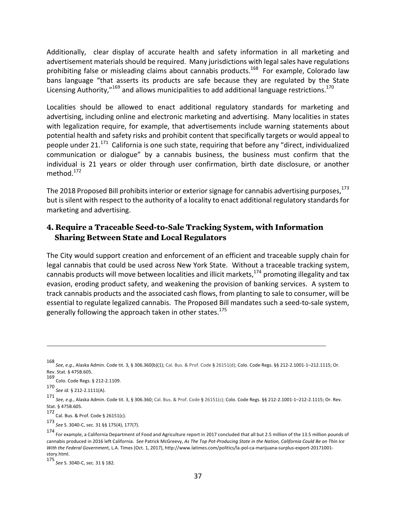Additionally, clear display of accurate health and safety information in all marketing and advertisement materials should be required. Many jurisdictions with legal sales have regulations prohibiting false or misleading claims about cannabis products.<sup>168</sup> For example, Colorado law bans language "that asserts its products are safe because they are regulated by the State Licensing Authority,"<sup>169</sup> and allows municipalities to add additional language restrictions.<sup>170</sup>

Localities should be allowed to enact additional regulatory standards for marketing and advertising, including online and electronic marketing and advertising. Many localities in states with legalization require, for example, that advertisements include warning statements about potential health and safety risks and prohibit content that specifically targets or would appeal to people under 21.<sup>171</sup> California is one such state, requiring that before any "direct, individualized communication or dialogue" by a cannabis business, the business must confirm that the individual is 21 years or older through user confirmation, birth date disclosure, or another method.<sup>172</sup>

The 2018 Proposed Bill prohibits interior or exterior signage for cannabis advertising purposes, $^{173}$ but is silent with respect to the authority of a locality to enact additional regulatory standards for marketing and advertising.

#### **4. Require a Traceable Seed-to-Sale Tracking System, with Information Sharing Between State and Local Regulators**

The City would support creation and enforcement of an efficient and traceable supply chain for legal cannabis that could be used across New York State. Without a traceable tracking system, cannabis products will move between localities and illicit markets, $174$  promoting illegality and tax evasion, eroding product safety, and weakening the provision of banking services. A system to track cannabis products and the associated cash flows, from planting to sale to consumer, will be essential to regulate legalized cannabis. The Proposed Bill mandates such a seed-to-sale system, generally following the approach taken in other states.<sup>175</sup>

<u> 1989 - Jan Samuel Barbara, martxa a shekara tsa 1989 - An tsa 1989 - An tsa 1989 - An tsa 1989 - An tsa 198</u>

173 *See* S. 3040-C, sec. 31 §§ 175(4), 177(7). 

<sup>168&</sup>lt;br>See, e.g., Alaska Admin. Code tit. 3, § 306.360(b)(1); Cal. Bus. & Prof. Code § 26151(d); Colo. Code Regs. §§ 212-2.1001-1–212.1115; Or. Rev. Stat. § 475B.605. 

<sup>169</sup> Colo. Code Regs. § 212-2.1109.

<sup>170</sup> *See id.* § 212-2.1111(A).

<sup>171&</sup>lt;br>*See, e.g.,* Alaska Admin. Code tit. 3, § 306.360; Cal. Bus. & Prof. Code § 26151(c); Colo. Code Regs. §§ 212-2.1001-1–212-2.1115; Or. Rev. Stat. § 475B.605.

<sup>172</sup> Cal. Bus. & Prof. Code § 26151(c).

<sup>174&</sup>lt;br>For example, a California Department of Food and Agriculture report in 2017 concluded that all but 2.5 million of the 13.5 million pounds of cannabis produced in 2016 left California. See Patrick McGreevy, As The Top Pot-Producing State in the Nation, California Could Be on Thin Ice *With the Federal Government*, L.A. Times (Oct. 1, 2017), http://www.latimes.com/politics/la-pol-ca-marijuana-surplus-export-20171001story.html. 

<sup>175</sup> *See* S. 3040-C, sec. 31 § 182.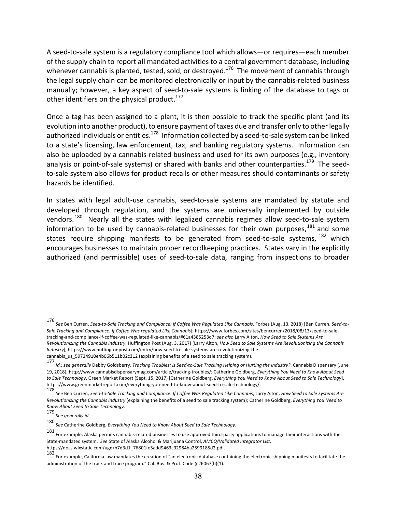A seed-to-sale system is a regulatory compliance tool which allows—or requires—each member of the supply chain to report all mandated activities to a central government database, including whenever cannabis is planted, tested, sold, or destroyed.<sup>176</sup> The movement of cannabis through the legal supply chain can be monitored electronically or input by the cannabis-related business manually; however, a key aspect of seed-to-sale systems is linking of the database to tags or other identifiers on the physical product.<sup>177</sup>

Once a tag has been assigned to a plant, it is then possible to track the specific plant (and its evolution into another product), to ensure payment of taxes due and transfer only to other legally authorized individuals or entities.<sup>178</sup> Information collected by a seed-to-sale system can be linked to a state's licensing, law enforcement, tax, and banking regulatory systems. Information can also be uploaded by a cannabis-related business and used for its own purposes (e.g., inventory analysis or point-of-sale systems) or shared with banks and other counterparties.<sup>179</sup> The seedto-sale system also allows for product recalls or other measures should contaminants or safety hazards be identified. 

In states with legal adult-use cannabis, seed-to-sale systems are mandated by statute and developed through regulation, and the systems are universally implemented by outside vendors.<sup>180</sup> Nearly all the states with legalized cannabis regimes allow seed-to-sale system information to be used by cannabis-related businesses for their own purposes,  $^{181}$  and some states require shipping manifests to be generated from seed-to-sale systems,  $^{182}$  which encourages businesses to maintain proper recordkeeping practices. States vary in the explicitly authorized (and permissible) uses of seed-to-sale data, ranging from inspections to broader

<sup>176&</sup>lt;br>See Ben Curren, Seed-to-Sale Tracking and Compliance: If Coffee Was Regulated Like Cannabis, Forbes (Aug. 13, 2018) [Ben Curren, Seed-to-Sale Tracking and Compliance: If Coffee Was regulated Like Cannabis], https://www.forbes.com/sites/bencurren/2018/08/13/seed-to-saletracking-and-compliance-if-coffee-was-regulated-like-cannabis/#61a4385253d7; see also Larry Alton, *How Seed to Sale Systems Are* Revolutionizing the Cannabis Industry, Huffington Post (Aug. 3, 2017) [Larry Alton, *How Seed to Sale Systems Are Revolutionizing the Cannabis Industry*], https://www.huffingtonpost.com/entry/how-seed-to-sale-systems-are-revolutionizing-the-

cannabis\_us\_59724910e4b06b511b02c312 (explaining benefits of a seed to sale tracking system).

<sup>177</sup> Id.; see generally Debby Goldsberry, *Tracking Troubles: Is Seed-to-Sale Tracking Helping or Hurting the Industry?, Cannabis Dispensary (June* 19, 2018), http://www.cannabisdispensarymag.com/article/tracking-troubles/; Catherine Goldberg, *Everything You Need to Know About Seed* to Sale Technology, Green Market Report (Sept. 15, 2017) [Catherine Goldberg, *Everything You Need to Know About Seed to Sale Technology*], https://www.greenmarketreport.com/everything-you-need-to-know-about-seed-to-sale-technology/. 

<sup>178&</sup>lt;br>*See* Ben Curren, Seed-to-Sale Tracking and Compliance: If Coffee Was Regulated Like Cannabis; Larry Alton, How Seed to Sale Systems Are *Revolutionizing the Cannabis Industry* (explaining the benefits of a seed to sale tracking system); Catherine Goldberg, *Everything You Need to Know About Seed to Sale Technology.*

<sup>179</sup> *See generally id.* 

<sup>180&</sup>lt;br>See Catherine Goldberg, *Everything You Need to Know About Seed to Sale Technology*.

<sup>181&</sup>lt;br>For example, Alaska permits cannabis-related businesses to use approved third-party applications to manage their interactions with the State-mandated system. See State of Alaska Alcohol & Marijuana Control, *AMCO/Validated Integrator List*, https://docs.wixstatic.com/ugd/b7d3d1\_76801fe5add9463c92984ba2599185d2.pdf. 

<sup>182&</sup>lt;br>For example, California law mandates the creation of "an electronic database containing the electronic shipping manifests to facilitate the administration of the track and trace program." Cal. Bus. & Prof. Code § 26067(b)(1).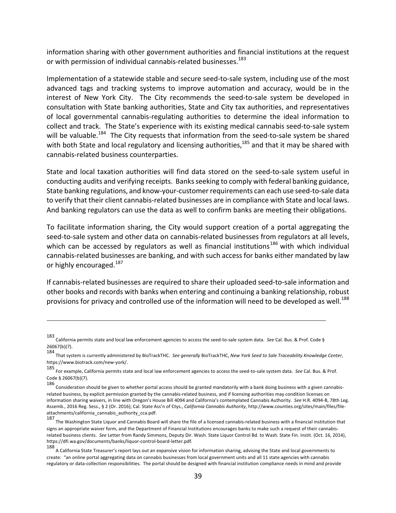information sharing with other government authorities and financial institutions at the request or with permission of individual cannabis-related businesses.<sup>183</sup>

Implementation of a statewide stable and secure seed-to-sale system, including use of the most advanced tags and tracking systems to improve automation and accuracy, would be in the interest of New York City. The City recommends the seed-to-sale system be developed in consultation with State banking authorities, State and City tax authorities, and representatives of local governmental cannabis-regulating authorities to determine the ideal information to collect and track. The State's experience with its existing medical cannabis seed-to-sale system will be valuable.<sup>184</sup> The City requests that information from the seed-to-sale system be shared with both State and local regulatory and licensing authorities,  $^{185}$  and that it may be shared with cannabis-related business counterparties.

State and local taxation authorities will find data stored on the seed-to-sale system useful in conducting audits and verifying receipts. Banks seeking to comply with federal banking guidance, State banking regulations, and know-your-customer requirements can each use seed-to-sale data to verify that their client cannabis-related businesses are in compliance with State and local laws. And banking regulators can use the data as well to confirm banks are meeting their obligations.

To facilitate information sharing, the City would support creation of a portal aggregating the seed-to-sale system and other data on cannabis-related businesses from regulators at all levels, which can be accessed by regulators as well as financial institutions<sup>186</sup> with which individual cannabis-related businesses are banking, and with such access for banks either mandated by law or highly encouraged.<sup>187</sup>

If cannabis-related businesses are required to share their uploaded seed-to-sale information and other books and records with banks when entering and continuing a banking relationship, robust provisions for privacy and controlled use of the information will need to be developed as well.<sup>188</sup>

<sup>183&</sup>lt;br>California permits state and local law enforcement agencies to access the seed-to-sale system data. *See* Cal. Bus. & Prof. Code § 26067(b)(7). 

<sup>184&</sup>lt;br>That system is currently administered by BioTrackTHC. *See generally* BioTrackTHC, *New York Seed to Sale Traceability Knowledge Center*, https://www.biotrack.com/new-york/. 

<sup>185&</sup>lt;br>For example, California permits state and local law enforcement agencies to access the seed-to-sale system data. See Cal. Bus. & Prof. Code § 26067(b)(7).

<sup>186&</sup>lt;br>Consideration should be given to whether portal access should be granted mandatorily with a bank doing business with a given cannabisrelated business, by explicit permission granted by the cannabis-related business, and if licensing authorities may condition licenses on information sharing waivers, in line with Oregon's House Bill 4094 and California's contemplated Cannabis Authority. See H.R. 4094-B, 78th Leg. Assemb., 2016 Reg. Sess., § 2 (Or. 2016); Cal. State Ass'n of Ctys., *California Cannabis Authority*, http://www.counties.org/sites/main/files/fileattachments/california\_cannabis\_authority\_cca.pdf. 

<sup>187&</sup>lt;br>The Washington State Liquor and Cannabis Board will share the file of a licensed cannabis-related business with a financial institution that signs an appropriate waiver form, and the Department of Financial Institutions encourages banks to make such a request of their cannabisrelated business clients. See Letter from Randy Simmons, Deputy Dir. Wash. State Liquor Control Bd. to Wash. State Fin. Instit. (Oct. 16, 2014), https://dfi.wa.gov/documents/banks/liquor-control-board-letter.pdf. 

<sup>188&</sup>lt;br>A California State Treasurer's report lays out an expansive vision for information sharing, advising the State and local governments to create: "an online portal aggregating data on cannabis businesses from local government units and all 11 state agencies with cannabis regulatory or data-collection responsibilities. The portal should be designed with financial institution compliance needs in mind and provide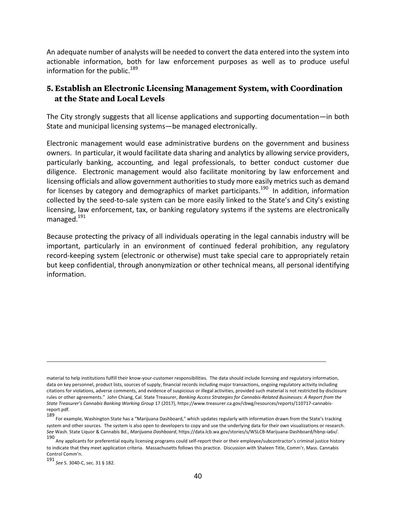An adequate number of analysts will be needed to convert the data entered into the system into actionable information, both for law enforcement purposes as well as to produce useful information for the public.<sup>189</sup>

#### **5. Establish an Electronic Licensing Management System, with Coordination at the State and Local Levels**

The City strongly suggests that all license applications and supporting documentation—in both State and municipal licensing systems—be managed electronically.

Electronic management would ease administrative burdens on the government and business owners. In particular, it would facilitate data sharing and analytics by allowing service providers, particularly banking, accounting, and legal professionals, to better conduct customer due diligence. Electronic management would also facilitate monitoring by law enforcement and licensing officials and allow government authorities to study more easily metrics such as demand for licenses by category and demographics of market participants.<sup>190</sup> In addition, information collected by the seed-to-sale system can be more easily linked to the State's and City's existing licensing, law enforcement, tax, or banking regulatory systems if the systems are electronically managed.<sup>191</sup>

Because protecting the privacy of all individuals operating in the legal cannabis industry will be important, particularly in an environment of continued federal prohibition, any regulatory record-keeping system (electronic or otherwise) must take special care to appropriately retain but keep confidential, through anonymization or other technical means, all personal identifying information. 

material to help institutions fulfill their know-your-customer responsibilities. The data should include licensing and regulatory information, data on key personnel, product lists, sources of supply, financial records including major transactions, ongoing regulatory activity including citations for violations, adverse comments, and evidence of suspicious or illegal activities, provided such material is not restricted by disclosure rules or other agreements." John Chiang, Cal. State Treasurer, *Banking Access Strategies for Cannabis-Related Businesses: A Report from the* State Treasurer's Cannabis Banking Working Group 17 (2017), https://www.treasurer.ca.gov/cbwg/resources/reports/110717-cannabisreport.pdf. 

<sup>189&</sup>lt;br>For example, Washington State has a "Marijuana Dashboard," which updates regularly with information drawn from the State's tracking system and other sources. The system is also open to developers to copy and use the underlying data for their own visualizations or research. See Wash. State Liquor & Cannabis Bd., Marijuana Dashboard, https://data.lcb.wa.gov/stories/s/WSLCB-Marijuana-Dashboard/hbnp-ia6v/.

<sup>190&</sup>lt;br>Any applicants for preferential equity licensing programs could self-report their or their employee/subcontractor's criminal justice history to indicate that they meet application criteria. Massachusetts follows this practice. Discussion with Shaleen Title, Comm'r, Mass. Cannabis Control Comm'n. 

<sup>191&</sup>lt;br>*See* S. 3040-C, sec. 31 § 182.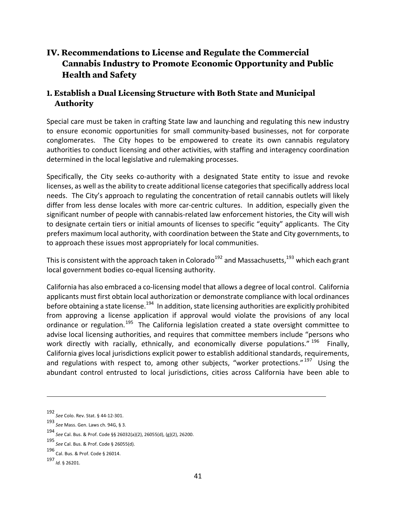# **IV. Recommendations to License and Regulate the Commercial Cannabis Industry to Promote Economic Opportunity and Public Health and Safety**

# **1. Establish a Dual Licensing Structure with Both State and Municipal Authority**

Special care must be taken in crafting State law and launching and regulating this new industry to ensure economic opportunities for small community-based businesses, not for corporate conglomerates. The City hopes to be empowered to create its own cannabis regulatory authorities to conduct licensing and other activities, with staffing and interagency coordination determined in the local legislative and rulemaking processes.

Specifically, the City seeks co-authority with a designated State entity to issue and revoke licenses, as well as the ability to create additional license categories that specifically address local needs. The City's approach to regulating the concentration of retail cannabis outlets will likely differ from less dense locales with more car-centric cultures. In addition, especially given the significant number of people with cannabis-related law enforcement histories, the City will wish to designate certain tiers or initial amounts of licenses to specific "equity" applicants. The City prefers maximum local authority, with coordination between the State and City governments, to to approach these issues most appropriately for local communities.

This is consistent with the approach taken in Colorado<sup>192</sup> and Massachusetts,<sup>193</sup> which each grant local government bodies co-equal licensing authority.

California has also embraced a co-licensing model that allows a degree of local control. California applicants must first obtain local authorization or demonstrate compliance with local ordinances before obtaining a state license.<sup>194</sup> In addition, state licensing authorities are explicitly prohibited from approving a license application if approval would violate the provisions of any local ordinance or regulation.<sup>195</sup> The California legislation created a state oversight committee to advise local licensing authorities, and requires that committee members include "persons who work directly with racially, ethnically, and economically diverse populations." <sup>196</sup> Finally, California gives local jurisdictions explicit power to establish additional standards, requirements, and regulations with respect to, among other subjects, "worker protections."  $197$  Using the abundant control entrusted to local jurisdictions, cities across California have been able to

<u> 1989 - Andrea San Andrew Maria (h. 1989).</u><br>1900 - Andrew Maria (h. 1980).

<sup>192</sup> *See* Colo. Rev. Stat. § 44-12-301. 

<sup>193&</sup>lt;br>*See* Mass. Gen. Laws ch. 94G, § 3.

<sup>194</sup> *See* Cal. Bus. & Prof. Code §§ 26032(a)(2), 26055(d), (g)(2), 26200. 

<sup>195</sup> *See* Cal. Bus. & Prof. Code § 26055(d). 

<sup>196</sup> Cal. Bus. & Prof. Code § 26014. 

<sup>197</sup> *Id.* § 26201.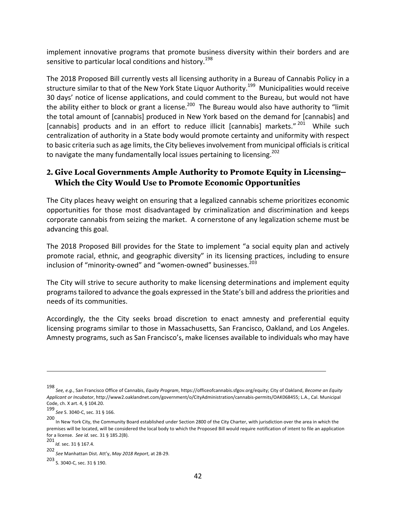implement innovative programs that promote business diversity within their borders and are sensitive to particular local conditions and history.<sup>198</sup>

The 2018 Proposed Bill currently vests all licensing authority in a Bureau of Cannabis Policy in a structure similar to that of the New York State Liquor Authority.<sup>199</sup> Municipalities would receive 30 days' notice of license applications, and could comment to the Bureau, but would not have the ability either to block or grant a license.<sup>200</sup> The Bureau would also have authority to "limit the total amount of [cannabis] produced in New York based on the demand for [cannabis] and [cannabis] products and in an effort to reduce illicit [cannabis] markets."<sup>201</sup> While such centralization of authority in a State body would promote certainty and uniformity with respect to basic criteria such as age limits, the City believes involvement from municipal officials is critical to navigate the many fundamentally local issues pertaining to licensing.<sup>202</sup>

#### **2. Give Local Governments Ample Authority to Promote Equity in Licensing— Which the City Would Use to Promote Economic Opportunities**

The City places heavy weight on ensuring that a legalized cannabis scheme prioritizes economic opportunities for those most disadvantaged by criminalization and discrimination and keeps corporate cannabis from seizing the market. A cornerstone of any legalization scheme must be advancing this goal.

The 2018 Proposed Bill provides for the State to implement "a social equity plan and actively promote racial, ethnic, and geographic diversity" in its licensing practices, including to ensure inclusion of "minority-owned" and "women-owned" businesses.<sup>203</sup>

The City will strive to secure authority to make licensing determinations and implement equity programs tailored to advance the goals expressed in the State's bill and address the priorities and needs of its communities.

Accordingly, the the City seeks broad discretion to enact amnesty and preferential equity licensing programs similar to those in Massachusetts, San Francisco, Oakland, and Los Angeles. Amnesty programs, such as San Francisco's, make licenses available to individuals who may have

<u> 1989 - Jan Samuel Barbara, martxa a shekara tsa 1989 - An tsa 1989 - An tsa 1989 - An tsa 1989 - An tsa 198</u>

203<br>S. 3040-C, sec. 31 § 190.

<sup>198&</sup>lt;br>See, e.g., San Francisco Office of Cannabis, *Equity Program*, https://officeofcannabis.sfgov.org/equity; City of Oakland, *Become an Equity* Applicant or Incubator, http://www2.oaklandnet.com/government/o/CityAdministration/cannabis-permits/OAK068455; L.A., Cal. Municipal Code, ch. X art. 4, § 104.20.

<sup>199</sup> *See* S. 3040-C, sec. 31 § 166. 

<sup>200</sup> In New York City, the Community Board established under Section 2800 of the City Charter, with jurisdiction over the area in which the premises will be located, will be considered the local body to which the Proposed Bill would require notification of intent to file an application for a license. See id. sec. 31 § 185.2(B).

<sup>201</sup> *Id.* sec. 31 § 167.4. 

<sup>202</sup> *See* Manhattan Dist. Att'y, *May 2018 Report*, at 28-29.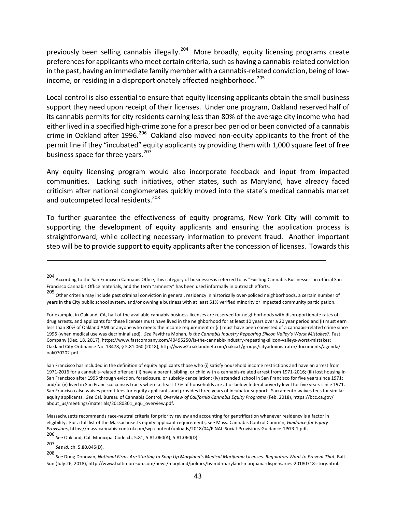previously been selling cannabis illegally.<sup>204</sup> More broadly, equity licensing programs create preferences for applicants who meet certain criteria, such as having a cannabis-related conviction in the past, having an immediate family member with a cannabis-related conviction, being of lowincome, or residing in a disproportionately affected neighborhood.<sup>205</sup>

Local control is also essential to ensure that equity licensing applicants obtain the small business support they need upon receipt of their licenses. Under one program, Oakland reserved half of its cannabis permits for city residents earning less than 80% of the average city income who had either lived in a specified high-crime zone for a prescribed period or been convicted of a cannabis crime in Oakland after 1996.<sup>206</sup> Oakland also moved non-equity applicants to the front of the permit line if they "incubated" equity applicants by providing them with 1,000 square feet of free business space for three years. $207$ 

Any equity licensing program would also incorporate feedback and input from impacted communities. Lacking such initiatives, other states, such as Maryland, have already faced criticism after national conglomerates quickly moved into the state's medical cannabis market and outcompeted local residents.<sup>208</sup>

To further guarantee the effectiveness of equity programs, New York City will commit to supporting the development of equity applicants and ensuring the application process is straightforward, while collecting necessary information to prevent fraud. Another important step will be to provide support to equity applicants after the concession of licenses. Towards this

<u> 1989 - Andrea San Andrew Maria (h. 1989).</u><br>1900 - Andrew Maria (h. 1980).

For example, in Oakland, CA, half of the available cannabis business licenses are reserved for neighborhoods with disproportionate rates of drug arrests, and applicants for these licenses must have lived in the neighborhood for at least 10 years over a 20 year period and (i) must earn less than 80% of Oakland AMI or anyone who meets the income requirement or (ii) must have been convicted of a cannabis-related crime since 1996 (when medical use was decriminalized). See Pavithra Mohan, Is the Cannabis Industry Repeating Silicon Valley's Worst Mistakes?, Fast Company (Dec. 18, 2017), https://www.fastcompany.com/40495250/is-the-cannabis-industry-repeating-silicon-valleys-worst-mistakes; Oakland City Ordinance No. 13478, § 5.81.060 (2018), http://www2.oaklandnet.com/oakca1/groups/cityadministrator/documents/agenda/ oak070202.pdf. 

San Francisco has included in the definition of equity applicants those who (i) satisfy household income restrictions and have an arrest from 1971-2016 for a cannabis-related offense; (ii) have a parent, sibling, or child with a cannabis-related arrest from 1971-2016; (iii) lost housing in San Francisco after 1995 through eviction, foreclosure, or subsidy cancellation; (iv) attended school in San Francisco for five years since 1971; and/or (v) lived in San Francisco census tracts where at least 17% of households are at or below federal poverty level for five years since 1971. San Francisco also waives permit fees for equity applicants and provides three years of incubator support. Sacramento waives fees for similar equity applicants. See Cal. Bureau of Cannabis Control, Overview of California Cannabis Equity Programs (Feb. 2018), https://bcc.ca.gov/ about\_us/meetings/materials/20180301\_equ\_overview.pdf. 

Massachusetts recommends race-neutral criteria for priority review and accounting for gentrification whenever residency is a factor in eligibility. For a full list of the Massachusetts equity applicant requirements, see Mass. Cannabis Control Comm'n, Guidance for Equity *Provisions*, https://mass-cannabis-control.com/wp-content/uploads/2018/04/FINAL-Social-Provisions-Guidance-1PGR-1.pdf.

206 *See* Oakland, Cal. Municipal Code ch. 5.81, 5.81.060(A), 5.81.060(D). 

207 *See id.* ch. 5.80.045(D). 

208<br>See Doug Donovan, National Firms Are Starting to Snap Up Maryland's Medical Marijuana Licenses. Regulators Want to Prevent That, Balt. Sun (July 26, 2018), http://www.baltimoresun.com/news/maryland/politics/bs-md-maryland-marijuana-dispensaries-20180718-story.html.

<sup>204&</sup>lt;br>According to the San Francisco Cannabis Office, this category of businesses is referred to as "Existing Cannabis Businesses" in official San Francisco Cannabis Office materials, and the term "amnesty" has been used informally in outreach efforts.

<sup>205&</sup>lt;br>Other criteria may include past criminal conviction in general, residency in historically over-policed neighborhoods, a certain number of years in the City public school system, and/or owning a business with at least 51% verified minority or impacted community participation.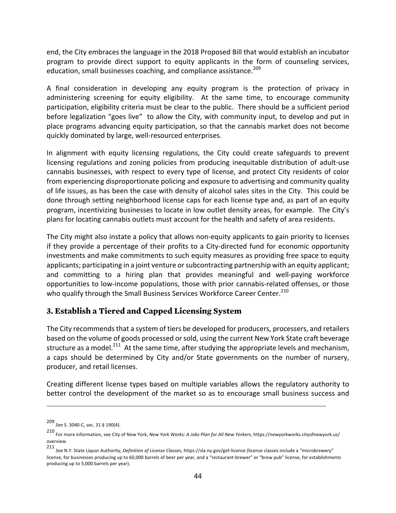end, the City embraces the language in the 2018 Proposed Bill that would establish an incubator program to provide direct support to equity applicants in the form of counseling services, education, small businesses coaching, and compliance assistance.<sup>209</sup>

A final consideration in developing any equity program is the protection of privacy in administering screening for equity eligibility. At the same time, to encourage community participation, eligibility criteria must be clear to the public. There should be a sufficient period before legalization "goes live" to allow the City, with community input, to develop and put in place programs advancing equity participation, so that the cannabis market does not become quickly dominated by large, well-resourced enterprises.

In alignment with equity licensing regulations, the City could create safeguards to prevent licensing regulations and zoning policies from producing inequitable distribution of adult-use cannabis businesses, with respect to every type of license, and protect City residents of color from experiencing disproportionate policing and exposure to advertising and community quality of life issues, as has been the case with density of alcohol sales sites in the City. This could be done through setting neighborhood license caps for each license type and, as part of an equity program, incentivizing businesses to locate in low outlet density areas, for example. The City's plans for locating cannabis outlets must account for the health and safety of area residents.

The City might also instate a policy that allows non-equity applicants to gain priority to licenses if they provide a percentage of their profits to a City-directed fund for economic opportunity investments and make commitments to such equity measures as providing free space to equity applicants; participating in a joint venture or subcontracting partnership with an equity applicant; and committing to a hiring plan that provides meaningful and well-paying workforce opportunities to low-income populations, those with prior cannabis-related offenses, or those who qualify through the Small Business Services Workforce Career Center.<sup>210</sup>

#### **3. Establish a Tiered and Capped Licensing System**

The City recommends that a system of tiers be developed for producers, processers, and retailers based on the volume of goods processed or sold, using the current New York State craft beverage structure as a model.<sup>211</sup> At the same time, after studying the appropriate levels and mechanism, a caps should be determined by City and/or State governments on the number of nursery, producer, and retail licenses.

Creating different license types based on multiple variables allows the regulatory authority to better control the development of the market so as to encourage small business success and

<sup>209</sup> *See* S. 3040-C, sec. 31 § 190(4). 

<sup>210&</sup>lt;br>For more information, see City of New York, *New York Works: A Jobs Plan for All New Yorkers*, https://newyorkworks.cityofnewyork.us/ overview. 

<sup>211</sup> See N.Y. State Liquor Authority, *Definition of License Classes*, https://sla.ny.gov/get-license (license classes include a "microbrewery" license, for businesses producing up to 60,000 barrels of beer per year, and a "restaurant-brewer" or "brew pub" license, for establishments producing up to 5,000 barrels per year).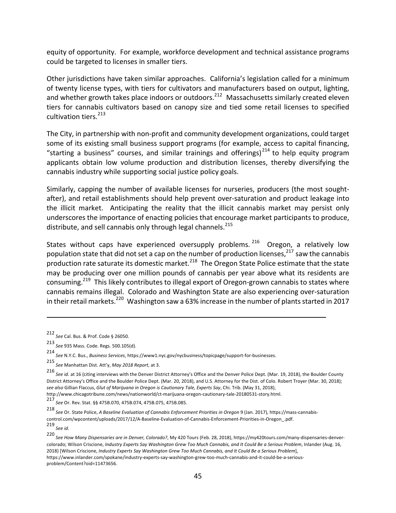equity of opportunity. For example, workforce development and technical assistance programs could be targeted to licenses in smaller tiers.

Other jurisdictions have taken similar approaches. California's legislation called for a minimum of twenty license types, with tiers for cultivators and manufacturers based on output, lighting, and whether growth takes place indoors or outdoors.<sup>212</sup> Massachusetts similarly created eleven tiers for cannabis cultivators based on canopy size and tied some retail licenses to specified cultivation tiers. $^{213}$ 

The City, in partnership with non-profit and community development organizations, could target some of its existing small business support programs (for example, access to capital financing, "starting a business" courses, and similar trainings and offerings)<sup>214</sup> to help equity program applicants obtain low volume production and distribution licenses, thereby diversifying the cannabis industry while supporting social justice policy goals.

Similarly, capping the number of available licenses for nurseries, producers (the most soughtafter), and retail establishments should help prevent over-saturation and product leakage into the illicit market. Anticipating the reality that the illicit cannabis market may persist only underscores the importance of enacting policies that encourage market participants to produce, distribute, and sell cannabis only through legal channels.<sup>215</sup>

States without caps have experienced oversupply problems.  $216$  Oregon, a relatively low population state that did not set a cap on the number of production licenses,<sup>217</sup> saw the cannabis production rate saturate its domestic market.<sup>218</sup> The Oregon State Police estimate that the state may be producing over one million pounds of cannabis per year above what its residents are consuming.<sup>219</sup> This likely contributes to illegal export of Oregon-grown cannabis to states where cannabis remains illegal. Colorado and Washington State are also experiencing over-saturation in their retail markets.<sup>220</sup> Washington saw a 63% increase in the number of plants started in 2017

<u> 1989 - Jan Samuel Barbara, martxa a shekara tsa 1989 - An tsa 1989 - An tsa 1989 - An tsa 1989 - An tsa 198</u>

http://www.chicagotribune.com/news/nationworld/ct-marijuana-oregon-cautionary-tale-20180531-story.html. 217

*see* Or. Rev. Stat. §§ 475B.070, 475B.074, 475B.075, 475B.085.

218<br>See Or. State Police, *A Baseline Evaluation of Cannabis Enforcement Priorities in Oregon* 9 (Jan. 2017), https://mass-cannabiscontrol.com/wpcontent/uploads/2017/12/A-Baseline-Evaluation-of-Cannabis-Enforcement-Priorities-in-Oregon\_.pdf. 219<br>*See id.* 

220<br>*See How Many Dispensaries are in Denver, Colorado?,* My 420 Tours (Feb. 28, 2018), https://my420tours.com/many-dispensaries-denvercolorado; Wilson Criscione, Industry Experts Say Washington Grew Too Much Cannabis, and It Could Be a Serious Problem, Inlander (Aug. 16, 2018) [Wilson Criscione, *Industry Experts Say Washington Grew Too Much Cannabis, and It Could Be a Serious Problem*], https://www.inlander.com/spokane/industry-experts-say-washington-grew-too-much-cannabis-and-it-could-be-a-seriousproblem/Content?oid=11473656. 

<sup>212</sup> *See* Cal. Bus. & Prof. Code § 26050. 

<sup>213</sup> *See* 935 Mass. Code. Regs. 500.105(d).

<sup>214&</sup>lt;br>See N.Y.C. Bus., *Business Services,* https://www1.nyc.gov/nycbusiness/topicpage/support-for-businesses.

<sup>215&</sup>lt;br>See Manhattan Dist. Att'y, *May 2018 Report*, at 3.

<sup>216</sup> See id. at 16 (citing interviews with the Denver District Attorney's Office and the Denver Police Dept. (Mar. 19, 2018), the Boulder County District Attorney's Office and the Boulder Police Dept. (Mar. 20, 2018), and U.S. Attorney for the Dist. of Colo. Robert Troyer (Mar. 30, 2018); see also Gillian Flaccus, *Glut of Marijuana in Oregon is Cautionary Tale, Experts Say, Chi. Trib. (May 31, 2018),*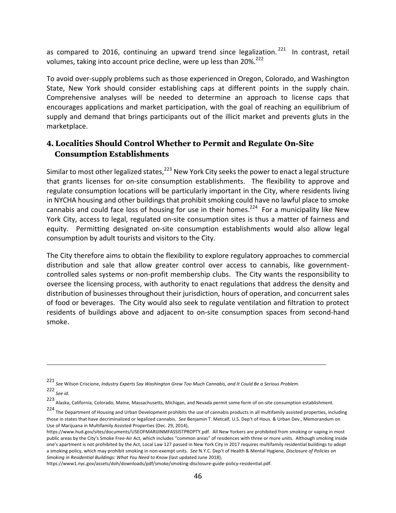as compared to 2016, continuing an upward trend since legalization.<sup>221</sup> In contrast, retail volumes, taking into account price decline, were up less than 20%. $^{222}$ 

To avoid over-supply problems such as those experienced in Oregon, Colorado, and Washington State, New York should consider establishing caps at different points in the supply chain. Comprehensive analyses will be needed to determine an approach to license caps that encourages applications and market participation, with the goal of reaching an equilibrium of supply and demand that brings participants out of the illicit market and prevents gluts in the marketplace. 

# **4. Localities Should Control Whether to Permit and Regulate On-Site Consumption Establishments**

Similar to most other legalized states,  $223$  New York City seeks the power to enact a legal structure that grants licenses for on-site consumption establishments. The flexibility to approve and regulate consumption locations will be particularly important in the City, where residents living in NYCHA housing and other buildings that prohibit smoking could have no lawful place to smoke cannabis and could face loss of housing for use in their homes.<sup>224</sup> For a municipality like New York City, access to legal, regulated on-site consumption sites is thus a matter of fairness and equity. Permitting designated on-site consumption establishments would also allow legal consumption by adult tourists and visitors to the City.

The City therefore aims to obtain the flexibility to explore regulatory approaches to commercial distribution and sale that allow greater control over access to cannabis, like governmentcontrolled sales systems or non-profit membership clubs. The City wants the responsibility to oversee the licensing process, with authority to enact regulations that address the density and distribution of businesses throughout their jurisdiction, hours of operation, and concurrent sales of food or beverages. The City would also seek to regulate ventilation and filtration to protect residents of buildings above and adjacent to on-site consumption spaces from second-hand smoke. 

<sup>221</sup> *See* Wilson Criscione, *Industry Experts Say Washington Grew Too Much Cannabis, and It Could Be a Serious Problem*. 

<sup>222&</sup>lt;br>*See id.* 

<sup>223&</sup>lt;br>Alaska, California, Colorado, Maine, Massachusetts, Michigan, and Nevada permit some form of on-site consumption establishment.

<sup>224&</sup>lt;br>The Department of Housing and Urban Development prohibits the use of cannabis products in all multifamily assisted properties, including those in states that have decriminalized or legalized cannabis. See Benjamin T. Metcalf, U.S. Dep't of Hous. & Urban Dev., Memorandum on Use of Marijuana in Multifamily Assisted Properties (Dec. 29, 2014),

https://www.hud.gov/sites/documents/USEOFMARIJINMFASSISTPROPTY.pdf. All New Yorkers are prohibited from smoking or vaping in most public areas by the City's Smoke Free-Air Act, which includes "common areas" of residences with three or more units. Although smoking inside one's apartment is not prohibited by the Act, Local Law 127 passed in New York City in 2017 requires multifamily residential buildings to adopt a smoking policy, which may prohibit smoking in non-exempt units. See N.Y.C. Dep't of Health & Mental Hygiene, Disclosure of Policies on *Smoking in Residential Buildings: What You Need to Know* (last updated June 2018),

https://www1.nyc.gov/assets/doh/downloads/pdf/smoke/smoking-disclosure-guide-policy-residential.pdf.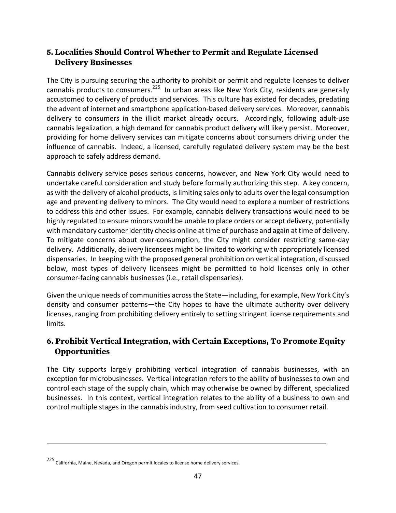# **5. Localities Should Control Whether to Permit and Regulate Licensed Delivery Businesses**

The City is pursuing securing the authority to prohibit or permit and regulate licenses to deliver cannabis products to consumers.<sup>225</sup> In urban areas like New York City, residents are generally accustomed to delivery of products and services. This culture has existed for decades, predating the advent of internet and smartphone application-based delivery services. Moreover, cannabis delivery to consumers in the illicit market already occurs. Accordingly, following adult-use cannabis legalization, a high demand for cannabis product delivery will likely persist. Moreover, providing for home delivery services can mitigate concerns about consumers driving under the influence of cannabis. Indeed, a licensed, carefully regulated delivery system may be the best approach to safely address demand.

Cannabis delivery service poses serious concerns, however, and New York City would need to undertake careful consideration and study before formally authorizing this step. A key concern, as with the delivery of alcohol products, is limiting sales only to adults over the legal consumption age and preventing delivery to minors. The City would need to explore a number of restrictions to address this and other issues. For example, cannabis delivery transactions would need to be highly regulated to ensure minors would be unable to place orders or accept delivery, potentially with mandatory customer identity checks online at time of purchase and again at time of delivery. To mitigate concerns about over-consumption, the City might consider restricting same-day delivery. Additionally, delivery licensees might be limited to working with appropriately licensed dispensaries. In keeping with the proposed general prohibition on vertical integration, discussed below, most types of delivery licensees might be permitted to hold licenses only in other consumer-facing cannabis businesses (i.e., retail dispensaries).

Given the unique needs of communities across the State—including, for example, New York City's density and consumer patterns—the City hopes to have the ultimate authority over delivery licenses, ranging from prohibiting delivery entirely to setting stringent license requirements and limits. 

# **6. Prohibit Vertical Integration, with Certain Exceptions, To Promote Equity Opportunities**

The City supports largely prohibiting vertical integration of cannabis businesses, with an exception for microbusinesses. Vertical integration refers to the ability of businesses to own and control each stage of the supply chain, which may otherwise be owned by different, specialized businesses. In this context, vertical integration relates to the ability of a business to own and control multiple stages in the cannabis industry, from seed cultivation to consumer retail.

<sup>225&</sup>lt;br>California, Maine, Nevada, and Oregon permit locales to license home delivery services.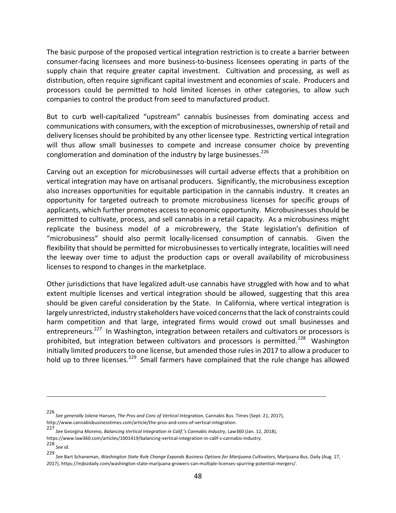The basic purpose of the proposed vertical integration restriction is to create a barrier between consumer-facing licensees and more business-to-business licensees operating in parts of the supply chain that require greater capital investment. Cultivation and processing, as well as distribution, often require significant capital investment and economies of scale. Producers and processors could be permitted to hold limited licenses in other categories, to allow such companies to control the product from seed to manufactured product.

But to curb well-capitalized "upstream" cannabis businesses from dominating access and communications with consumers, with the exception of microbusinesses, ownership of retail and delivery licenses should be prohibited by any other licensee type. Restricting vertical integration will thus allow small businesses to compete and increase consumer choice by preventing conglomeration and domination of the industry by large businesses.<sup>226</sup>

Carving out an exception for microbusinesses will curtail adverse effects that a prohibition on vertical integration may have on artisanal producers. Significantly, the microbusiness exception also increases opportunities for equitable participation in the cannabis industry. It creates an opportunity for targeted outreach to promote microbusiness licenses for specific groups of applicants, which further promotes access to economic opportunity. Microbusinesses should be permitted to cultivate, process, and sell cannabis in a retail capacity. As a microbusiness might replicate the business model of a microbrewery, the State legislation's definition of "microbusiness" should also permit locally-licensed consumption of cannabis. Given the flexibility that should be permitted for microbusinesses to vertically integrate, localities will need the leeway over time to adjust the production caps or overall availability of microbusiness licenses to respond to changes in the marketplace.

Other jurisdictions that have legalized adult-use cannabis have struggled with how and to what extent multiple licenses and vertical integration should be allowed, suggesting that this area should be given careful consideration by the State. In California, where vertical integration is largely unrestricted, industry stakeholders have voiced concerns that the lack of constraints could harm competition and that large, integrated firms would crowd out small businesses and entrepreneurs.<sup>227</sup> In Washington, integration between retailers and cultivators or processors is prohibited, but integration between cultivators and processors is permitted.<sup>228</sup> Washington initially limited producers to one license, but amended those rules in 2017 to allow a producer to hold up to three licenses.<sup>229</sup> Small farmers have complained that the rule change has allowed

https://www.law360.com/articles/1001419/balancing-vertical-integration-in-calif-s-cannabis-industry. 

<u> 1989 - Andrea San Andrew Maria (h. 1989).</u><br>1900 - Andrew Maria (h. 1980).

<sup>226&</sup>lt;br>*See generally J*olene Hansen, *The Pros and Cons of Vertical Integration,* Cannabis Bus. Times (Sept. 21, 2017), http://www.cannabisbusinesstimes.com/article/the-pros-and-cons-of-vertical-integration. 

<sup>227&</sup>lt;br>*See* Georgina Moreno, Balancing Vertical Integration in Calif.'s Cannabis Industry, Law360 (Jan. 12, 2018),

<sup>228</sup> *See id.* 

<sup>229&</sup>lt;br>*See* Bart Schaneman, *Washington State Rule Change Expands Business Options for Marijuana Cultivators, Marijuana Bus. Daily (Aug. 17,* 2017), https://mjbizdaily.com/washington-state-marijuana-growers-can-multiple-licenses-spurring-potential-mergers/.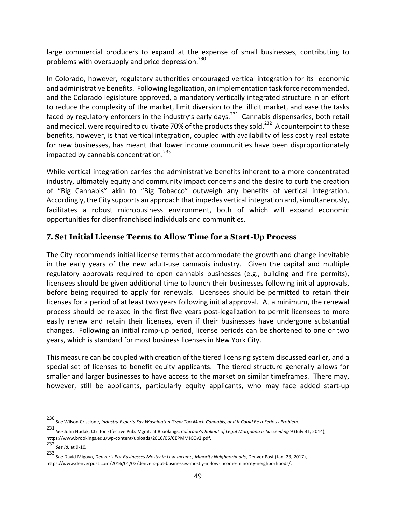large commercial producers to expand at the expense of small businesses, contributing to problems with oversupply and price depression.<sup>230</sup>

In Colorado, however, regulatory authorities encouraged vertical integration for its economic and administrative benefits. Following legalization, an implementation task force recommended, and the Colorado legislature approved, a mandatory vertically integrated structure in an effort to reduce the complexity of the market, limit diversion to the illicit market, and ease the tasks faced by regulatory enforcers in the industry's early days.<sup>231</sup> Cannabis dispensaries, both retail and medical, were required to cultivate 70% of the products they sold.<sup>232</sup> A counterpoint to these benefits, however, is that vertical integration, coupled with availability of less costly real estate for new businesses, has meant that lower income communities have been disproportionately impacted by cannabis concentration. $^{233}$ 

While vertical integration carries the administrative benefits inherent to a more concentrated industry, ultimately equity and community impact concerns and the desire to curb the creation of "Big Cannabis" akin to "Big Tobacco" outweigh any benefits of vertical integration. Accordingly, the City supports an approach that impedes vertical integration and, simultaneously, facilitates a robust microbusiness environment, both of which will expand economic opportunities for disenfranchised individuals and communities.

#### **7. Set Initial License Terms to Allow Time for a Start-Up Process**

The City recommends initial license terms that accommodate the growth and change inevitable in the early years of the new adult-use cannabis industry. Given the capital and multiple regulatory approvals required to open cannabis businesses (e.g., building and fire permits), licensees should be given additional time to launch their businesses following initial approvals, before being required to apply for renewals. Licensees should be permitted to retain their licenses for a period of at least two years following initial approval. At a minimum, the renewal process should be relaxed in the first five years post-legalization to permit licensees to more easily renew and retain their licenses, even if their businesses have undergone substantial changes. Following an initial ramp-up period, license periods can be shortened to one or two years, which is standard for most business licenses in New York City.

This measure can be coupled with creation of the tiered licensing system discussed earlier, and a special set of licenses to benefit equity applicants. The tiered structure generally allows for smaller and larger businesses to have access to the market on similar timeframes. There may, however, still be applicants, particularly equity applicants, who may face added start-up

<sup>230&</sup>lt;br>See Wilson Criscione, Industry Experts Say Washington Grew Too Much Cannabis, and It Could Be a Serious Problem.

<sup>231</sup> See John Hudak, Ctr. for Effective Pub. Mgmt. at Brookings, *Colorado's Rollout of Legal Marijuana is Succeeding* 9 (July 31, 2014), https://www.brookings.edu/wp-content/uploads/2016/06/CEPMMJCOv2.pdf. 

<sup>232</sup> *See id.* at 9-10*.* 

<sup>233&</sup>lt;br>*See* David Migoya, *Denver's Pot Businesses Mostly in Low-Income, Minority Neighborhoods, Denver Post (Jan. 23, 2017),* https://www.denverpost.com/2016/01/02/denvers-pot-businesses-mostly-in-low-income-minority-neighborhoods/.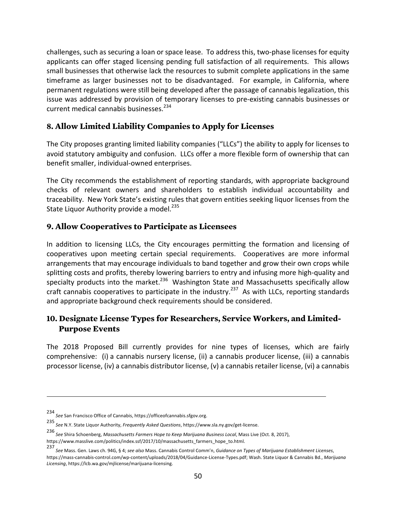challenges, such as securing a loan or space lease. To address this, two-phase licenses for equity applicants can offer staged licensing pending full satisfaction of all requirements. This allows small businesses that otherwise lack the resources to submit complete applications in the same timeframe as larger businesses not to be disadvantaged. For example, in California, where permanent regulations were still being developed after the passage of cannabis legalization, this issue was addressed by provision of temporary licenses to pre-existing cannabis businesses or current medical cannabis businesses. $^{234}$ 

#### **8. Allow Limited Liability Companies to Apply for Licenses**

The City proposes granting limited liability companies ("LLCs") the ability to apply for licenses to avoid statutory ambiguity and confusion. LLCs offer a more flexible form of ownership that can benefit smaller, individual-owned enterprises.

The City recommends the establishment of reporting standards, with appropriate background checks of relevant owners and shareholders to establish individual accountability and traceability. New York State's existing rules that govern entities seeking liquor licenses from the State Liquor Authority provide a model.<sup>235</sup>

#### **9. Allow Cooperatives to Participate as Licensees**

In addition to licensing LLCs, the City encourages permitting the formation and licensing of cooperatives upon meeting certain special requirements. Cooperatives are more informal arrangements that may encourage individuals to band together and grow their own crops while splitting costs and profits, thereby lowering barriers to entry and infusing more high-quality and specialty products into the market.<sup>236</sup> Washington State and Massachusetts specifically allow craft cannabis cooperatives to participate in the industry.<sup>237</sup> As with LLCs, reporting standards and appropriate background check requirements should be considered.

# **10. Designate License Types for Researchers, Service Workers, and Limited-Purpose Events**

The 2018 Proposed Bill currently provides for nine types of licenses, which are fairly comprehensive: (i) a cannabis nursery license, (ii) a cannabis producer license, (iii) a cannabis processor license, (iv) a cannabis distributor license, (v) a cannabis retailer license, (vi) a cannabis

<u> 1989 - Andrea San Andrew Maria (h. 1989).</u><br>1900 - Andrew Maria (h. 1980).

<sup>234</sup> *See* San Francisco Office of Cannabis, https://officeofcannabis.sfgov.org. 

<sup>235&</sup>lt;br>*See* N.Y. State Liquor Authority, *Frequently Asked Questions,* https://www.sla.ny.gov/get-license.

<sup>236&</sup>lt;br>*See* Shira Schoenberg, *Massachusetts Farmers Hope to Keep Marijuana Business Local,* Mass Live (Oct. 8, 2017),

https://www.masslive.com/politics/index.ssf/2017/10/massachusetts\_farmers\_hope\_to.html.

<sup>237&</sup>lt;br>See Mass. Gen. Laws ch. 94G, § 4; *see also* Mass. Cannabis Control Comm'n, *Guidance on Types of Marijuana Establishment Licenses*, https://mass-cannabis-control.com/wp-content/uploads/2018/04/Guidance-License-Types.pdf; Wash. State Liquor & Cannabis Bd., *Marijuana Licensing*, https://lcb.wa.gov/mjlicense/marijuana-licensing.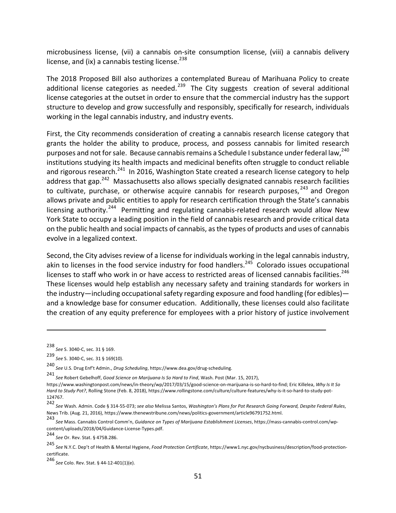microbusiness license, (vii) a cannabis on-site consumption license, (viii) a cannabis delivery license, and (ix) a cannabis testing license. $^{238}$ 

The 2018 Proposed Bill also authorizes a contemplated Bureau of Marihuana Policy to create additional license categories as needed.<sup>239</sup> The City suggests creation of several additional license categories at the outset in order to ensure that the commercial industry has the support structure to develop and grow successfully and responsibly, specifically for research, individuals working in the legal cannabis industry, and industry events.

First, the City recommends consideration of creating a cannabis research license category that grants the holder the ability to produce, process, and possess cannabis for limited research purposes and not for sale. Because cannabis remains a Schedule I substance under federal law.<sup>240</sup> institutions studying its health impacts and medicinal benefits often struggle to conduct reliable and rigorous research.<sup>241</sup> In 2016, Washington State created a research license category to help address that  $gap.<sup>242</sup>$  Massachusetts also allows specially designated cannabis research facilities to cultivate, purchase, or otherwise acquire cannabis for research purposes,  $243$  and Oregon allows private and public entities to apply for research certification through the State's cannabis licensing authority.<sup>244</sup> Permitting and regulating cannabis-related research would allow New York State to occupy a leading position in the field of cannabis research and provide critical data on the public health and social impacts of cannabis, as the types of products and uses of cannabis evolve in a legalized context.

Second, the City advises review of a license for individuals working in the legal cannabis industry, akin to licenses in the food service industry for food handlers.<sup>245</sup> Colorado issues occupational licenses to staff who work in or have access to restricted areas of licensed cannabis facilities.<sup>246</sup> These licenses would help establish any necessary safety and training standards for workers in the industry—including occupational safety regarding exposure and food handling (for edibles) and a knowledge base for consumer education. Additionally, these licenses could also facilitate the creation of any equity preference for employees with a prior history of justice involvement

<sup>238</sup> *See* S. 3040-C, sec. 31 § 169. 

<sup>239&</sup>lt;br>See S. 3040-C, sec. 31 § 169(10).

<sup>240&</sup>lt;br>*See* U.S. Drug Enf't Admin., *Drug Scheduling*, https://www.dea.gov/drug-scheduling.

<sup>241&</sup>lt;br>*See* Robert Gebelhoff, Good Science on Marijuana Is So Hard to Find, Wash. Post (Mar. 15, 2017),

https://www.washingtonpost.com/news/in-theory/wp/2017/03/15/good-science-on-marijuana-is-so-hard-to-find; Eric Killelea, Why Is It So Hard to Study Pot?, Rolling Stone (Feb. 8, 2018), https://www.rollingstone.com/culture/culture-features/why-is-it-so-hard-to-study-pot-124767. 

<sup>242&</sup>lt;br>See Wash. Admin. Code § 314-55-073; *see also* Melissa Santos, *Washington's Plans for Pot Research Going Forward, Despite Federal Rules,* News Trib. (Aug. 21, 2016), https://www.thenewstribune.com/news/politics-government/article96791752.html.

<sup>243&</sup>lt;br>See Mass. Cannabis Control Comm'n, *Guidance on Types of Marijuana Establishment Licenses,* https://mass-cannabis-control.com/wpcontent/uploads/2018/04/Guidance-License-Types.pdf. 

<sup>244</sup> *See* Or. Rev. Stat. § 475B.286. 

<sup>245</sup> *See* N.Y.C. Dep't of Health & Mental Hygiene, *Food Protection Certificate*, https://www1.nyc.gov/nycbusiness/description/food-protectioncertificate. 

<sup>246</sup> *See* Colo. Rev. Stat. § 44-12-401(1)(e).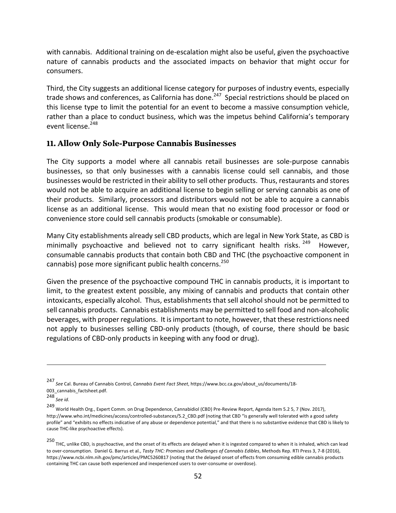with cannabis. Additional training on de-escalation might also be useful, given the psychoactive nature of cannabis products and the associated impacts on behavior that might occur for consumers. 

Third, the City suggests an additional license category for purposes of industry events, especially trade shows and conferences, as California has done.<sup>247</sup> Special restrictions should be placed on this license type to limit the potential for an event to become a massive consumption vehicle, rather than a place to conduct business, which was the impetus behind California's temporary event license.<sup>248</sup>

#### **11. Allow Only Sole-Purpose Cannabis Businesses**

The City supports a model where all cannabis retail businesses are sole-purpose cannabis businesses, so that only businesses with a cannabis license could sell cannabis, and those businesses would be restricted in their ability to sell other products. Thus, restaurants and stores would not be able to acquire an additional license to begin selling or serving cannabis as one of their products. Similarly, processors and distributors would not be able to acquire a cannabis license as an additional license. This would mean that no existing food processor or food or convenience store could sell cannabis products (smokable or consumable).

Many City establishments already sell CBD products, which are legal in New York State, as CBD is minimally psychoactive and believed not to carry significant health risks.<sup>249</sup> However, consumable cannabis products that contain both CBD and THC (the psychoactive component in cannabis) pose more significant public health concerns.<sup>250</sup>

Given the presence of the psychoactive compound THC in cannabis products, it is important to limit, to the greatest extent possible, any mixing of cannabis and products that contain other intoxicants, especially alcohol. Thus, establishments that sell alcohol should not be permitted to sell cannabis products. Cannabis establishments may be permitted to sell food and non-alcoholic beverages, with proper regulations. It is important to note, however, that these restrictions need not apply to businesses selling CBD-only products (though, of course, there should be basic regulations of CBD-only products in keeping with any food or drug).

<sup>247&</sup>lt;br>See Cal. Bureau of Cannabis Control, *Cannabis Event Fact Sheet,* https://www.bcc.ca.gov/about\_us/documents/18-003\_cannabis\_factsheet.pdf. 

<sup>248&</sup>lt;br>*See id.* 

<sup>249&</sup>lt;br>World Health Org., Expert Comm. on Drug Dependence, Cannabidiol (CBD) Pre-Review Report, Agenda Item 5.2 5, 7 (Nov. 2017), http://www.who.int/medicines/access/controlled-substances/5.2 CBD.pdf (noting that CBD "is generally well tolerated with a good safety profile" and "exhibits no effects indicative of any abuse or dependence potential," and that there is no substantive evidence that CBD is likely to cause THC-like psychoactive effects).

<sup>250&</sup>lt;br>THC, unlike CBD, is psychoactive, and the onset of its effects are delayed when it is ingested compared to when it is inhaled, which can lead to over-consumption. Daniel G. Barrus et al., Tasty THC: Promises and Challenges of Cannabis Edibles, Methods Rep. RTI Press 3, 7-8 (2016), https://www.ncbi.nlm.nih.gov/pmc/articles/PMC5260817 (noting that the delayed onset of effects from consuming edible cannabis products containing THC can cause both experienced and inexperienced users to over-consume or overdose).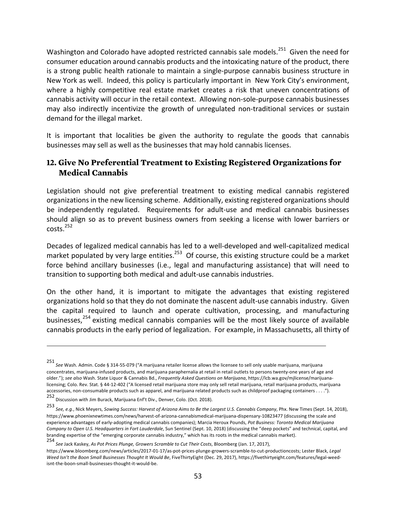Washington and Colorado have adopted restricted cannabis sale models.<sup>251</sup> Given the need for consumer education around cannabis products and the intoxicating nature of the product, there is a strong public health rationale to maintain a single-purpose cannabis business structure in New York as well. Indeed, this policy is particularly important in New York City's environment, where a highly competitive real estate market creates a risk that uneven concentrations of cannabis activity will occur in the retail context. Allowing non-sole-purpose cannabis businesses may also indirectly incentivize the growth of unregulated non-traditional services or sustain demand for the illegal market.

It is important that localities be given the authority to regulate the goods that cannabis businesses may sell as well as the businesses that may hold cannabis licenses.

#### **12. Give No Preferential Treatment to Existing Registered Organizations for Medical Cannabis**

Legislation should not give preferential treatment to existing medical cannabis registered organizations in the new licensing scheme. Additionally, existing registered organizations should be independently regulated. Requirements for adult-use and medical cannabis businesses should align so as to prevent business owners from seeking a license with lower barriers or  $costs.<sup>252</sup>$ 

Decades of legalized medical cannabis has led to a well-developed and well-capitalized medical market populated by very large entities.<sup>253</sup> Of course, this existing structure could be a market force behind ancillary businesses (i.e., legal and manufacturing assistance) that will need to transition to supporting both medical and adult-use cannabis industries.

On the other hand, it is important to mitigate the advantages that existing registered organizations hold so that they do not dominate the nascent adult-use cannabis industry. Given the capital required to launch and operate cultivation, processing, and manufacturing businesses, $254$  existing medical cannabis companies will be the most likely source of available cannabis products in the early period of legalization. For example, in Massachusetts, all thirty of

<sup>251</sup> *See* Wash. Admin. Code § 314-55-079 ("A marijuana retailer license allows the licensee to sell only usable marijuana, marijuana concentrates, marijuana-infused products, and marijuana paraphernalia at retail in retail outlets to persons twenty-one vears of age and older."); see also Wash. State Liquor & Cannabis Bd., Frequently Asked Questions on Marijuana, https://lcb.wa.gov/mjlicense/marijuanalicensing; Colo. Rev. Stat. § 44-12-402 ("A licensed retail marijuana store may only sell retail marijuana, retail marijuana products, marijuana accessories, non-consumable products such as apparel, and marijuana related products such as childproof packaging containers . . . .").

<sup>252</sup> Discussion with Jim Burack, Marijuana Enf't Div., Denver, Colo. (Oct. 2018). 

<sup>253&</sup>lt;br>See, e.g., Nick Meyers, Sowing Success: Harvest of Arizona Aims to Be the Largest U.S. Cannabis Company, Phx. New Times (Sept. 14, 2018), https://www.phoenixnewtimes.com/news/harvest-of-arizona-cannabismedical-marijuana-dispensary-10823477 (discussing the scale and experience advantages of early-adopting medical cannabis companies); Marcia Heroux Pounds, Pot Business: Toronto Medical Marijuana Company to Open U.S. Headquarters in Fort Lauderdale, Sun Sentinel (Sept. 10, 2018) (discussing the "deep pockets" and technical, capital, and branding expertise of the "emerging corporate cannabis industry," which has its roots in the medical cannabis market).

<sup>254&</sup>lt;br>*See Jack Kaskey, As Pot Prices Plunge, Growers Scramble to Cut Their Costs,* Bloomberg (Jan. 17, 2017),

https://www.bloomberg.com/news/articles/2017-01-17/as-pot-prices-plunge-growers-scramble-to-cut-productioncosts; Lester Black, Legal Weed Isn't the Boon Small Businesses Thought It Would Be, FiveThirtyEight (Dec. 29, 2017), https://fivethirtyeight.com/features/legal-weedisnt-the-boon-small-businesses-thought-it-would-be.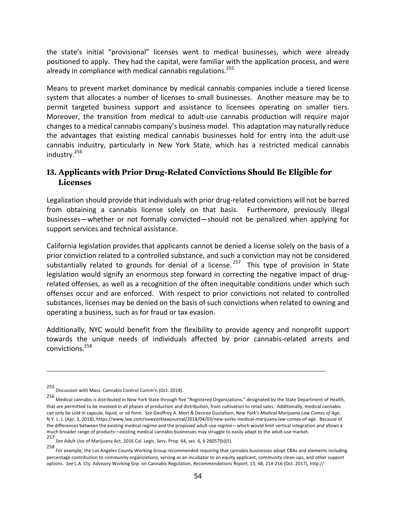the state's initial "provisional" licenses went to medical businesses, which were already positioned to apply. They had the capital, were familiar with the application process, and were already in compliance with medical cannabis regulations.<sup>255</sup>

Means to prevent market dominance by medical cannabis companies include a tiered license system that allocates a number of licenses to small businesses. Another measure may be to permit targeted business support and assistance to licensees operating on smaller tiers. Moreover, the transition from medical to adult-use cannabis production will require major changes to a medical cannabis company's business model. This adaptation may naturally reduce the advantages that existing medical cannabis businesses hold for entry into the adult-use cannabis industry, particularly in New York State, which has a restricted medical cannabis industry. 256

#### **13. Applicants with Prior Drug-Related Convictions Should Be Eligible for Licenses**

Legalization should provide that individuals with prior drug-related convictions will not be barred from obtaining a cannabis license solely on that basis. Furthermore, previously illegal businesses—whether or not formally convicted—should not be penalized when applying for support services and technical assistance.

California legislation provides that applicants cannot be denied a license solely on the basis of a prior conviction related to a controlled substance, and such a conviction may not be considered substantially related to grounds for denial of a license.  $257$  This type of provision in State legislation would signify an enormous step forward in correcting the negative impact of drugrelated offenses, as well as a recognition of the often inequitable conditions under which such offenses occur and are enforced. With respect to prior convictions not related to controlled substances, licenses may be denied on the basis of such convictions when related to owning and operating a business, such as for fraud or tax evasion.

Additionally, NYC would benefit from the flexibility to provide agency and nonprofit support towards the unique needs of individuals affected by prior cannabis-related arrests and convictions.258 

<sup>255</sup> Discussion with Mass. Cannabis Control Comm'n (Oct. 2018).

<sup>256&</sup>lt;br>Medical cannabis is distributed in New York State through five "Registered Organizations," designated by the State Department of Health, that are permitted to be involved in all phases of production and distribution, from cultivation to retail sales. Additionally, medical cannabis can only be sold in capsule, liquid, or oil form. See Geoffrey A. Mort & Desiree Gustafson, New York's Medical Marijuana Law Comes of Age, N.Y. L. J. (Apr. 3, 2018), https://www.law.com/newyorklawjournal/2018/04/03/new-yorks-medical-marijuana-law-comes-of-age. Because of the differences between the existing medical regime and the proposed adult-use regime—which would limit vertical integration and allows a much broader range of products—existing medical cannabis businesses may struggle to easily adapt to the adult-use market.

<sup>257&</sup>lt;br>*See* Adult Use of Marijuana Act, 2016 Cal. Legis. Serv. Prop. 64, sec. 6, § 26057(b)(5).

<sup>258&</sup>lt;br>For example, the Los Angeles County Working Group recommended requiring that cannabis businesses adopt CBAs and elements including percentage contribution to community organizations, serving as an incubator to an equity applicant, community clean-ups, and other support options. See L.A. Cty. Advisory Working Grp. on Cannabis Regulation, *Recommendations Report*, 13, 48, 214-216 (Oct. 2017), http://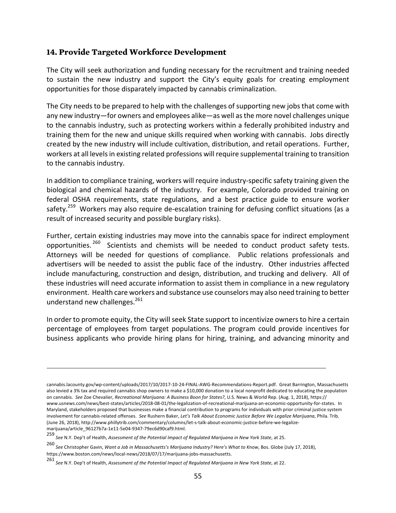#### **14. Provide Targeted Workforce Development**

The City will seek authorization and funding necessary for the recruitment and training needed to sustain the new industry and support the City's equity goals for creating employment opportunities for those disparately impacted by cannabis criminalization.

The City needs to be prepared to help with the challenges of supporting new jobs that come with any new industry—for owners and employees alike—as well as the more novel challenges unique to the cannabis industry, such as protecting workers within a federally prohibited industry and training them for the new and unique skills required when working with cannabis. Jobs directly created by the new industry will include cultivation, distribution, and retail operations. Further, workers at all levels in existing related professions will require supplemental training to transition to the cannabis industry.

In addition to compliance training, workers will require industry-specific safety training given the biological and chemical hazards of the industry. For example, Colorado provided training on federal OSHA requirements, state regulations, and a best practice guide to ensure worker safety.<sup>259</sup> Workers may also require de-escalation training for defusing conflict situations (as a result of increased security and possible burglary risks).

Further, certain existing industries may move into the cannabis space for indirect employment opportunities.<sup>260</sup> Scientists and chemists will be needed to conduct product safety tests. Attorneys will be needed for questions of compliance. Public relations professionals and advertisers will be needed to assist the public face of the industry. Other industries affected include manufacturing, construction and design, distribution, and trucking and delivery. All of these industries will need accurate information to assist them in compliance in a new regulatory environment. Health care workers and substance use counselors may also need training to better understand new challenges. $^{261}$ 

In order to promote equity, the City will seek State support to incentivize owners to hire a certain percentage of employees from target populations. The program could provide incentives for business applicants who provide hiring plans for hiring, training, and advancing minority and

cannabis.lacounty.gov/wp-content/uploads/2017/10/2017-10-24-FINAL-AWG-Recommendations-Report.pdf. Great Barrington, Massachusetts also levied a 3% tax and required cannabis shop owners to make a \$10,000 donation to a local nonprofit dedicated to educating the population on cannabis. See Zoe Chevalier, *Recreational Marijuana: A Business Boon for States?*, U.S. News & World Rep. (Aug. 1, 2018), https:// www.usnews.com/news/best-states/articles/2018-08-01/the-legalization-of-recreational-marijuana-an-economic-opportunity-for-states. In Maryland, stakeholders proposed that businesses make a financial contribution to programs for individuals with prior criminal justice system involvement for cannabis-related offenses. See Rushern Baker, Let's Talk About Economic Justice Before We Legalize Marijuana, Phila. Trib. (June 26, 2018), http://www.phillytrib.com/commentary/columns/let-s-talk-about-economic-justice-before-we-legalizemarijuana/article\_96127b7a-1e11-5e04-9347-79ec6d90caf9.html. 

<sup>259&</sup>lt;br>See N.Y. Dep't of Health, *Assessment of the Potential Impact of Regulated Marijuana in New York State,* at 25.

<sup>260&</sup>lt;br>*See Christopher Gavin, Want a Job in Massachusetts's Marijuana Industry? Here's What to Know, Bos. Globe (July 17, 2018),* https://www.boston.com/news/local-news/2018/07/17/marijuana-jobs-massachusetts. 

<sup>261&</sup>lt;br>*See* N.Y. Dep't of Health, Assessment of the Potential Impact of Regulated Marijuana in New York State, at 22.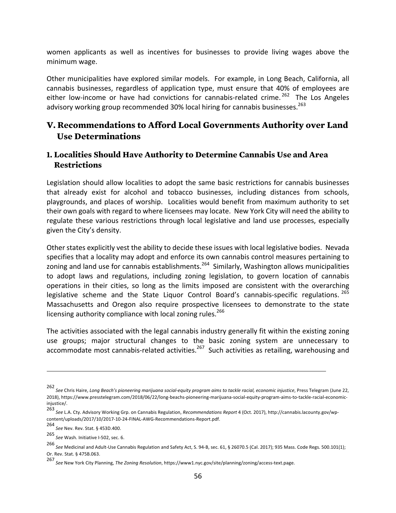women applicants as well as incentives for businesses to provide living wages above the minimum wage.

Other municipalities have explored similar models. For example, in Long Beach, California, all cannabis businesses, regardless of application type, must ensure that 40% of employees are either low-income or have had convictions for cannabis-related crime.<sup>262</sup> The Los Angeles advisory working group recommended 30% local hiring for cannabis businesses.<sup>263</sup>

# **V. Recommendations to Afford Local Governments Authority over Land Use Determinations**

#### **1. Localities Should Have Authority to Determine Cannabis Use and Area Restrictions**

Legislation should allow localities to adopt the same basic restrictions for cannabis businesses that already exist for alcohol and tobacco businesses, including distances from schools, playgrounds, and places of worship. Localities would benefit from maximum authority to set their own goals with regard to where licensees may locate. New York City will need the ability to regulate these various restrictions through local legislative and land use processes, especially given the City's density.

Other states explicitly vest the ability to decide these issues with local legislative bodies. Nevada specifies that a locality may adopt and enforce its own cannabis control measures pertaining to zoning and land use for cannabis establishments.<sup>264</sup> Similarly, Washington allows municipalities to adopt laws and regulations, including zoning legislation, to govern location of cannabis operations in their cities, so long as the limits imposed are consistent with the overarching legislative scheme and the State Liquor Control Board's cannabis-specific regulations. <sup>265</sup> Massachusetts and Oregon also require prospective licensees to demonstrate to the state licensing authority compliance with local zoning rules.<sup>266</sup>

The activities associated with the legal cannabis industry generally fit within the existing zoning use groups; major structural changes to the basic zoning system are unnecessary to accommodate most cannabis-related activities.<sup>267</sup> Such activities as retailing, warehousing and

<sup>262&</sup>lt;br>See Chris Haire, *Long Beach's pioneering marijuana social-equity program aims to tackle racial, economic injustice, Press Telegram (June 22,* 2018), https://www.presstelegram.com/2018/06/22/long-beachs-pioneering-marijuana-social-equity-program-aims-to-tackle-racial-economiciniustice/.

<sup>263</sup> *See* L.A. Cty. Advisory Working Grp. on Cannabis Regulation, *Recommendations Report* 4 (Oct. 2017), http://cannabis.lacounty.gov/wpcontent/uploads/2017/10/2017-10-24-FINAL-AWG-Recommendations-Report.pdf. 

<sup>264</sup> *See* Nev. Rev. Stat. § 453D.400. 

<sup>265&</sup>lt;br>See Wash. Initiative I-502, sec. 6.

<sup>266&</sup>lt;br>*See* Medicinal and Adult-Use Cannabis Regulation and Safety Act, S. 94-B, sec. 61, § 26070.5 (Cal. 2017); 935 Mass. Code Regs. 500.101(1); Or. Rev. Stat. § 475B.063. 

<sup>267</sup> *See* New York City Planning, *The Zoning Resolution*, https://www1.nyc.gov/site/planning/zoning/access-text.page.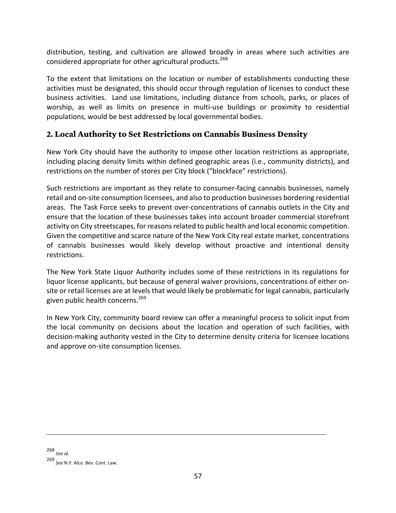distribution, testing, and cultivation are allowed broadly in areas where such activities are considered appropriate for other agricultural products.<sup>268</sup>

To the extent that limitations on the location or number of establishments conducting these activities must be designated, this should occur through regulation of licenses to conduct these business activities. Land use limitations, including distance from schools, parks, or places of worship, as well as limits on presence in multi-use buildings or proximity to residential populations, would be best addressed by local governmental bodies.

# **2. Local Authority to Set Restrictions on Cannabis Business Density**

New York City should have the authority to impose other location restrictions as appropriate, including placing density limits within defined geographic areas (i.e., community districts), and restrictions on the number of stores per City block ("blockface" restrictions).

Such restrictions are important as they relate to consumer-facing cannabis businesses, namely retail and on-site consumption licensees, and also to production businesses bordering residential areas. The Task Force seeks to prevent over-concentrations of cannabis outlets in the City and ensure that the location of these businesses takes into account broader commercial storefront activity on City streetscapes, for reasons related to public health and local economic competition. Given the competitive and scarce nature of the New York City real estate market, concentrations of cannabis businesses would likely develop without proactive and intentional density restrictions. 

The New York State Liquor Authority includes some of these restrictions in its regulations for liquor license applicants, but because of general waiver provisions, concentrations of either onsite or retail licenses are at levels that would likely be problematic for legal cannabis, particularly given public health concerns.<sup>269</sup>

In New York City, community board review can offer a meaningful process to solicit input from the local community on decisions about the location and operation of such facilities, with decision-making authority vested in the City to determine density criteria for licensee locations and approve on-site consumption licenses.

268 *See id.* 

<sup>269&</sup>lt;br>See N.Y. Alco. Bev. Cont. Law.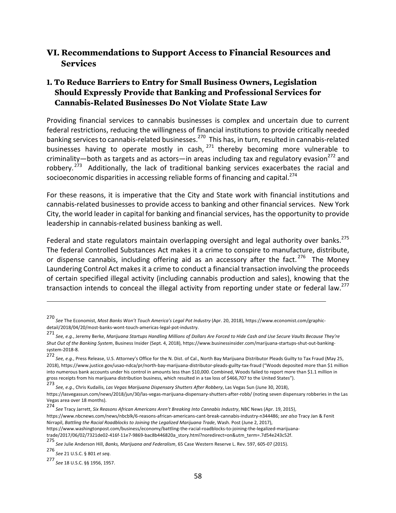# **VI. Recommendations to Support Access to Financial Resources and Services**

# **1. To Reduce Barriers to Entry for Small Business Owners, Legislation Should Expressly Provide that Banking and Professional Services for Cannabis-Related Businesses Do Not Violate State Law**

Providing financial services to cannabis businesses is complex and uncertain due to current federal restrictions, reducing the willingness of financial institutions to provide critically needed banking services to cannabis-related businesses.<sup>270</sup> This has, in turn, resulted in cannabis-related businesses having to operate mostly in cash,  $271$  thereby becoming more vulnerable to criminality—both as targets and as actors—in areas including tax and regulatory evasion<sup>272</sup> and robbery.<sup>273</sup> Additionally, the lack of traditional banking services exacerbates the racial and socioeconomic disparities in accessing reliable forms of financing and capital.<sup>274</sup>

For these reasons, it is imperative that the City and State work with financial institutions and cannabis-related businesses to provide access to banking and other financial services. New York City, the world leader in capital for banking and financial services, has the opportunity to provide leadership in cannabis-related business banking as well.

Federal and state regulators maintain overlapping oversight and legal authority over banks.<sup>275</sup> The federal Controlled Substances Act makes it a crime to conspire to manufacture, distribute, or dispense cannabis, including offering aid as an accessory after the fact.<sup>276</sup> The Money Laundering Control Act makes it a crime to conduct a financial transaction involving the proceeds of certain specified illegal activity (including cannabis production and sales), knowing that the transaction intends to conceal the illegal activity from reporting under state or federal law.<sup>277</sup>

<u> 1989 - Andrea San Andrew Maria (h. 1989).</u><br>1900 - Andrew Maria (h. 1980).

276 *See* 21 U.S.C. § 801 *et seq*. 

<sup>270&</sup>lt;br>*See* The Economist, *Most Banks Won't Touch America's Legal Pot Industry* (Apr. 20, 2018), https://www.economist.com/graphicdetail/2018/04/20/most-banks-wont-touch-americas-legal-pot-industry. 

<sup>271&</sup>lt;br>See, e.g., Jeremy Berke, Marijuana Startups Handling Millions of Dollars Are Forced to Hide Cash and Use Secure Vaults Because They're *Shut Out of the Banking System*, Business Insider (Sept. 4, 2018), https://www.businessinsider.com/marijuana-startups-shut-out-bankingsystem-2018-8. 

<sup>272&</sup>lt;br>*See, e.g.*, Press Release, U.S. Attorney's Office for the N. Dist. of Cal., North Bay Marijuana Distributor Pleads Guilty to Tax Fraud (May 25, 2018), https://www.justice.gov/usao-ndca/pr/north-bay-marijuana-distributor-pleads-guilty-tax-fraud ("Woods deposited more than \$1 million into numerous bank accounts under his control in amounts less than \$10,000. Combined, Woods failed to report more than \$1.1 million in gross receipts from his marijuana distribution business, which resulted in a tax loss of \$466,707 to the United States").

<sup>273&</sup>lt;br>*See, e.g.*, Chris Kudailis, *Las Vegas Marijuana Dispensary Shutters After Robbery*, Las Vegas Sun (June 30, 2018),

https://lasvegassun.com/news/2018/jun/30/las-vegas-marijuana-dispensary-shutters-after-robb/ (noting seven dispensary robberies in the Las Vegas area over 18 months).

<sup>274&</sup>lt;br>*See* Tracy Jarrett, *Six Reasons African Americans Aren't Breaking Into Cannabis Industry,* NBC News (Apr. 19, 2015),

https://www.nbcnews.com/news/nbcblk/6-reasons-african-americans-cant-break-cannabis-industry-n344486; see also Tracy Jan & Fenit Nirrapil, Battling the Racial Roadblocks to Joining the Legalized Marijuana Trade, Wash. Post (June 2, 2017),

https://www.washingtonpost.com/business/economy/battling-the-racial-roadblocks-to-joining-the-legalized-marijuanatrade/2017/06/02/7321de02-416f-11e7-9869-bac8b446820a\_story.html?noredirect=on&utm\_term=.7d54e243c52f. 

<sup>275&</sup>lt;br>*See J*ulie Anderson Hill, *Banks, Marijuana and Federalism,* 65 Case Western Reserve L. Rev. 597, 605-07 (2015).

<sup>277</sup> *See* 18 U.S.C. §§ 1956, 1957.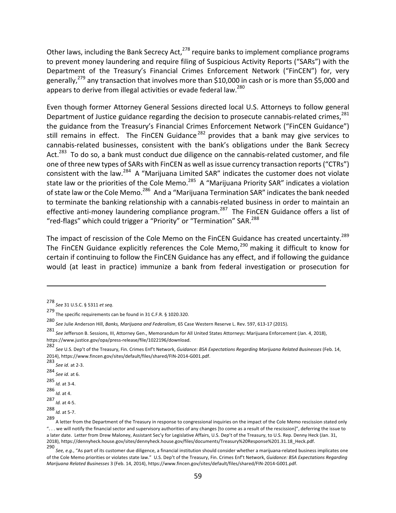Other laws, including the Bank Secrecy Act, $^{278}$  require banks to implement compliance programs to prevent money laundering and require filing of Suspicious Activity Reports ("SARs") with the Department of the Treasury's Financial Crimes Enforcement Network ("FinCEN") for, very generally,<sup>279</sup> any transaction that involves more than \$10,000 in cash or is more than \$5,000 and appears to derive from illegal activities or evade federal law.<sup>280</sup>

Even though former Attorney General Sessions directed local U.S. Attorneys to follow general Department of Justice guidance regarding the decision to prosecute cannabis-related crimes,  $^{281}$ the guidance from the Treasury's Financial Crimes Enforcement Network ("FinCEN Guidance") still remains in effect. The FinCEN Guidance<sup>282</sup> provides that a bank may give services to cannabis-related businesses, consistent with the bank's obligations under the Bank Secrecy Act.<sup>283</sup> To do so, a bank must conduct due diligence on the cannabis-related customer, and file one of three new types of SARs with FinCEN as well as issue currency transaction reports ("CTRs") consistent with the law.<sup>284</sup> A "Marijuana Limited SAR" indicates the customer does not violate state law or the priorities of the Cole Memo.<sup>285</sup> A "Marijuana Priority SAR" indicates a violation of state law or the Cole Memo.<sup>286</sup> And a "Marijuana Termination SAR" indicates the bank needed to terminate the banking relationship with a cannabis-related business in order to maintain an effective anti-money laundering compliance program.<sup>287</sup> The FinCEN Guidance offers a list of "red-flags" which could trigger a "Priority" or "Termination" SAR.<sup>288</sup>

The impact of rescission of the Cole Memo on the FinCEN Guidance has created uncertainty.<sup>289</sup> The FinCEN Guidance explicitly references the Cole Memo,  $290$  making it difficult to know for certain if continuing to follow the FinCEN Guidance has any effect, and if following the guidance would (at least in practice) immunize a bank from federal investigation or prosecution for

<u> 1989 - Jan Samuel Barbara, martxa a shekara tsa 1989 - An tsa 1989 - An tsa 1989 - An tsa 1989 - An tsa 198</u>

283 *See id.* at 2-3. 

284 *See id.* at 6.

285 *Id.* at 3-4. 

286<br>*Id.* at 4.

287 *Id.* at 4-5. 

288<br>*Id.* at 5-7.

<sup>278</sup> *See* 31 U.S.C. § 5311 *et seq*. 

<sup>279&</sup>lt;br>The specific requirements can be found in 31 C.F.R. § 1020.320.

<sup>280&</sup>lt;br>*See J*ulie Anderson Hill, *Banks, Marijuana and Federalism,* 65 Case Western Reserve L. Rev. 597, 613-17 (2015).

<sup>281</sup> See Jefferson B. Sessions, III, Attorney Gen., Memorandum for All United States Attorneys: Marijuana Enforcement (Jan. 4, 2018), https://www.justice.gov/opa/press-release/file/1022196/download. 

<sup>282&</sup>lt;br>See U.S. Dep't of the Treasury, Fin. Crimes Enf't Network, *Guidance: BSA Expectations Regarding Marijuana Related Businesses* (Feb. 14, 2014), https://www.fincen.gov/sites/default/files/shared/FIN-2014-G001.pdf.

<sup>289</sup> A letter from the Department of the Treasury in response to congressional inquiries on the impact of the Cole Memo rescission stated only "... we will notify the financial sector and supervisory authorities of any changes [to come as a result of the rescission]", deferring the issue to a later date. Letter from Drew Maloney, Assistant Sec'y for Legislative Affairs, U.S. Dep't of the Treasury, to U.S. Rep. Denny Heck (Jan. 31, 2018), https://dennyheck.house.gov/sites/dennyheck.house.gov/files/documents/Treasury%20Response%201.31.18 Heck.pdf.

<sup>290&</sup>lt;br>See, e.g., "As part of its customer due diligence, a financial institution should consider whether a marijuana-related business implicates one of the Cole Memo priorities or violates state law." U.S. Dep't of the Treasury, Fin. Crimes Enf't Network, *Guidance: BSA Expectations Regarding Marijuana Related Businesses* 3 (Feb. 14, 2014), https://www.fincen.gov/sites/default/files/shared/FIN-2014-G001.pdf.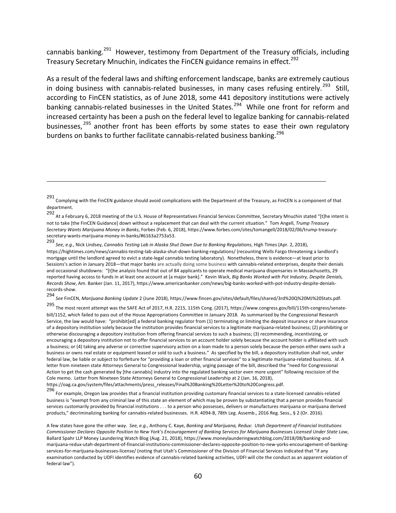cannabis banking.<sup>291</sup> However, testimony from Department of the Treasury officials, including Treasury Secretary Mnuchin, indicates the FinCEN guidance remains in effect.<sup>292</sup>

As a result of the federal laws and shifting enforcement landscape, banks are extremely cautious in doing business with cannabis-related businesses, in many cases refusing entirely.<sup>293</sup> Still, according to FinCEN statistics, as of June 2018, some 441 depository institutions were actively banking cannabis-related businesses in the United States.<sup>294</sup> While one front for reform and increased certainty has been a push on the federal level to legalize banking for cannabis-related businesses,  $295$  another front has been efforts by some states to ease their own regulatory burdens on banks to further facilitate cannabis-related business banking.<sup>296</sup>

<u> 1989 - Jan Samuel Barbara, martxa a shekara tsa 1989 - An tsa 1989 - An tsa 1989 - An tsa 1989 - An tsa 198</u>

294<br>See FinCEN, *Marijuana Banking Update* 2 (June 2018), https://www.fincen.gov/sites/default/files/shared/3rd%20Q%20MJ%20Stats.pdf.

<sup>291&</sup>lt;br>Complying with the FinCEN guidance should avoid complications with the Department of the Treasury, as FinCEN is a component of that department. 

<sup>292&</sup>lt;br>At a February 6, 2018 meeting of the U.S. House of Representatives Financial Services Committee, Secretary Mnuchin stated "[t]he intent is not to take [the FinCEN Guidance] down without a replacement that can deal with the current situation." Tom Angell, Trump Treasury *Secretary Wants Marijuana Money in Banks*, Forbes (Feb. 6, 2018), https://www.forbes.com/sites/tomangell/2018/02/06/trump-treasurysecretary-wants-marijuana-money-in-banks/#6163a2753a53. 

<sup>293&</sup>lt;br>See, e.g., Nick Lindsey, Cannabis Testing Lab in Alaska Shut Down Due to Banking Regulations, High Times (Apr. 2, 2018), https://hightimes.com/news/cannabis-testing-lab-alaska-shut-down-banking-regulations/ (recounting Wells Fargo threatening a landlord's mortgage until the landlord agreed to evict a state-legal cannabis testing laboratory). Nonetheless, there is evidence—at least prior to Sessions's action in January 2018—that major banks are actually doing some business with cannabis-related enterprises, despite their denials and occasional shutdowns: "[t]he analysis found that out of 84 applicants to operate medical marijuana dispensaries in Massachusetts, 29 reported having access to funds in at least one account at [a major bank]." Kevin Wack, *Big Banks Worked with Pot Industry, Despite Denials, Records Show, Am. Banker (Jan. 11, 2017), https://www.americanbanker.com/news/big-banks-worked-with-pot-industry-despite-denials*records-show. 

<sup>295&</sup>lt;br>The most recent attempt was the SAFE Act of 2017, H.R. 2215, 115th Cong. (2017), https://www.congress.gov/bill/115th-congress/senatebill/1152, which failed to pass out of the House Appropriations Committee in January 2018. As summarized by the Congressional Research Service, the law would have: "prohibit[ed] a federal banking regulator from (1) terminating or limiting the deposit insurance or share insurance of a depository institution solely because the institution provides financial services to a legitimate marijuana-related business; (2) prohibiting or otherwise discouraging a depository institution from offering financial services to such a business; (3) recommending, incentivizing, or encouraging a depository institution not to offer financial services to an account holder solely because the account holder is affiliated with such a business; or (4) taking any adverse or corrective supervisory action on a loan made to a person solely because the person either owns such a business or owns real estate or equipment leased or sold to such a business." As specified by the bill, a depository institution shall not, under federal law, be liable or subject to forfeiture for "providing a loan or other financial services" to a legitimate marijuana-related business. Id. A letter from nineteen state Attorneys General to Congressional leadership, urging passage of the bill, described the "need for Congressional Action to get the cash generated by [the cannabis] industry into the regulated banking sector even more urgent" following rescission of the Cole memo. Letter from Nineteen State Attorneys General to Congressional Leadership at 2 (Jan. 16, 2018), https://oag.ca.gov/system/files/attachments/press\_releases/Final%20Banking%20Letter%20to%20Congress.pdf. 

<sup>296&</sup>lt;br>For example, Oregon law provides that a financial institution providing customary financial services to a state-licensed cannabis-related business is "exempt from any criminal law of this state an element of which may be proven by substantiating that a person provides financial services customarily provided by financial institutions . . . to a person who possesses, delivers or manufactures marijuana or marijuana derived products," decriminalizing banking for cannabis-related businesses. H.R. 4094-B, 78th Leg. Assemb., 2016 Reg. Sess., § 2 (Or. 2016).

A few states have gone the other way. See, e.g., Anthony C. Kaye, Banking and Marijuana, Redux: Utah Department of Financial Institutions Commissioner Declares Opposite Position to New York's Encouragement of Banking Services for Marijuana Businesses Licensed Under State Law, Ballard Spahr LLP Money Laundering Watch Blog (Aug. 21, 2018), https://www.moneylaunderingwatchblog.com/2018/08/banking-andmarijuana-redux-utah-department-of-financial-institutions-commissioner-declares-opposite-position-to-new-yorks-encouragement-of-bankingservices-for-marijuana-businesses-license/ (noting that Utah's Commissioner of the Division of Financial Services indicated that "if any examination conducted by UDFI identifies evidence of cannabis-related banking activities, UDFI will cite the conduct as an apparent violation of federal law").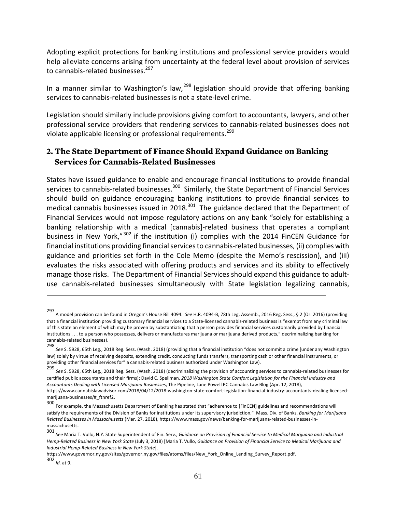Adopting explicit protections for banking institutions and professional service providers would help alleviate concerns arising from uncertainty at the federal level about provision of services to cannabis-related businesses.<sup>297</sup>

In a manner similar to Washington's law,<sup>298</sup> legislation should provide that offering banking services to cannabis-related businesses is not a state-level crime.

Legislation should similarly include provisions giving comfort to accountants, lawyers, and other professional service providers that rendering services to cannabis-related businesses does not violate applicable licensing or professional requirements.<sup>299</sup>

# **2. The State Department of Finance Should Expand Guidance on Banking Services for Cannabis-Related Businesses**

States have issued guidance to enable and encourage financial institutions to provide financial services to cannabis-related businesses.<sup>300</sup> Similarly, the State Department of Financial Services should build on guidance encouraging banking institutions to provide financial services to medical cannabis businesses issued in 2018.<sup>301</sup> The guidance declared that the Department of Financial Services would not impose regulatory actions on any bank "solely for establishing a banking relationship with a medical [cannabis]-related business that operates a compliant business in New York,"<sup>302</sup> if the institution (i) complies with the 2014 FinCEN Guidance for financial institutions providing financial services to cannabis-related businesses, (ii) complies with guidance and priorities set forth in the Cole Memo (despite the Memo's rescission), and (iii) evaluates the risks associated with offering products and services and its ability to effectively manage those risks. The Department of Financial Services should expand this guidance to adultuse cannabis-related businesses simultaneously with State legislation legalizing cannabis,

<sup>297&</sup>lt;br>A model provision can be found in Oregon's House Bill 4094. S*ee* H.R. 4094-B, 78th Leg. Assemb., 2016 Reg. Sess., § 2 (Or. 2016) (providing that a financial institution providing customary financial services to a State-licensed cannabis-related business is "exempt from any criminal law of this state an element of which may be proven by substantiating that a person provides financial services customarily provided by financial institutions . . . to a person who possesses, delivers or manufactures marijuana or marijuana derived products," decriminalizing banking for cannabis-related businesses).

<sup>298&</sup>lt;br>See S. 5928, 65th Leg., 2018 Reg. Sess. (Wash. 2018) (providing that a financial institution "does not commit a crime [under any Washington law] solely by virtue of receiving deposits, extending credit, conducting funds transfers, transporting cash or other financial instruments, or providing other financial services for" a cannabis-related business authorized under Washington Law).

<sup>299&</sup>lt;br>See S. 5928, 65th Leg., 2018 Reg. Sess. (Wash. 2018) (decriminalizing the provision of accounting services to cannabis-related businesses for certified public accountants and their firms); David C. Spellman, 2018 Washington State Comfort Legislation for the Financial Industry and Accountants Dealing with Licensed Marijuana Businesses, The Pipeline, Lane Powell PC Cannabis Law Blog (Apr. 12, 2018), https://www.cannabislawadvisor.com/2018/04/12/2018-washington-state-comfort-legislation-financial-industry-accountants-dealing-licensedmarijuana-businesses/#\_ftnref2. 

<sup>300&</sup>lt;br>For example, the Massachusetts Department of Banking has stated that "adherence to [FinCEN] guidelines and recommendations will satisfy the requirements of the Division of Banks for institutions under its supervisory jurisdiction." Mass. Div. of Banks, Banking for Marijuana *Related Businesses in Massachusetts* (Mar. 27, 2018), https://www.mass.gov/news/banking-for-marijuana-related-businesses-inmassachusetts. 

<sup>301&</sup>lt;br>See Maria T. Vullo, N.Y. State Superintendent of Fin. Serv., *Guidance on Provision of Financial Service to Medical Marijuana and Industrial* Hemp-Related Business in New York State (July 3, 2018) [Maria T. Vullo, Guidance on Provision of Financial Service to Medical Marijuana and *Industrial Hemp-Related Business in New York State*], 

https://www.governor.ny.gov/sites/governor.ny.gov/files/atoms/files/New\_York\_Online\_Lending\_Survey\_Report.pdf. 302 *Id.* at 9.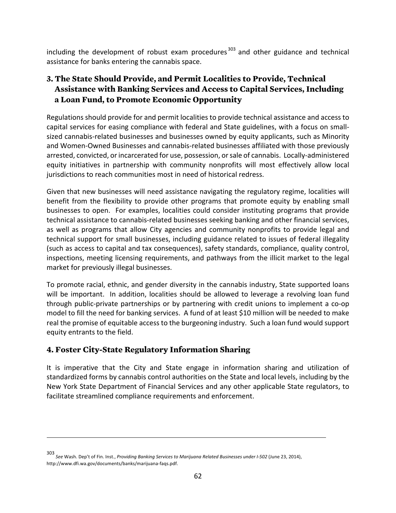including the development of robust exam procedures<sup>303</sup> and other guidance and technical assistance for banks entering the cannabis space.

# **3. The State Should Provide, and Permit Localities to Provide, Technical Assistance with Banking Services and Access to Capital Services, Including a Loan Fund, to Promote Economic Opportunity**

Regulations should provide for and permit localities to provide technical assistance and access to capital services for easing compliance with federal and State guidelines, with a focus on smallsized cannabis-related businesses and businesses owned by equity applicants, such as Minority and Women-Owned Businesses and cannabis-related businesses affiliated with those previously arrested, convicted, or incarcerated for use, possession, or sale of cannabis. Locally-administered equity initiatives in partnership with community nonprofits will most effectively allow local jurisdictions to reach communities most in need of historical redress.

Given that new businesses will need assistance navigating the regulatory regime, localities will benefit from the flexibility to provide other programs that promote equity by enabling small businesses to open. For examples, localities could consider instituting programs that provide technical assistance to cannabis-related businesses seeking banking and other financial services, as well as programs that allow City agencies and community nonprofits to provide legal and technical support for small businesses, including guidance related to issues of federal illegality (such as access to capital and tax consequences), safety standards, compliance, quality control, inspections, meeting licensing requirements, and pathways from the illicit market to the legal market for previously illegal businesses.

To promote racial, ethnic, and gender diversity in the cannabis industry, State supported loans will be important. In addition, localities should be allowed to leverage a revolving loan fund through public-private partnerships or by partnering with credit unions to implement a co-op model to fill the need for banking services. A fund of at least \$10 million will be needed to make real the promise of equitable access to the burgeoning industry. Such a loan fund would support equity entrants to the field.

# **4. Foster City-State Regulatory Information Sharing**

It is imperative that the City and State engage in information sharing and utilization of standardized forms by cannabis control authorities on the State and local levels, including by the New York State Department of Financial Services and any other applicable State regulators, to facilitate streamlined compliance requirements and enforcement.

<u> 1989 - Andrea San Andrew Maria (h. 1989).</u><br>1900 - Andrew Maria (h. 1980).

<sup>303&</sup>lt;br>See Wash. Dep't of Fin. Inst., *Providing Banking Services to Marijuana Related Businesses under I-502* (June 23, 2014), http://www.dfi.wa.gov/documents/banks/marijuana-faqs.pdf.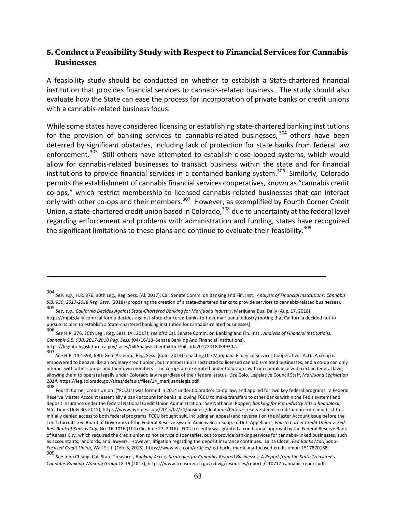#### **5. Conduct a Feasibility Study with Respect to Financial Services for Cannabis Businesses**

A feasibility study should be conducted on whether to establish a State-chartered financial institution that provides financial services to cannabis-related business. The study should also evaluate how the State can ease the process for incorporation of private banks or credit unions with a cannabis-related business focus.

While some states have considered licensing or establishing state-chartered banking institutions for the provision of banking services to cannabis-related businesses.<sup>304</sup> others have been deterred by significant obstacles, including lack of protection for state banks from federal law enforcement.<sup>305</sup> Still others have attempted to establish close-looped systems, which would allow for cannabis-related businesses to transact business within the state and for financial institutions to provide financial services in a contained banking system.<sup>306</sup> Similarly, Colorado permits the establishment of cannabis financial services cooperatives, known as "cannabis credit co-ops," which restrict membership to licensed cannabis-related businesses that can interact only with other co-ops and their members.<sup>307</sup> However, as exemplified by Fourth Corner Credit Union, a state-chartered credit union based in Colorado,  $308$  due to uncertainty at the federal level regarding enforcement and problems with administration and funding, states have recognized the significant limitations to these plans and continue to evaluate their feasibility. $^{309}$ 

<sup>304&</sup>lt;br>See, e.g., H.R. 376, 30th Leg., Reg. Sess. (Al. 2017); Cal. Senate Comm. on Banking and Fin. Inst., *Analysis of Financial Institutions: Cannabis S.B. 930*, *2017-2018 Reg. Sess.* (2018) (proposing the creation of a state-chartered banks to provide services to cannabis-related businesses). 

<sup>305&</sup>lt;br>*See, e.g., California Decides Against State-Chartered Banking for Marijuana Industry,* Marijuana Bus. Daily (Aug. 17, 2018), https://mjbizdaily.com/california-decides-against-state-chartered-banks-to-help-marijuana-industry (noting that California decided not to pursue its plan to establish a State-chartered banking institution for cannabis-related businesses).

<sup>306</sup> See H.R. 376, 30th Leg., Reg. Sess. (Al. 2017); *see also* Cal. Senate Comm. on Banking and Fin. Inst., *Analysis of Financial Institutions: Cannabis S.B. 930*, *2017-2018 Reg. Sess.* (04/16/18–Senate Banking And Financial Institutions), https://leginfo.legislature.ca.gov/faces/billAnalysisClient.xhtml?bill\_id=201720180SB930#. 

<sup>307&</sup>lt;br>See H.R. 14-1398, 69th Gen. Assemb., Reg. Sess. (Colo. 2014) (enacting the Marijuana Financial Services Cooperatives Act). A co-op is empowered to behave like an ordinary credit union, but membership is restricted to licensed cannabis-related businesses, and a co-op can only interact with other co-ops and their own members. The co-ops are exempted under Colorado law from compliance with certain federal laws, allowing them to operate legally under Colorado law regardless of their federal status. See Colo. Legislative Council Staff, Marijuana Legislation *2014*, https://leg.colorado.gov/sites/default/files/14\_marijuanalegis.pdf. 

<sup>308</sup> Fourth Corner Credit Union ("FCCU") was formed in 2014 under Colorado's co-op law, and applied for two key federal programs: a Federal Reserve Master Account (essentially a bank account for banks, allowing FCCU to make transfers to other banks within the Fed's system) and deposit insurance under the federal National Credit Union Administration. See Nathaniel Popper, Banking for Pot Industry Hits a Roadblock, N.Y. Times (July 30, 2015), https://www.nytimes.com/2015/07/31/business/dealbook/federal-reserve-denies-credit-union-for-cannabis.html. Initially denied access to both federal programs, FCCU brought suit, including an appeal (and reversal) on the Master Account issue before the Tenth Circuit. See Board of Governors of the Federal Reserve System Amicus Br. in Supp. of Def.-Appellants, *Fourth Corner Credit Union v. Fed.* Res. Bank of Kansas City, No. 16-1016 (10th Cir. June 27, 2016). FCCU recently was granted a conditional approval by the Federal Reserve Bank of Kansas City, which required the credit union to not service dispensaries, but to provide banking services for cannabis-linked businesses, such as accountants, landlords, and lawyers. However, litigation regarding the deposit insurance continues. Lalita Clozel, Fed Banks Marijuana-Focused Credit Union, Wall St. J. (Feb. 5, 2018), https://www.wsj.com/articles/fed-backs-marijuana-focused-credit-union-1517870188.

<sup>309&</sup>lt;br>See John Chiang, Cal. State Treasurer, *Banking Access Strategies for Cannabis-Related Businesses: A Report from the State Treasurer's* Cannabis Banking Working Group 18-19 (2017), https://www.treasurer.ca.gov/cbwg/resources/reports/110717-cannabis-report.pdf.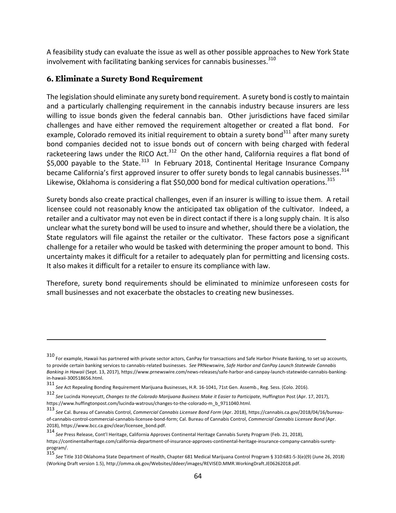A feasibility study can evaluate the issue as well as other possible approaches to New York State involvement with facilitating banking services for cannabis businesses. $310$ 

#### **6. Eliminate a Surety Bond Requirement**

The legislation should eliminate any surety bond requirement. A surety bond is costly to maintain and a particularly challenging requirement in the cannabis industry because insurers are less willing to issue bonds given the federal cannabis ban. Other jurisdictions have faced similar challenges and have either removed the requirement altogether or created a flat bond. For example, Colorado removed its initial requirement to obtain a surety bond $311$  after many surety bond companies decided not to issue bonds out of concern with being charged with federal racketeering laws under the RICO Act.<sup>312</sup> On the other hand, California requires a flat bond of \$5,000 payable to the State.<sup>313</sup> In February 2018, Continental Heritage Insurance Company became California's first approved insurer to offer surety bonds to legal cannabis businesses.<sup>314</sup> Likewise, Oklahoma is considering a flat \$50,000 bond for medical cultivation operations.<sup>315</sup>

Surety bonds also create practical challenges, even if an insurer is willing to issue them. A retail licensee could not reasonably know the anticipated tax obligation of the cultivator. Indeed, a retailer and a cultivator may not even be in direct contact if there is a long supply chain. It is also unclear what the surety bond will be used to insure and whether, should there be a violation, the State regulators will file against the retailer or the cultivator. These factors pose a significant challenge for a retailer who would be tasked with determining the proper amount to bond. This uncertainty makes it difficult for a retailer to adequately plan for permitting and licensing costs. It also makes it difficult for a retailer to ensure its compliance with law.

Therefore, surety bond requirements should be eliminated to minimize unforeseen costs for small businesses and not exacerbate the obstacles to creating new businesses.

<sup>310&</sup>lt;br>For example, Hawaii has partnered with private sector actors, CanPay for transactions and Safe Harbor Private Banking, to set up accounts, to provide certain banking services to cannabis-related businesses. See PRNewswire, Safe Harbor and CanPay Launch Statewide Cannabis Banking in Hawaii (Sept. 13, 2017), https://www.prnewswire.com/news-releases/safe-harbor-and-canpay-launch-statewide-cannabis-bankingin-hawaii-300518656.html. 

<sup>311&</sup>lt;br>See Act Repealing Bonding Requirement Marijuana Businesses, H.R. 16-1041, 71st Gen. Assemb., Reg. Sess. (Colo. 2016).

<sup>312&</sup>lt;br>See Lucinda Honeycutt, *Changes to the Colorado Marijuana Business Make it Easier to Participate,* Huffington Post (Apr. 17, 2017), https://www.huffingtonpost.com/lucinda-watrous/changes-to-the-colorado-m\_b\_9711040.html. 

<sup>313&</sup>lt;br>See Cal. Bureau of Cannabis Control, *Commercial Cannabis Licensee Bond Form* (Apr. 2018), https://cannabis.ca.gov/2018/04/16/bureauof-cannabis-control-commercial-cannabis-licensee-bond-form; Cal. Bureau of Cannabis Control, *Commercial Cannabis Licensee Bond* (Apr. 2018), https://www.bcc.ca.gov/clear/licensee\_bond.pdf. 

<sup>314&</sup>lt;br>See Press Release, Cont'l Heritage, California Approves Continental Heritage Cannabis Surety Program (Feb. 21, 2018), https://continentalheritage.com/california-department-of-insurance-approves-continental-heritage-insurance-company-cannabis-suretyprogram/. 

<sup>315&</sup>lt;br>*See* Title 310 Oklahoma State Department of Health, Chapter 681 Medical Marijuana Control Program § 310:681-5-3(e)(9) (June 26, 2018) (Working Draft version 1.5), http://omma.ok.gov/Websites/ddeer/images/REVISED.MMR.WorkingDraft.JE06262018.pdf.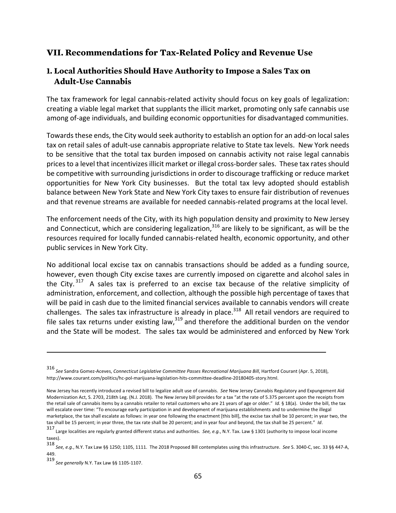# **VII. Recommendations for Tax-Related Policy and Revenue Use**

#### **1. Local Authorities Should Have Authority to Impose a Sales Tax on Adult-Use Cannabis**

The tax framework for legal cannabis-related activity should focus on key goals of legalization: creating a viable legal market that supplants the illicit market, promoting only safe cannabis use among of-age individuals, and building economic opportunities for disadvantaged communities.

Towards these ends, the City would seek authority to establish an option for an add-on local sales tax on retail sales of adult-use cannabis appropriate relative to State tax levels. New York needs to be sensitive that the total tax burden imposed on cannabis activity not raise legal cannabis prices to a level that incentivizes illicit market or illegal cross-border sales. These tax rates should be competitive with surrounding jurisdictions in order to discourage trafficking or reduce market opportunities for New York City businesses. But the total tax levy adopted should establish balance between New York State and New York City taxes to ensure fair distribution of revenues and that revenue streams are available for needed cannabis-related programs at the local level.

The enforcement needs of the City, with its high population density and proximity to New Jersey and Connecticut, which are considering legalization, $316$  are likely to be significant, as will be the resources required for locally funded cannabis-related health, economic opportunity, and other public services in New York City.

No additional local excise tax on cannabis transactions should be added as a funding source, however, even though City excise taxes are currently imposed on cigarette and alcohol sales in the City.<sup>317</sup> A sales tax is preferred to an excise tax because of the relative simplicity of administration, enforcement, and collection, although the possible high percentage of taxes that will be paid in cash due to the limited financial services available to cannabis vendors will create challenges. The sales tax infrastructure is already in place.<sup>318</sup> All retail vendors are required to file sales tax returns under existing law, $319$  and therefore the additional burden on the vendor and the State will be modest. The sales tax would be administered and enforced by New York

<sup>316&</sup>lt;br>See Sandra Gomez-Aceves, *Connecticut Legislative Committee Passes Recreational Marijuana Bill,* Hartford Courant (Apr. 5, 2018), http://www.courant.com/politics/hc-pol-marijuana-legislation-hits-committee-deadline-20180405-story.html. 

New Jersey has recently introduced a revised bill to legalize adult use of cannabis. See New Jersey Cannabis Regulatory and Expungement Aid Modernization Act, S. 2703, 218th Leg. (N.J. 2018). The New Jersey bill provides for a tax "at the rate of 5.375 percent upon the receipts from the retail sale of cannabis items by a cannabis retailer to retail customers who are 21 years of age or older." Id. § 18(a). Under the bill, the tax will escalate over time: "To encourage early participation in and development of marijuana establishments and to undermine the illegal marketplace, the tax shall escalate as follows: in year one following the enactment [this bill], the excise tax shall be 10 percent; in year two, the tax shall be 15 percent; in year three, the tax rate shall be 20 percent; and in year four and beyond, the tax shall be 25 percent." Id.

<sup>317</sup> Large localities are regularly granted different status and authorities. *See, e.g.*, N.Y. Tax. Law § 1301 (authority to impose local income taxes). 

<sup>318&</sup>lt;br>See, e.g., N.Y. Tax Law §§ 1250; 1105, 1111. The 2018 Proposed Bill contemplates using this infrastructure. *See* S. 3040-C, sec. 33 §§ 447-A, 449. 

<sup>319</sup> *See generally* N.Y. Tax Law §§ 1105-1107.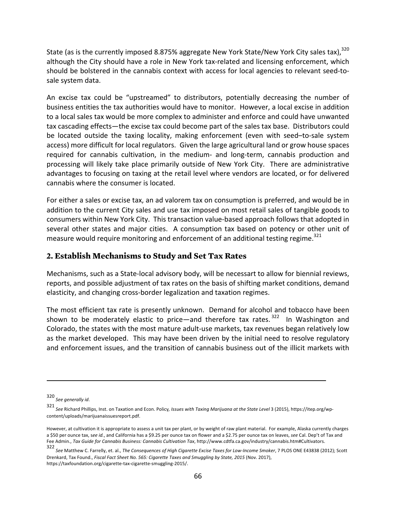State (as is the currently imposed 8.875% aggregate New York State/New York City sales tax).<sup>320</sup> although the City should have a role in New York tax-related and licensing enforcement, which should be bolstered in the cannabis context with access for local agencies to relevant seed-tosale system data.

An excise tax could be "upstreamed" to distributors, potentially decreasing the number of business entities the tax authorities would have to monitor. However, a local excise in addition to a local sales tax would be more complex to administer and enforce and could have unwanted tax cascading effects—the excise tax could become part of the sales tax base. Distributors could be located outside the taxing locality, making enforcement (even with seed–to-sale system access) more difficult for local regulators. Given the large agricultural land or grow house spaces required for cannabis cultivation, in the medium- and long-term, cannabis production and processing will likely take place primarily outside of New York City. There are administrative advantages to focusing on taxing at the retail level where vendors are located, or for delivered cannabis where the consumer is located.

For either a sales or excise tax, an ad valorem tax on consumption is preferred, and would be in addition to the current City sales and use tax imposed on most retail sales of tangible goods to consumers within New York City. This transaction value-based approach follows that adopted in several other states and major cities. A consumption tax based on potency or other unit of measure would require monitoring and enforcement of an additional testing regime.<sup>321</sup>

#### **2. Establish Mechanisms to Study and Set Tax Rates**

Mechanisms, such as a State-local advisory body, will be necessart to allow for biennial reviews, reports, and possible adjustment of tax rates on the basis of shifting market conditions, demand elasticity, and changing cross-border legalization and taxation regimes.

The most efficient tax rate is presently unknown. Demand for alcohol and tobacco have been shown to be moderately elastic to price—and therefore tax rates.  $322$  In Washington and Colorado, the states with the most mature adult-use markets, tax revenues began relatively low as the market developed. This may have been driven by the initial need to resolve regulatory and enforcement issues, and the transition of cannabis business out of the illicit markets with

<sup>320</sup> *See generally id*. 

<sup>321&</sup>lt;br>*See* Richard Phillips, Inst. on Taxation and Econ. Policy*, Issues with Taxing Marijuana at the State Level* 3 (2015), https://itep.org/wpcontent/uploads/marijuanaissuesreport.pdf. 

However, at cultivation it is appropriate to assess a unit tax per plant, or by weight of raw plant material. For example, Alaska currently charges a \$50 per ounce tax, see id., and California has a \$9.25 per ounce tax on flower and a \$2.75 per ounce tax on leaves, see Cal. Dep't of Tax and Fee Admin., Tax Guide for Cannabis Business: Cannabis Cultivation Tax, http://www.cdtfa.ca.gov/industry/cannabis.htm#Cultivators.

<sup>322</sup> See Matthew C. Farrelly, et. al., *The Consequences of High Cigarette Excise Taxes for Low-Income Smoker*, 7 PLOS ONE E43838 (2012); Scott Drenkard, Tax Found., *Fiscal Fact Sheet No.* 565: Cigarette Taxes and Smuggling by State, 2015 (Nov. 2017), https://taxfoundation.org/cigarette-tax-cigarette-smuggling-2015/.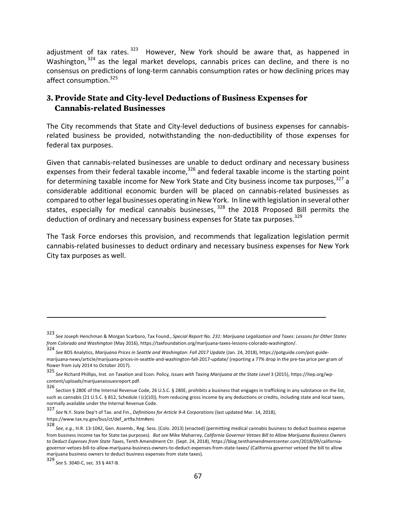adjustment of tax rates.  $323$  However, New York should be aware that, as happened in Washington,  $324$  as the legal market develops, cannabis prices can decline, and there is no consensus on predictions of long-term cannabis consumption rates or how declining prices may affect consumption.<sup>325</sup>

## **3. Provide State and City-level Deductions of Business Expenses for Cannabis-related Businesses**

The City recommends that State and City-level deductions of business expenses for cannabisrelated business be provided, notwithstanding the non-deductibility of those expenses for federal tax purposes.

Given that cannabis-related businesses are unable to deduct ordinary and necessary business expenses from their federal taxable income,  $326$  and federal taxable income is the starting point for determining taxable income for New York State and City business income tax purposes,  $327$  a considerable additional economic burden will be placed on cannabis-related businesses as compared to other legal businesses operating in New York. In line with legislation in several other states, especially for medical cannabis businesses,  $328$  the 2018 Proposed Bill permits the deduction of ordinary and necessary business expenses for State tax purposes.<sup>329</sup>

The Task Force endorses this provision, and recommends that legalization legislation permit cannabis-related businesses to deduct ordinary and necessary business expenses for New York City tax purposes as well.

<sup>323&</sup>lt;br>See Joseph Henchman & Morgan Scarboro, Tax Found., *Special Report No. 231: Marijuana Legalization and Taxes: Lessons for Other States from Colorado and Washington* (May 2016), https://taxfoundation.org/marijuana-taxes-lessons-colorado-washington/. 

<sup>324&</sup>lt;br>See BDS Analytics, *Marijuana Prices in Seattle and Washington: Fall 2017 Update (Jan. 24, 2018), https://potguide.com/pot-guide*marijuana-news/article/marijuana-prices-in-seattle-and-washington-fall-2017-update/ (reporting a 77% drop in the pre-tax price per gram of flower from July 2014 to October 2017).

<sup>325</sup> See Richard Phillips, Inst. on Taxation and Econ. Policy*, Issues with Taxing Marijuana at the State Level* 3 (2015), https://itep.org/wpcontent/uploads/marijuanaissuesreport.pdf. 

<sup>326&</sup>lt;br>Section § 280E of the Internal Revenue Code, 26 U.S.C. § 280E, prohibits a business that engages in trafficking in any substance on the list, such as cannabis (21 U.S.C. § 812, Schedule I (c)(10)), from reducing gross income by any deductions or credits, including state and local taxes. normally available under the Internal Revenue Code.

<sup>327&</sup>lt;br>*See* N.Y. State Dep't of Tax. and Fin., *Definitions for Article 9-A Corporations* (last updated Mar. 14, 2018), https://www.tax.ny.gov/bus/ct/def\_art9a.htm#eni. 

<sup>328&</sup>lt;br>See, e.g., H.R. 13-1042, Gen. Assemb., Reg. Sess. (Colo. 2013) (enacted) (permitting medical cannabis business to deduct business expense from business income tax for State tax purposes). But see Mike Maharrey, *California Governor Vetoes Bill to Allow Marijuana Business Owners* to Deduct Expenses from State Taxes, Tenth Amendment Ctr. (Sept. 24, 2018), https://blog.tenthamendmentcenter.com/2018/09/californiagovernor-vetoes-bill-to-allow-marijuana-business-owners-to-deduct-expenses-from-state-taxes/ (California governor vetoed the bill to allow marijuana business owners to deduct business expenses from state taxes).

<sup>329</sup> *See* S. 3040-C, sec. 33 § 447-B.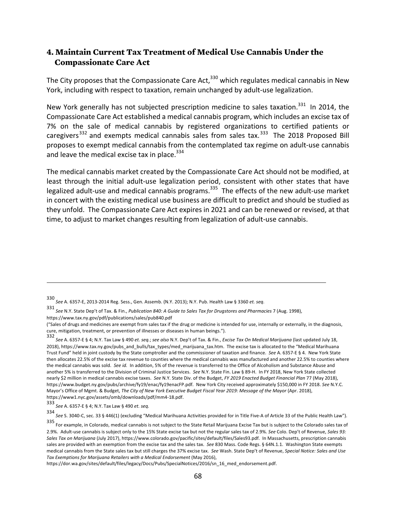#### **4. Maintain Current Tax Treatment of Medical Use Cannabis Under the Compassionate Care Act**

The City proposes that the Compassionate Care Act, $^{330}$  which regulates medical cannabis in New York, including with respect to taxation, remain unchanged by adult-use legalization.

New York generally has not subjected prescription medicine to sales taxation.<sup>331</sup> In 2014, the Compassionate Care Act established a medical cannabis program, which includes an excise tax of 7% on the sale of medical cannabis by registered organizations to certified patients or caregivers<sup>332</sup> and exempts medical cannabis sales from sales tax.<sup>333</sup> The 2018 Proposed Bill proposes to exempt medical cannabis from the contemplated tax regime on adult-use cannabis and leave the medical excise tax in place. $334$ 

The medical cannabis market created by the Compassionate Care Act should not be modified, at least through the initial adult-use legalization period, consistent with other states that have legalized adult-use and medical cannabis programs.<sup>335</sup> The effects of the new adult-use market in concert with the existing medical use business are difficult to predict and should be studied as they unfold. The Compassionate Care Act expires in 2021 and can be renewed or revised, at that time, to adjust to market changes resulting from legalization of adult-use cannabis.

<sup>330&</sup>lt;br>*See* A. 6357-E, 2013-2014 Reg. Sess., Gen. Assemb. (N.Y. 2013); N.Y. Pub. Health Law § 3360 *et. seq.* 

<sup>331&</sup>lt;br>*See* N.Y. State Dep't of Tax. & Fin., *Publication 840: A Guide to Sales Tax for Drugstores and Pharmacies 7 (Aug. 1998),* https://www.tax.ny.gov/pdf/publications/sales/pub840.pdf 

<sup>(&</sup>quot;Sales of drugs and medicines are exempt from sales tax if the drug or medicine is intended for use, internally or externally, in the diagnosis, cure, mitigation, treatment, or prevention of illnesses or diseases in human beings.").

<sup>332&</sup>lt;br>*See* A. 6357-E § 4; N.Y. Tax Law § 490 *et. seq.; see also* N.Y. Dep't of Tax. & Fin.*, Excise Tax On Medical Marijuana* (last updated July 18, 2018), https://www.tax.ny.gov/pubs\_and\_bulls/tax\_types/med\_marijuana\_tax.htm. The excise tax is allocated to the "Medical Marihuana Trust Fund" held in joint custody by the State comptroller and the commissioner of taxation and finance. See A. 6357-E § 4. New York State then allocates 22.5% of the excise tax revenue to counties where the medical cannabis was manufactured and another 22.5% to counties where the medical cannabis was sold. See id. In addition, 5% of the revenue is transferred to the Office of Alcoholism and Substance Abuse and another 5% is transferred to the Division of Criminal Justice Services. *See* N.Y. State Fin. Law § 89-H. In FY 2018, New York State collected nearly \$2 million in medical cannabis excise taxes. See N.Y. State Div. of the Budget, FY 2019 Enacted Budget Financial Plan 77 (May 2018), https://www.budget.ny.gov/pubs/archive/fy19/enac/fy19enacFP.pdf. New York City received approximately \$150,000 in FY 2018. See N.Y.C. Mayor's Office of Mgmt. & Budget, *The City of New York Executive Budget Fiscal Year 2019: Message of the Mayor* (Apr. 2018), https://www1.nyc.gov/assets/omb/downloads/pdf/mm4-18.pdf. 

<sup>333</sup> *See* A. 6357-E § 4; N.Y. Tax Law § 490 *et. seq.*

<sup>334&</sup>lt;br>*See* S. 3040-C, sec. 33 § 446(1) (excluding "Medical Marihuana Activities provided for in Title Five-A of Article 33 of the Public Health Law").

<sup>335&</sup>lt;br>For example, in Colorado, medical cannabis is not subject to the State Retail Marijuana Excise Tax but is subject to the Colorado sales tax of 2.9%. Adult-use cannabis is subject only to the 15% State excise tax but not the regular sales tax of 2.9%. See Colo. Dep't of Revenue, Sales 93: Sales Tax on Marijuana (July 2017), https://www.colorado.gov/pacific/sites/default/files/Sales93.pdf. In Massachusetts, prescription cannabis sales are provided with an exemption from the excise tax and the sales tax. See 830 Mass. Code Regs. § 64N.1.1. Washington State exempts medical cannabis from the State sales tax but still charges the 37% excise tax. See Wash. State Dep't of Revenue, Special Notice: Sales and Use Tax Exemptions for Marijuana Retailers with a Medical Endorsement (May 2016),

https://dor.wa.gov/sites/default/files/legacy/Docs/Pubs/SpecialNotices/2016/sn\_16\_med\_endorsement.pdf.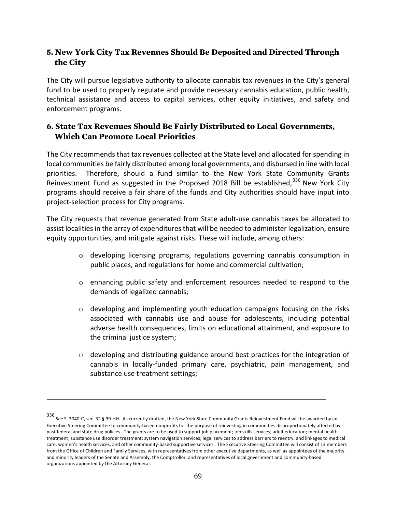### **5. New York City Tax Revenues Should Be Deposited and Directed Through the City**

The City will pursue legislative authority to allocate cannabis tax revenues in the City's general fund to be used to properly regulate and provide necessary cannabis education, public health, technical assistance and access to capital services, other equity initiatives, and safety and enforcement programs.

### **6. State Tax Revenues Should Be Fairly Distributed to Local Governments, Which Can Promote Local Priorities**

The City recommends that tax revenues collected at the State level and allocated for spending in local communities be fairly distributed among local governments, and disbursed in line with local priorities. Therefore, should a fund similar to the New York State Community Grants Reinvestment Fund as suggested in the Proposed 2018 Bill be established, $336$  New York City programs should receive a fair share of the funds and City authorities should have input into project-selection process for City programs.

The City requests that revenue generated from State adult-use cannabis taxes be allocated to assist localities in the array of expenditures that will be needed to administer legalization, ensure equity opportunities, and mitigate against risks. These will include, among others: 

- $\circ$  developing licensing programs, regulations governing cannabis consumption in public places, and regulations for home and commercial cultivation;
- $\circ$  enhancing public safety and enforcement resources needed to respond to the demands of legalized cannabis;
- $\circ$  developing and implementing youth education campaigns focusing on the risks associated with cannabis use and abuse for adolescents, including potential adverse health consequences, limits on educational attainment, and exposure to the criminal justice system;
- $\circ$  developing and distributing guidance around best practices for the integration of cannabis in locally-funded primary care, psychiatric, pain management, and substance use treatment settings;

<sup>336&</sup>lt;br>See S. 3040-C, sec. 32 § 99-HH. As currently drafted, the New York State Community Grants Reinvestment Fund will be awarded by an Executive Steering Committee to community-based nonprofits for the purpose of reinvesting in communities disproportionately affected by past federal and state drug policies. The grants are to be used to support job placement; job skills services; adult education; mental health treatment; substance use disorder treatment; system navigation services; legal services to address barriers to reentry; and linkages to medical care, women's health services, and other community-based supportive services. The Executive Steering Committee will consist of 13 members from the Office of Children and Family Services, with representatives from other executive departments, as well as appointees of the majority and minority leaders of the Senate and Assembly, the Comptroller, and representatives of local government and community-based organizations appointed by the Attorney General.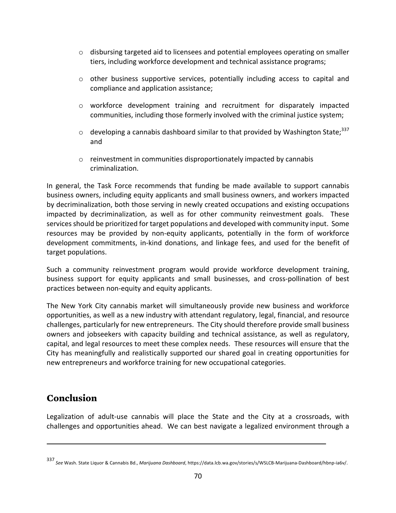- $\circ$  disbursing targeted aid to licensees and potential employees operating on smaller tiers, including workforce development and technical assistance programs;
- $\circ$  other business supportive services, potentially including access to capital and compliance and application assistance;
- o workforce development training and recruitment for disparately impacted communities, including those formerly involved with the criminal justice system;
- $\circ$  developing a cannabis dashboard similar to that provided by Washington State;<sup>337</sup> and
- $\circ$  reinvestment in communities disproportionately impacted by cannabis criminalization.

In general, the Task Force recommends that funding be made available to support cannabis business owners, including equity applicants and small business owners, and workers impacted by decriminalization, both those serving in newly created occupations and existing occupations impacted by decriminalization, as well as for other community reinvestment goals. These services should be prioritized for target populations and developed with community input. Some resources may be provided by non-equity applicants, potentially in the form of workforce development commitments, in-kind donations, and linkage fees, and used for the benefit of target populations.

Such a community reinvestment program would provide workforce development training, business support for equity applicants and small businesses, and cross-pollination of best practices between non-equity and equity applicants.

The New York City cannabis market will simultaneously provide new business and workforce opportunities, as well as a new industry with attendant regulatory, legal, financial, and resource challenges, particularly for new entrepreneurs. The City should therefore provide small business owners and jobseekers with capacity building and technical assistance, as well as regulatory, capital, and legal resources to meet these complex needs. These resources will ensure that the City has meaningfully and realistically supported our shared goal in creating opportunities for new entrepreneurs and workforce training for new occupational categories.

# **Conclusion**

Legalization of adult-use cannabis will place the State and the City at a crossroads, with challenges and opportunities ahead. We can best navigate a legalized environment through a

<sup>337&</sup>lt;br>See Wash. State Liquor & Cannabis Bd., *Marijuana Dashboard,* https://data.lcb.wa.gov/stories/s/WSLCB-Marijuana-Dashboard/hbnp-ia6v/.